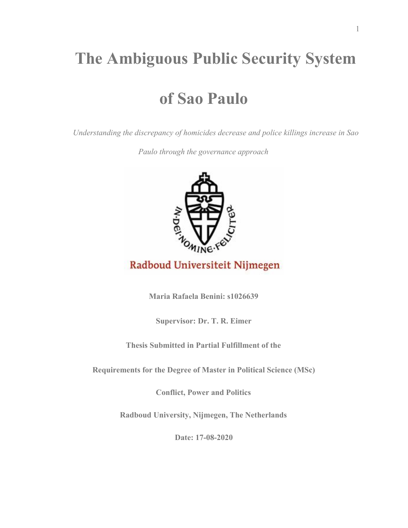# **The Ambiguous Public Security System**

# **of Sao Paulo**

*Understanding the discrepancy of homicides decrease and police killings increase in Sao*

*Paulo through the governance approach*



# Radboud Universiteit Nijmegen

**Maria Rafaela Benini: s1026639**

**Supervisor: Dr. T. R. Eimer**

**Thesis Submitted in Partial Fulfillment of the**

**Requirements for the Degree of Master in Political Science (MSc)**

**Conflict, Power and Politics**

**Radboud University, Nijmegen, The Netherlands**

**Date: 17-08-2020**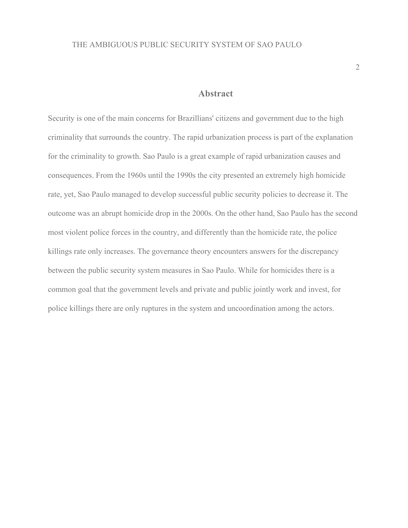## **Abstract**

Security is one of the main concerns for Brazillians' citizens and government due to the high criminality that surrounds the country. The rapid urbanization process is part of the explanation for the criminality to growth. Sao Paulo is a great example of rapid urbanization causes and consequences. From the 1960s until the 1990s the city presented an extremely high homicide rate, yet, Sao Paulo managed to develop successful public security policies to decrease it. The outcome was an abrupt homicide drop in the 2000s. On the other hand, Sao Paulo has the second most violent police forces in the country, and differently than the homicide rate, the police killings rate only increases. The governance theory encounters answers for the discrepancy between the public security system measures in Sao Paulo. While for homicides there is a common goal that the government levels and private and public jointly work and invest, for police killings there are only ruptures in the system and uncoordination among the actors.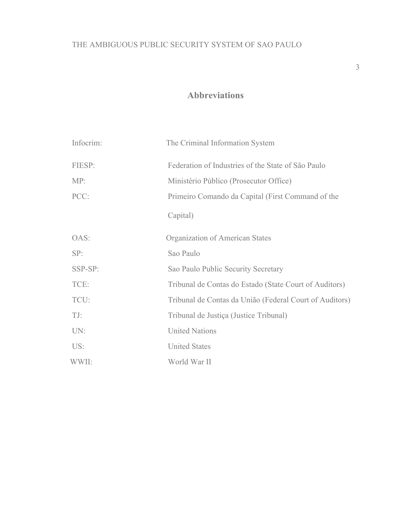# **Abbreviations**

| Infocrim: | The Criminal Information System                         |
|-----------|---------------------------------------------------------|
| FIESP:    | Federation of Industries of the State of São Paulo      |
| MP:       | Ministério Público (Prosecutor Office)                  |
| PCC:      | Primeiro Comando da Capital (First Command of the       |
|           | Capital)                                                |
| OAS:      | Organization of American States                         |
| SP:       | Sao Paulo                                               |
| SSP-SP:   | Sao Paulo Public Security Secretary                     |
| TCE:      | Tribunal de Contas do Estado (State Court of Auditors)  |
| TCU:      | Tribunal de Contas da União (Federal Court of Auditors) |
| TJ:       | Tribunal de Justiça (Justice Tribunal)                  |
| UN:       | <b>United Nations</b>                                   |
| US:       | <b>United States</b>                                    |
| WWII:     | World War II                                            |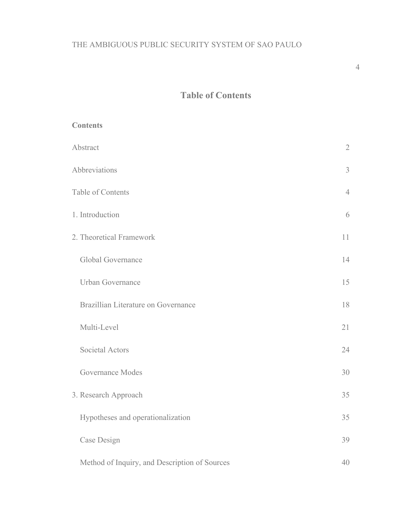4

# **Table of Contents**

| <b>Contents</b>                               |    |
|-----------------------------------------------|----|
| Abstract                                      |    |
| Abbreviations                                 |    |
| Table of Contents                             |    |
| 1. Introduction                               | 6  |
| 2. Theoretical Framework                      |    |
| Global Governance                             | 14 |
| <b>Urban Governance</b>                       | 15 |
| Brazillian Literature on Governance           | 18 |
| Multi-Level                                   | 21 |
| <b>Societal Actors</b>                        | 24 |
| <b>Governance Modes</b>                       | 30 |
| 3. Research Approach                          |    |
| Hypotheses and operationalization             | 35 |
| Case Design                                   | 39 |
| Method of Inquiry, and Description of Sources | 40 |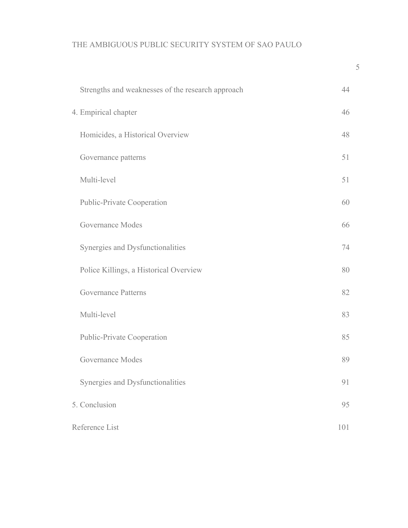| Strengths and weaknesses of the research approach | 44  |
|---------------------------------------------------|-----|
| 4. Empirical chapter                              | 46  |
| Homicides, a Historical Overview                  | 48  |
| Governance patterns                               | 51  |
| Multi-level                                       | 51  |
| <b>Public-Private Cooperation</b>                 | 60  |
| Governance Modes                                  | 66  |
| Synergies and Dysfunctionalities                  | 74  |
| Police Killings, a Historical Overview            | 80  |
| <b>Governance Patterns</b>                        | 82  |
| Multi-level                                       | 83  |
| <b>Public-Private Cooperation</b>                 | 85  |
| Governance Modes                                  | 89  |
| Synergies and Dysfunctionalities                  | 91  |
| 5. Conclusion                                     | 95  |
| Reference List                                    | 101 |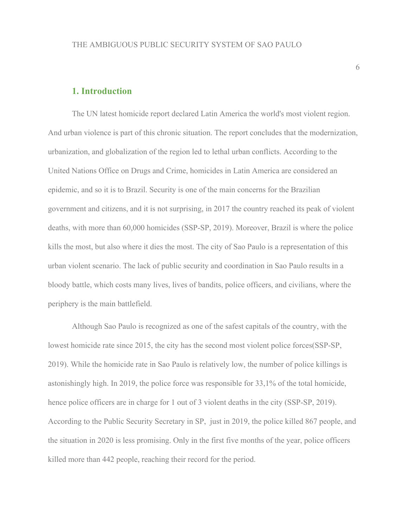## **1. Introduction**

The UN latest homicide report declared Latin America the world's most violent region. And urban violence is part of this chronic situation. The report concludes that the modernization, urbanization, and globalization of the region led to lethal urban conflicts. According to the United Nations Office on Drugs and Crime, homicides in Latin America are considered an epidemic, and so it is to Brazil. Security is one of the main concerns for the Brazilian government and citizens, and it is not surprising, in 2017 the country reached its peak of violent deaths, with more than 60,000 homicides (SSP-SP, 2019). Moreover, Brazil is where the police kills the most, but also where it dies the most. The city of Sao Paulo is a representation of this urban violent scenario. The lack of public security and coordination in Sao Paulo results in a bloody battle, which costs many lives, lives of bandits, police officers, and civilians, where the periphery is the main battlefield.

Although Sao Paulo is recognized as one of the safest capitals of the country, with the lowest homicide rate since 2015, the city has the second most violent police forces(SSP-SP, 2019). While the homicide rate in Sao Paulo is relatively low, the number of police killings is astonishingly high. In 2019, the police force was responsible for 33,1% of the total homicide, hence police officers are in charge for 1 out of 3 violent deaths in the city (SSP-SP, 2019). According to the Public Security Secretary in SP, just in 2019, the police killed 867 people, and the situation in 2020 is less promising. Only in the first five months of the year, police officers killed more than 442 people, reaching their record for the period.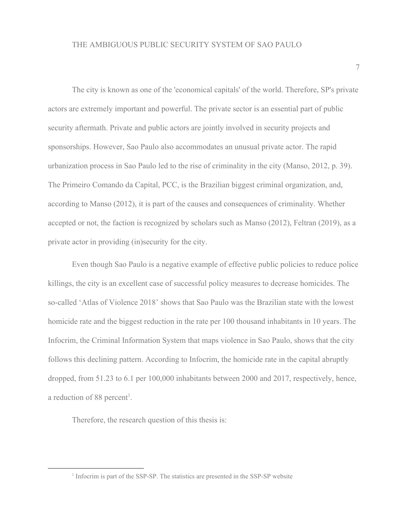The city is known as one of the 'economical capitals' of the world. Therefore, SP's private actors are extremely important and powerful. The private sector is an essential part of public security aftermath. Private and public actors are jointly involved in security projects and sponsorships. However, Sao Paulo also accommodates an unusual private actor. The rapid urbanization process in Sao Paulo led to the rise of criminality in the city (Manso, 2012, p. 39). The Primeiro Comando da Capital, PCC, is the Brazilian biggest criminal organization, and, according to Manso (2012), it is part of the causes and consequences of criminality. Whether accepted or not, the faction is recognized by scholars such as Manso (2012), Feltran (2019), as a private actor in providing (in)security for the city.

Even though Sao Paulo is a negative example of effective public policies to reduce police killings, the city is an excellent case of successful policy measures to decrease homicides. The so-called 'Atlas of Violence 2018' shows that Sao Paulo was the Brazilian state with the lowest homicide rate and the biggest reduction in the rate per 100 thousand inhabitants in 10 years. The Infocrim, the Criminal Information System that maps violence in Sao Paulo, shows that the city follows this declining pattern. According to Infocrim, the homicide rate in the capital abruptly dropped, from 51.23 to 6.1 per 100,000 inhabitants between 2000 and 2017, respectively, hence, a reduction of 88 percent<sup>1</sup>.

Therefore, the research question of this thesis is:

<sup>&</sup>lt;sup>1</sup> Infocrim is part of the SSP-SP. The statistics are presented in the SSP-SP website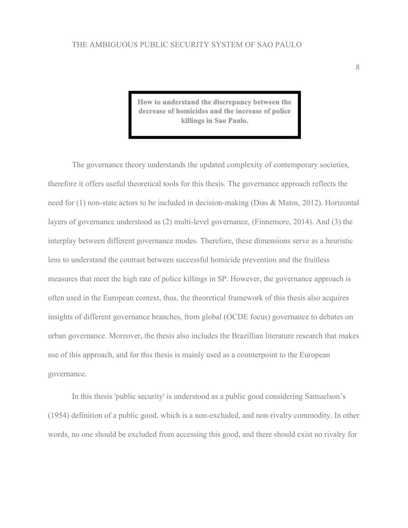How to understand the discrepancy between the decrease of homicides and the increase of police killings in Sao Paulo.

The governance theory understands the updated complexity of contemporary societies, therefore it offers useful theoretical tools for this thesis. The governance approach reflects the need for (1) non-state actors to be included in decision-making (Dias & Matos, 2012). Horizontal layers of governance understood as (2) multi-level governance, (Finnemore, 2014). And (3) the interplay between different governance modes. Therefore, these dimensions serve as a heuristic lens to understand the contrast between successful homicide prevention and the fruitless measures that meet the high rate of police killings in SP. However, the governance approach is often used in the European context, thus, the theoretical framework of this thesis also acquires insights of different governance branches, from global (OCDE focus) governance to debates on urban governance. Moreover, the thesis also includes the Brazillian literature research that makes use of this approach, and for this thesis is mainly used as a counterpoint to the European governance.

In this thesis 'public security' is understood as a public good considering Samuelson's (1954) definition of a public good, which is a non-excluded, and non-rivalry commodity. In other words, no one should be excluded from accessing this good, and there should exist no rivalry for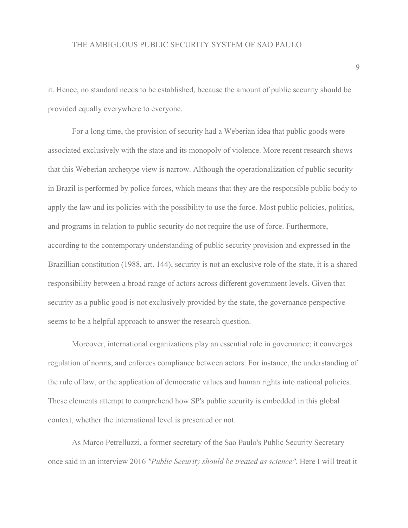it. Hence, no standard needs to be established, because the amount of public security should be provided equally everywhere to everyone.

For a long time, the provision of security had a Weberian idea that public goods were associated exclusively with the state and its monopoly of violence. More recent research shows that this Weberian archetype view is narrow. Although the operationalization of public security in Brazil is performed by police forces, which means that they are the responsible public body to apply the law and its policies with the possibility to use the force. Most public policies, politics, and programs in relation to public security do not require the use of force. Furthermore, according to the contemporary understanding of public security provision and expressed in the Brazillian constitution (1988, art. 144), security is not an exclusive role of the state, it is a shared responsibility between a broad range of actors across different government levels. Given that security as a public good is not exclusively provided by the state, the governance perspective seems to be a helpful approach to answer the research question.

Moreover, international organizations play an essential role in governance; it converges regulation of norms, and enforces compliance between actors. For instance, the understanding of the rule of law, or the application of democratic values and human rights into national policies. These elements attempt to comprehend how SP's public security is embedded in this global context, whether the international level is presented or not.

As Marco Petrelluzzi, a former secretary of the Sao Paulo's Public Security Secretary once said in an interview 2016 *"Public Security should be treated as science"*. Here I will treat it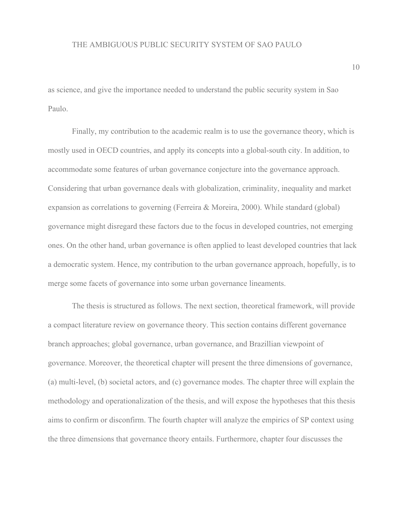as science, and give the importance needed to understand the public security system in Sao Paulo.

Finally, my contribution to the academic realm is to use the governance theory, which is mostly used in OECD countries, and apply its concepts into a global-south city. In addition, to accommodate some features of urban governance conjecture into the governance approach. Considering that urban governance deals with globalization, criminality, inequality and market expansion as correlations to governing (Ferreira & Moreira, 2000). While standard (global) governance might disregard these factors due to the focus in developed countries, not emerging ones. On the other hand, urban governance is often applied to least developed countries that lack a democratic system. Hence, my contribution to the urban governance approach, hopefully, is to merge some facets of governance into some urban governance lineaments.

The thesis is structured as follows. The next section, theoretical framework, will provide a compact literature review on governance theory. This section contains different governance branch approaches; global governance, urban governance, and Brazillian viewpoint of governance. Moreover, the theoretical chapter will present the three dimensions of governance, (a) multi-level, (b) societal actors, and (c) governance modes. The chapter three will explain the methodology and operationalization of the thesis, and will expose the hypotheses that this thesis aims to confirm or disconfirm. The fourth chapter will analyze the empirics of SP context using the three dimensions that governance theory entails. Furthermore, chapter four discusses the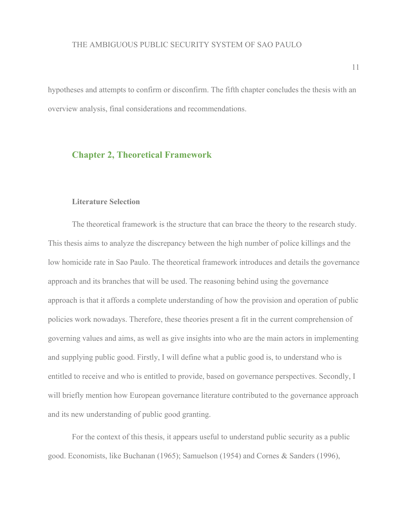hypotheses and attempts to confirm or disconfirm. The fifth chapter concludes the thesis with an overview analysis, final considerations and recommendations.

## **Chapter 2, Theoretical Framework**

#### **Literature Selection**

The theoretical framework is the structure that can brace the theory to the research study. This thesis aims to analyze the discrepancy between the high number of police killings and the low homicide rate in Sao Paulo. The theoretical framework introduces and details the governance approach and its branches that will be used. The reasoning behind using the governance approach is that it affords a complete understanding of how the provision and operation of public policies work nowadays. Therefore, these theories present a fit in the current comprehension of governing values and aims, as well as give insights into who are the main actors in implementing and supplying public good. Firstly, I will define what a public good is, to understand who is entitled to receive and who is entitled to provide, based on governance perspectives. Secondly, I will briefly mention how European governance literature contributed to the governance approach and its new understanding of public good granting.

For the context of this thesis, it appears useful to understand public security as a public good. Economists, like Buchanan (1965); Samuelson (1954) and Cornes & Sanders (1996),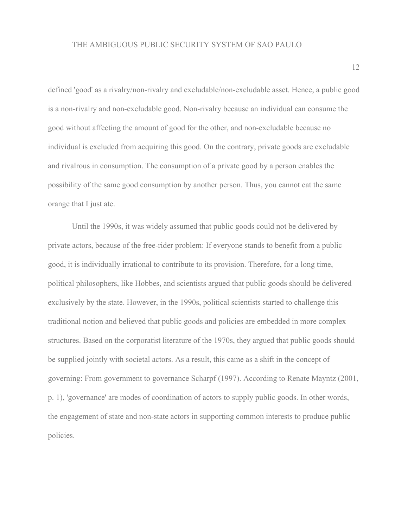defined 'good' as a rivalry/non-rivalry and excludable/non-excludable asset. Hence, a public good is a non-rivalry and non-excludable good. Non-rivalry because an individual can consume the good without affecting the amount of good for the other, and non-excludable because no individual is excluded from acquiring this good. On the contrary, private goods are excludable and rivalrous in consumption. The consumption of a private good by a person enables the possibility of the same good consumption by another person. Thus, you cannot eat the same orange that I just ate.

Until the 1990s, it was widely assumed that public goods could not be delivered by private actors, because of the free-rider problem: If everyone stands to benefit from a public good, it is individually irrational to contribute to its provision. Therefore, for a long time, political philosophers, like Hobbes, and scientists argued that public goods should be delivered exclusively by the state. However, in the 1990s, political scientists started to challenge this traditional notion and believed that public goods and policies are embedded in more complex structures. Based on the corporatist literature of the 1970s, they argued that public goods should be supplied jointly with societal actors. As a result, this came as a shift in the concept of governing: From government to governance Scharpf (1997). According to Renate Mayntz (2001, p. 1), 'governance' are modes of coordination of actors to supply public goods. In other words, the engagement of state and non-state actors in supporting common interests to produce public policies.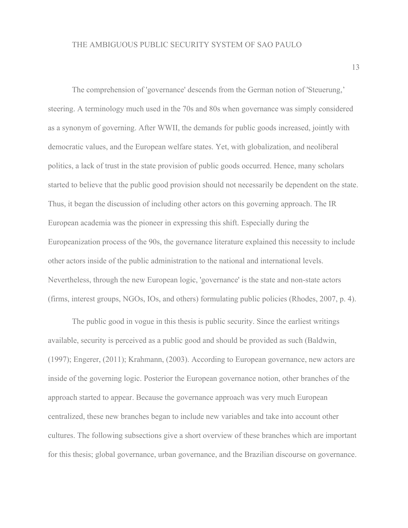The comprehension of 'governance' descends from the German notion of 'Steuerung,' steering. A terminology much used in the 70s and 80s when governance was simply considered as a synonym of governing. After WWII, the demands for public goods increased, jointly with democratic values, and the European welfare states. Yet, with globalization, and neoliberal politics, a lack of trust in the state provision of public goods occurred. Hence, many scholars started to believe that the public good provision should not necessarily be dependent on the state. Thus, it began the discussion of including other actors on this governing approach. The IR European academia was the pioneer in expressing this shift. Especially during the Europeanization process of the 90s, the governance literature explained this necessity to include other actors inside of the public administration to the national and international levels. Nevertheless, through the new European logic, 'governance' is the state and non-state actors (firms, interest groups, NGOs, IOs, and others) formulating public policies (Rhodes, 2007, p. 4).

The public good in vogue in this thesis is public security. Since the earliest writings available, security is perceived as a public good and should be provided as such (Baldwin, (1997); Engerer, (2011); Krahmann, (2003). According to European governance, new actors are inside of the governing logic. Posterior the European governance notion, other branches of the approach started to appear. Because the governance approach was very much European centralized, these new branches began to include new variables and take into account other cultures. The following subsections give a short overview of these branches which are important for this thesis; global governance, urban governance, and the Brazilian discourse on governance.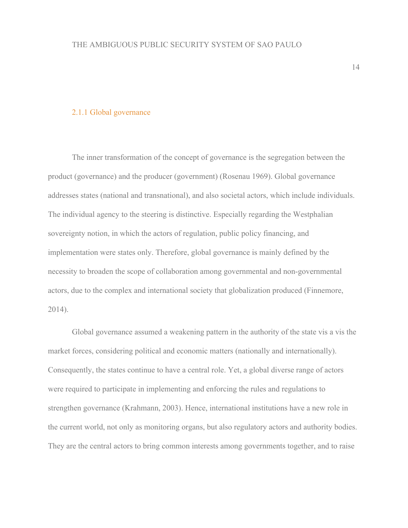#### 2.1.1 Global governance

The inner transformation of the concept of governance is the segregation between the product (governance) and the producer (government) (Rosenau 1969). Global governance addresses states (national and transnational), and also societal actors, which include individuals. The individual agency to the steering is distinctive. Especially regarding the Westphalian sovereignty notion, in which the actors of regulation, public policy financing, and implementation were states only. Therefore, global governance is mainly defined by the necessity to broaden the scope of collaboration among governmental and non-governmental actors, due to the complex and international society that globalization produced (Finnemore, 2014).

Global governance assumed a weakening pattern in the authority of the state vis a vis the market forces, considering political and economic matters (nationally and internationally). Consequently, the states continue to have a central role. Yet, a global diverse range of actors were required to participate in implementing and enforcing the rules and regulations to strengthen governance (Krahmann, 2003). Hence, international institutions have a new role in the current world, not only as monitoring organs, but also regulatory actors and authority bodies. They are the central actors to bring common interests among governments together, and to raise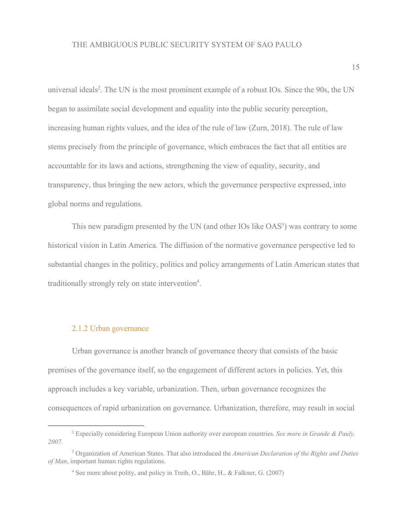universal ideals<sup>2</sup>. The UN is the most prominent example of a robust IOs. Since the 90s, the UN began to assimilate social development and equality into the public security perception, increasing human rights values, and the idea of the rule of law (Zurn, 2018). The rule of law stems precisely from the principle of governance, which embraces the fact that all entities are accountable for its laws and actions, strengthening the view of equality, security, and transparency, thus bringing the new actors, which the governance perspective expressed, into global norms and regulations.

This new paradigm presented by the UN (and other IOs like  $OAS<sup>3</sup>$ ) was contrary to some historical vision in Latin America. The diffusion of the normative governance perspective led to substantial changes in the politicy, politics and policy arrangements of Latin American states that traditionally strongly rely on state intervention<sup>4</sup>.

#### 2.1.2 Urban governance

Urban governance is another branch of governance theory that consists of the basic premises of the governance itself, so the engagement of different actors in policies. Yet, this approach includes a key variable, urbanization. Then, urban governance recognizes the consequences of rapid urbanization on governance. Urbanization, therefore, may result in social

<sup>2</sup> Especially considering European Union authority over european countries. *See more in Grande & Pauly, 2007.*

<sup>3</sup> Organization of American States. That also introduced the *American Declaration of the Rights and Duties of Man*, important human rights regulations.

<sup>4</sup> See more about polity, and policy in Treib, O., Bähr, H., & Falkner, G. (2007)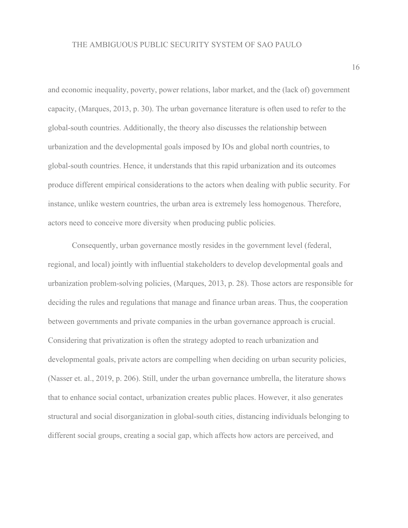and economic inequality, poverty, power relations, labor market, and the (lack of) government capacity, (Marques, 2013, p. 30). The urban governance literature is often used to refer to the global-south countries. Additionally, the theory also discusses the relationship between urbanization and the developmental goals imposed by IOs and global north countries, to global-south countries. Hence, it understands that this rapid urbanization and its outcomes produce different empirical considerations to the actors when dealing with public security. For instance, unlike western countries, the urban area is extremely less homogenous. Therefore, actors need to conceive more diversity when producing public policies.

Consequently, urban governance mostly resides in the government level (federal, regional, and local) jointly with influential stakeholders to develop developmental goals and urbanization problem-solving policies, (Marques, 2013, p. 28). Those actors are responsible for deciding the rules and regulations that manage and finance urban areas. Thus, the cooperation between governments and private companies in the urban governance approach is crucial. Considering that privatization is often the strategy adopted to reach urbanization and developmental goals, private actors are compelling when deciding on urban security policies, (Nasser et. al., 2019, p. 206). Still, under the urban governance umbrella, the literature shows that to enhance social contact, urbanization creates public places. However, it also generates structural and social disorganization in global-south cities, distancing individuals belonging to different social groups, creating a social gap, which affects how actors are perceived, and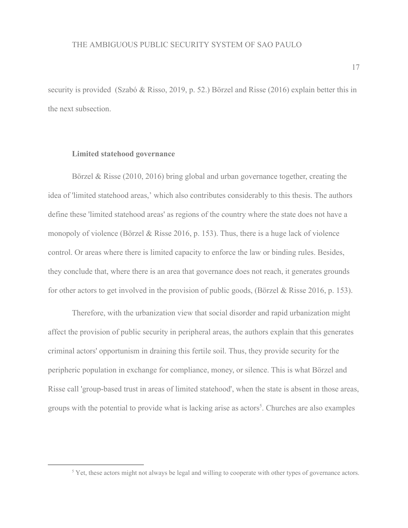security is provided (Szabó & Risso, 2019, p. 52.) Börzel and Risse (2016) explain better this in the next subsection.

#### **Limited statehood governance**

Börzel & Risse (2010, 2016) bring global and urban governance together, creating the idea of 'limited statehood areas,' which also contributes considerably to this thesis. The authors define these 'limited statehood areas' as regions of the country where the state does not have a monopoly of violence (Börzel & Risse 2016, p. 153). Thus, there is a huge lack of violence control. Or areas where there is limited capacity to enforce the law or binding rules. Besides, they conclude that, where there is an area that governance does not reach, it generates grounds for other actors to get involved in the provision of public goods, (Börzel & Risse 2016, p. 153).

Therefore, with the urbanization view that social disorder and rapid urbanization might affect the provision of public security in peripheral areas, the authors explain that this generates criminal actors' opportunism in draining this fertile soil. Thus, they provide security for the peripheric population in exchange for compliance, money, or silence. This is what Börzel and Risse call 'group-based trust in areas of limited statehood', when the state is absent in those areas, groups with the potential to provide what is lacking arise as actors<sup>5</sup>. Churches are also examples

<sup>&</sup>lt;sup>5</sup> Yet, these actors might not always be legal and willing to cooperate with other types of governance actors.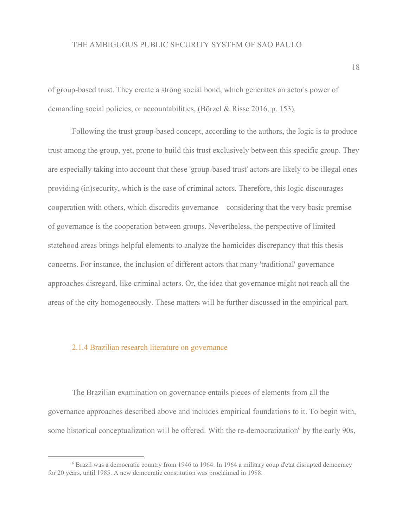of group-based trust. They create a strong social bond, which generates an actor's power of demanding social policies, or accountabilities, (Börzel & Risse 2016, p. 153).

Following the trust group-based concept, according to the authors, the logic is to produce trust among the group, yet, prone to build this trust exclusively between this specific group. They are especially taking into account that these 'group-based trust' actors are likely to be illegal ones providing (in)security, which is the case of criminal actors. Therefore, this logic discourages cooperation with others, which discredits governance—considering that the very basic premise of governance is the cooperation between groups. Nevertheless, the perspective of limited statehood areas brings helpful elements to analyze the homicides discrepancy that this thesis concerns. For instance, the inclusion of different actors that many 'traditional' governance approaches disregard, like criminal actors. Or, the idea that governance might not reach all the areas of the city homogeneously. These matters will be further discussed in the empirical part.

#### 2.1.4 Brazilian research literature on governance

The Brazilian examination on governance entails pieces of elements from all the governance approaches described above and includes empirical foundations to it. To begin with, some historical conceptualization will be offered. With the re-democratization<sup> $6$ </sup> by the early 90s,

<sup>6</sup> Brazil was a democratic country from 1946 to 1964. In 1964 a military coup d'etat disrupted democracy for 20 years, until 1985. A new democratic constitution was proclaimed in 1988.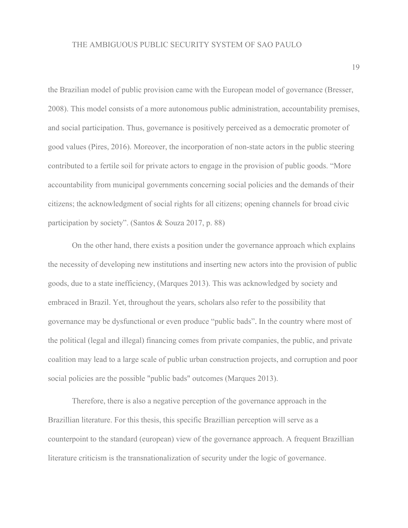the Brazilian model of public provision came with the European model of governance (Bresser, 2008). This model consists of a more autonomous public administration, accountability premises, and social participation. Thus, governance is positively perceived as a democratic promoter of good values (Pires, 2016). Moreover, the incorporation of non-state actors in the public steering contributed to a fertile soil for private actors to engage in the provision of public goods. "More accountability from municipal governments concerning social policies and the demands of their citizens; the acknowledgment of social rights for all citizens; opening channels for broad civic participation by society". (Santos & Souza 2017, p. 88)

On the other hand, there exists a position under the governance approach which explains the necessity of developing new institutions and inserting new actors into the provision of public goods, due to a state inefficiency, (Marques 2013). This was acknowledged by society and embraced in Brazil. Yet, throughout the years, scholars also refer to the possibility that governance may be dysfunctional or even produce "public bads". In the country where most of the political (legal and illegal) financing comes from private companies, the public, and private coalition may lead to a large scale of public urban construction projects, and corruption and poor social policies are the possible "public bads" outcomes (Marques 2013).

Therefore, there is also a negative perception of the governance approach in the Brazillian literature. For this thesis, this specific Brazillian perception will serve as a counterpoint to the standard (european) view of the governance approach. A frequent Brazillian literature criticism is the transnationalization of security under the logic of governance.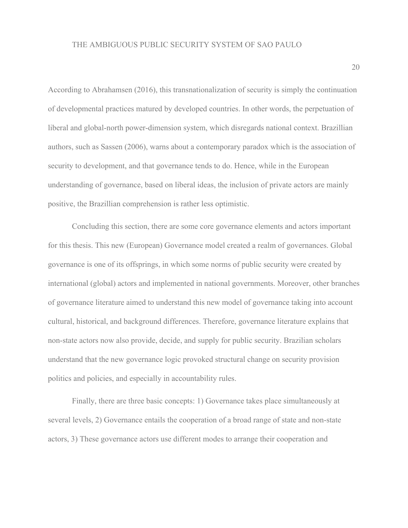According to Abrahamsen (2016), this transnationalization of security is simply the continuation of developmental practices matured by developed countries. In other words, the perpetuation of liberal and global-north power-dimension system, which disregards national context. Brazillian authors, such as Sassen (2006), warns about a contemporary paradox which is the association of security to development, and that governance tends to do. Hence, while in the European understanding of governance, based on liberal ideas, the inclusion of private actors are mainly positive, the Brazillian comprehension is rather less optimistic.

Concluding this section, there are some core governance elements and actors important for this thesis. This new (European) Governance model created a realm of governances. Global governance is one of its offsprings, in which some norms of public security were created by international (global) actors and implemented in national governments. Moreover, other branches of governance literature aimed to understand this new model of governance taking into account cultural, historical, and background differences. Therefore, governance literature explains that non-state actors now also provide, decide, and supply for public security. Brazilian scholars understand that the new governance logic provoked structural change on security provision politics and policies, and especially in accountability rules.

Finally, there are three basic concepts: 1) Governance takes place simultaneously at several levels, 2) Governance entails the cooperation of a broad range of state and non-state actors, 3) These governance actors use different modes to arrange their cooperation and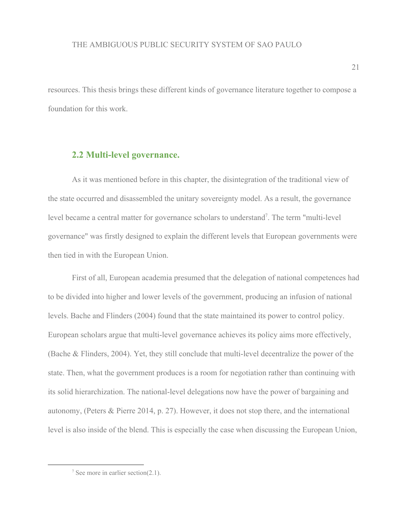resources. This thesis brings these different kinds of governance literature together to compose a foundation for this work.

## **2.2 Multi-level governance.**

As it was mentioned before in this chapter, the disintegration of the traditional view of the state occurred and disassembled the unitary sovereignty model. As a result, the governance level became a central matter for governance scholars to understand<sup>7</sup>. The term "multi-level" governance" was firstly designed to explain the different levels that European governments were then tied in with the European Union.

First of all, European academia presumed that the delegation of national competences had to be divided into higher and lower levels of the government, producing an infusion of national levels. Bache and Flinders (2004) found that the state maintained its power to control policy. European scholars argue that multi-level governance achieves its policy aims more effectively, (Bache & Flinders, 2004). Yet, they still conclude that multi-level decentralize the power of the state. Then, what the government produces is a room for negotiation rather than continuing with its solid hierarchization. The national-level delegations now have the power of bargaining and autonomy, (Peters & Pierre 2014, p. 27). However, it does not stop there, and the international level is also inside of the blend. This is especially the case when discussing the European Union,

 $\frac{7}{2}$  See more in earlier section(2.1).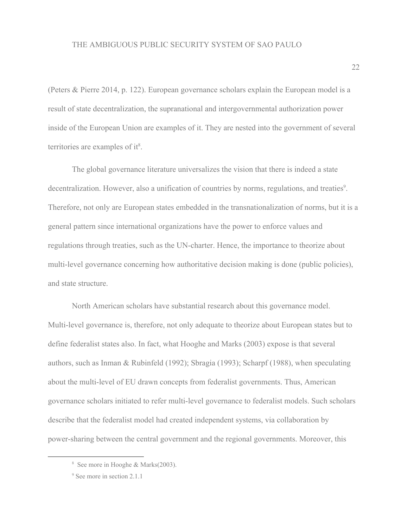(Peters & Pierre 2014, p. 122). European governance scholars explain the European model is a result of state decentralization, the supranational and intergovernmental authorization power inside of the European Union are examples of it. They are nested into the government of several territories are examples of it<sup>8</sup>.

The global governance literature universalizes the vision that there is indeed a state decentralization. However, also a unification of countries by norms, regulations, and treaties<sup>9</sup>. Therefore, not only are European states embedded in the transnationalization of norms, but it is a general pattern since international organizations have the power to enforce values and regulations through treaties, such as the UN-charter. Hence, the importance to theorize about multi-level governance concerning how authoritative decision making is done (public policies), and state structure.

North American scholars have substantial research about this governance model. Multi-level governance is, therefore, not only adequate to theorize about European states but to define federalist states also. In fact, what Hooghe and Marks (2003) expose is that several authors, such as Inman & Rubinfeld (1992); Sbragia (1993); Scharpf (1988), when speculating about the multi-level of EU drawn concepts from federalist governments. Thus, American governance scholars initiated to refer multi-level governance to federalist models. Such scholars describe that the federalist model had created independent systems, via collaboration by power-sharing between the central government and the regional governments. Moreover, this

<sup>8</sup> See more in Hooghe & Marks(2003).

<sup>&</sup>lt;sup>9</sup> See more in section 2.1.1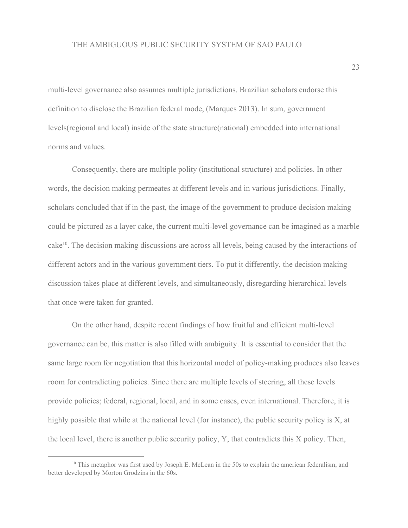multi-level governance also assumes multiple jurisdictions. Brazilian scholars endorse this definition to disclose the Brazilian federal mode, (Marques 2013). In sum, government levels(regional and local) inside of the state structure(national) embedded into international norms and values.

Consequently, there are multiple polity (institutional structure) and policies. In other words, the decision making permeates at different levels and in various jurisdictions. Finally, scholars concluded that if in the past, the image of the government to produce decision making could be pictured as a layer cake, the current multi-level governance can be imagined as a marble cake<sup>10</sup>. The decision making discussions are across all levels, being caused by the interactions of different actors and in the various government tiers. To put it differently, the decision making discussion takes place at different levels, and simultaneously, disregarding hierarchical levels that once were taken for granted.

On the other hand, despite recent findings of how fruitful and efficient multi-level governance can be, this matter is also filled with ambiguity. It is essential to consider that the same large room for negotiation that this horizontal model of policy-making produces also leaves room for contradicting policies. Since there are multiple levels of steering, all these levels provide policies; federal, regional, local, and in some cases, even international. Therefore, it is highly possible that while at the national level (for instance), the public security policy is X, at the local level, there is another public security policy, Y, that contradicts this X policy. Then,

<sup>&</sup>lt;sup>10</sup> This metaphor was first used by Joseph E. McLean in the 50s to explain the american federalism, and better developed by Morton Grodzins in the 60s.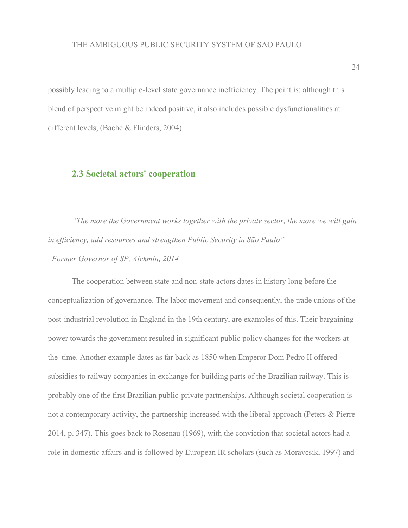possibly leading to a multiple-level state governance inefficiency. The point is: although this blend of perspective might be indeed positive, it also includes possible dysfunctionalities at different levels, (Bache & Flinders, 2004).

### **2.3 Societal actors' cooperation**

*"The more the Government works together with the private sector, the more we will gain in efficiency, add resources and strengthen Public Security in São Paulo"*

*Former Governor of SP, Alckmin, 2014*

The cooperation between state and non-state actors dates in history long before the conceptualization of governance. The labor movement and consequently, the trade unions of the post-industrial revolution in England in the 19th century, are examples of this. Their bargaining power towards the government resulted in significant public policy changes for the workers at the time. Another example dates as far back as 1850 when Emperor Dom Pedro II offered subsidies to railway companies in exchange for building parts of the Brazilian railway. This is probably one of the first Brazilian public-private partnerships. Although societal cooperation is not a contemporary activity, the partnership increased with the liberal approach (Peters & Pierre 2014, p. 347). This goes back to Rosenau (1969), with the conviction that societal actors had a role in domestic affairs and is followed by European IR scholars (such as Moravcsik, 1997) and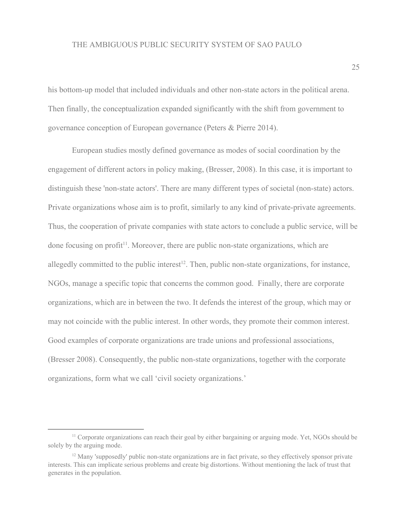his bottom-up model that included individuals and other non-state actors in the political arena. Then finally, the conceptualization expanded significantly with the shift from government to governance conception of European governance (Peters & Pierre 2014).

European studies mostly defined governance as modes of social coordination by the engagement of different actors in policy making, (Bresser, 2008). In this case, it is important to distinguish these 'non-state actors'. There are many different types of societal (non-state) actors. Private organizations whose aim is to profit, similarly to any kind of private-private agreements. Thus, the cooperation of private companies with state actors to conclude a public service, will be done focusing on profit<sup>11</sup>. Moreover, there are public non-state organizations, which are allegedly committed to the public interest<sup>12</sup>. Then, public non-state organizations, for instance, NGOs, manage a specific topic that concerns the common good. Finally, there are corporate organizations, which are in between the two. It defends the interest of the group, which may or may not coincide with the public interest. In other words, they promote their common interest. Good examples of corporate organizations are trade unions and professional associations, (Bresser 2008). Consequently, the public non-state organizations, together with the corporate organizations, form what we call 'civil society organizations.'

<sup>&</sup>lt;sup>11</sup> Corporate organizations can reach their goal by either bargaining or arguing mode. Yet, NGOs should be solely by the arguing mode.

 $12$  Many 'supposedly' public non-state organizations are in fact private, so they effectively sponsor private interests. This can implicate serious problems and create big distortions. Without mentioning the lack of trust that generates in the population.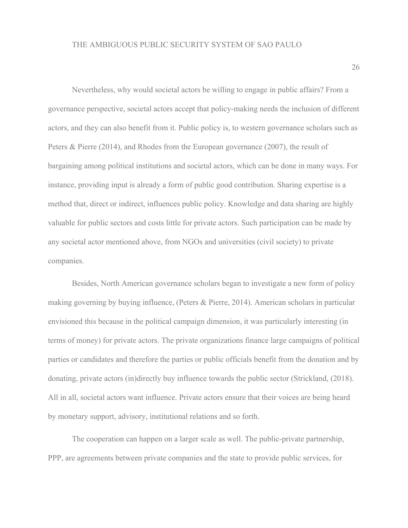Nevertheless, why would societal actors be willing to engage in public affairs? From a governance perspective, societal actors accept that policy-making needs the inclusion of different actors, and they can also benefit from it. Public policy is, to western governance scholars such as Peters & Pierre (2014), and Rhodes from the European governance (2007), the result of bargaining among political institutions and societal actors, which can be done in many ways. For instance, providing input is already a form of public good contribution. Sharing expertise is a method that, direct or indirect, influences public policy. Knowledge and data sharing are highly valuable for public sectors and costs little for private actors. Such participation can be made by any societal actor mentioned above, from NGOs and universities (civil society) to private companies.

Besides, North American governance scholars began to investigate a new form of policy making governing by buying influence, (Peters & Pierre, 2014). American scholars in particular envisioned this because in the political campaign dimension, it was particularly interesting (in terms of money) for private actors. The private organizations finance large campaigns of political parties or candidates and therefore the parties or public officials benefit from the donation and by donating, private actors (in)directly buy influence towards the public sector (Strickland, (2018). All in all, societal actors want influence. Private actors ensure that their voices are being heard by monetary support, advisory, institutional relations and so forth.

The cooperation can happen on a larger scale as well. The public-private partnership, PPP, are agreements between private companies and the state to provide public services, for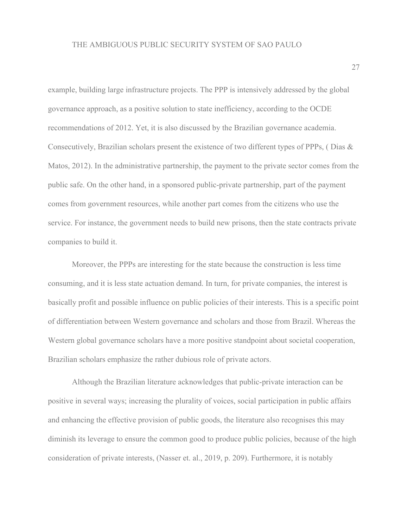example, building large infrastructure projects. The PPP is intensively addressed by the global governance approach, as a positive solution to state inefficiency, according to the OCDE recommendations of 2012. Yet, it is also discussed by the Brazilian governance academia. Consecutively, Brazilian scholars present the existence of two different types of PPPs, ( Dias & Matos, 2012). In the administrative partnership, the payment to the private sector comes from the public safe. On the other hand, in a sponsored public-private partnership, part of the payment comes from government resources, while another part comes from the citizens who use the service. For instance, the government needs to build new prisons, then the state contracts private companies to build it.

Moreover, the PPPs are interesting for the state because the construction is less time consuming, and it is less state actuation demand. In turn, for private companies, the interest is basically profit and possible influence on public policies of their interests. This is a specific point of differentiation between Western governance and scholars and those from Brazil. Whereas the Western global governance scholars have a more positive standpoint about societal cooperation, Brazilian scholars emphasize the rather dubious role of private actors.

Although the Brazilian literature acknowledges that public-private interaction can be positive in several ways; increasing the plurality of voices, social participation in public affairs and enhancing the effective provision of public goods, the literature also recognises this may diminish its leverage to ensure the common good to produce public policies, because of the high consideration of private interests, (Nasser et. al., 2019, p. 209). Furthermore, it is notably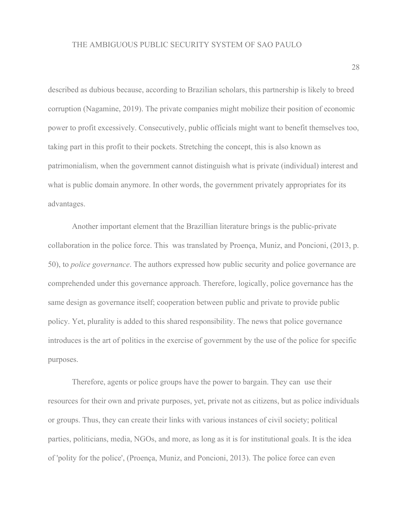described as dubious because, according to Brazilian scholars, this partnership is likely to breed corruption (Nagamine, 2019). The private companies might mobilize their position of economic power to profit excessively. Consecutively, public officials might want to benefit themselves too, taking part in this profit to their pockets. Stretching the concept, this is also known as patrimonialism, when the government cannot distinguish what is private (individual) interest and what is public domain anymore. In other words, the government privately appropriates for its advantages.

Another important element that the Brazillian literature brings is the public-private collaboration in the police force. This was translated by Proença, Muniz, and Poncioni, (2013, p. 50), to *police governance*. The authors expressed how public security and police governance are comprehended under this governance approach. Therefore, logically, police governance has the same design as governance itself; cooperation between public and private to provide public policy. Yet, plurality is added to this shared responsibility. The news that police governance introduces is the art of politics in the exercise of government by the use of the police for specific purposes.

Therefore, agents or police groups have the power to bargain. They can use their resources for their own and private purposes, yet, private not as citizens, but as police individuals or groups. Thus, they can create their links with various instances of civil society; political parties, politicians, media, NGOs, and more, as long as it is for institutional goals. It is the idea of 'polity for the police', (Proença, Muniz, and Poncioni, 2013). The police force can even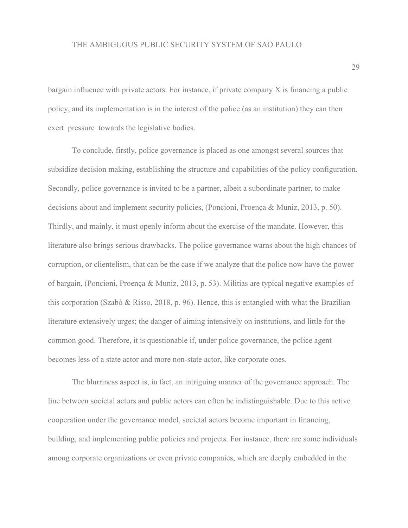bargain influence with private actors. For instance, if private company X is financing a public policy, and its implementation is in the interest of the police (as an institution) they can then exert pressure towards the legislative bodies.

To conclude, firstly, police governance is placed as one amongst several sources that subsidize decision making, establishing the structure and capabilities of the policy configuration. Secondly, police governance is invited to be a partner, albeit a subordinate partner, to make decisions about and implement security policies, (Poncioni, Proença & Muniz, 2013, p. 50). Thirdly, and mainly, it must openly inform about the exercise of the mandate. However, this literature also brings serious drawbacks. The police governance warns about the high chances of corruption, or clientelism, that can be the case if we analyze that the police now have the power of bargain, (Poncioni, Proença & Muniz, 2013, p. 53). Militias are typical negative examples of this corporation (Szabó & Risso, 2018, p. 96). Hence, this is entangled with what the Brazilian literature extensively urges; the danger of aiming intensively on institutions, and little for the common good. Therefore, it is questionable if, under police governance, the police agent becomes less of a state actor and more non-state actor, like corporate ones.

The blurriness aspect is, in fact, an intriguing manner of the governance approach. The line between societal actors and public actors can often be indistinguishable. Due to this active cooperation under the governance model, societal actors become important in financing, building, and implementing public policies and projects. For instance, there are some individuals among corporate organizations or even private companies, which are deeply embedded in the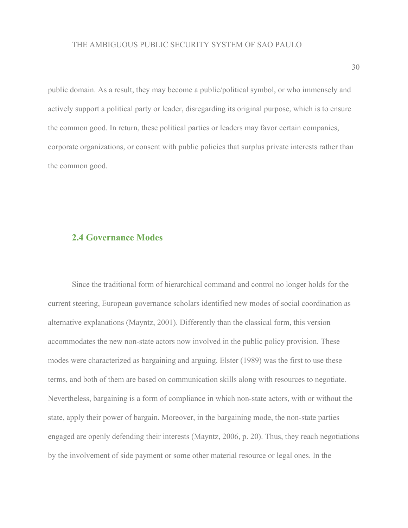public domain. As a result, they may become a public/political symbol, or who immensely and actively support a political party or leader, disregarding its original purpose, which is to ensure the common good. In return, these political parties or leaders may favor certain companies, corporate organizations, or consent with public policies that surplus private interests rather than the common good.

### **2.4 Governance Modes**

Since the traditional form of hierarchical command and control no longer holds for the current steering, European governance scholars identified new modes of social coordination as alternative explanations (Mayntz, 2001). Differently than the classical form, this version accommodates the new non-state actors now involved in the public policy provision. These modes were characterized as bargaining and arguing. Elster (1989) was the first to use these terms, and both of them are based on communication skills along with resources to negotiate. Nevertheless, bargaining is a form of compliance in which non-state actors, with or without the state, apply their power of bargain. Moreover, in the bargaining mode, the non-state parties engaged are openly defending their interests (Mayntz, 2006, p. 20). Thus, they reach negotiations by the involvement of side payment or some other material resource or legal ones. In the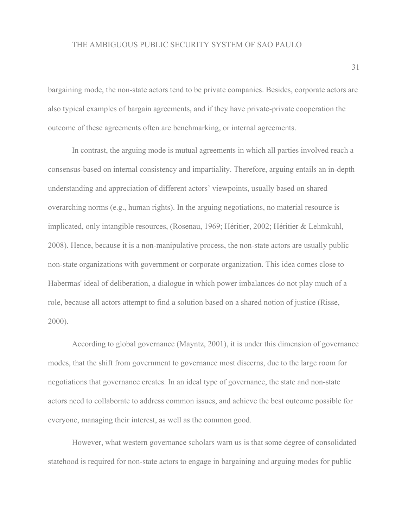bargaining mode, the non-state actors tend to be private companies. Besides, corporate actors are also typical examples of bargain agreements, and if they have private-private cooperation the outcome of these agreements often are benchmarking, or internal agreements.

In contrast, the arguing mode is mutual agreements in which all parties involved reach a consensus-based on internal consistency and impartiality. Therefore, arguing entails an in-depth understanding and appreciation of different actors' viewpoints, usually based on shared overarching norms (e.g., human rights). In the arguing negotiations, no material resource is implicated, only intangible resources, (Rosenau, 1969; Héritier, 2002; Héritier & Lehmkuhl, 2008). Hence, because it is a non-manipulative process, the non-state actors are usually public non-state organizations with government or corporate organization. This idea comes close to Habermas' ideal of deliberation, a dialogue in which power imbalances do not play much of a role, because all actors attempt to find a solution based on a shared notion of justice (Risse, 2000).

According to global governance (Mayntz, 2001), it is under this dimension of governance modes, that the shift from government to governance most discerns, due to the large room for negotiations that governance creates. In an ideal type of governance, the state and non-state actors need to collaborate to address common issues, and achieve the best outcome possible for everyone, managing their interest, as well as the common good.

However, what western governance scholars warn us is that some degree of consolidated statehood is required for non-state actors to engage in bargaining and arguing modes for public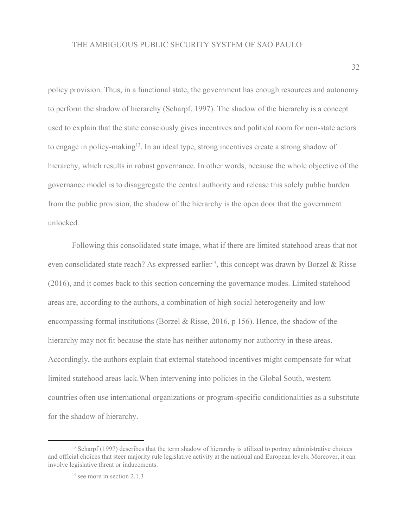policy provision. Thus, in a functional state, the government has enough resources and autonomy to perform the shadow of hierarchy (Scharpf, 1997). The shadow of the hierarchy is a concept used to explain that the state consciously gives incentives and political room for non-state actors to engage in policy-making<sup>13</sup>. In an ideal type, strong incentives create a strong shadow of hierarchy, which results in robust governance. In other words, because the whole objective of the governance model is to disaggregate the central authority and release this solely public burden from the public provision, the shadow of the hierarchy is the open door that the government unlocked.

Following this consolidated state image, what if there are limited statehood areas that not even consolidated state reach? As expressed earlier<sup>14</sup>, this concept was drawn by Borzel & Risse (2016), and it comes back to this section concerning the governance modes. Limited statehood areas are, according to the authors, a combination of high social heterogeneity and low encompassing formal institutions (Borzel & Risse, 2016, p 156). Hence, the shadow of the hierarchy may not fit because the state has neither autonomy nor authority in these areas. Accordingly, the authors explain that external statehood incentives might compensate for what limited statehood areas lack.When intervening into policies in the Global South, western countries often use international organizations or program-specific conditionalities as a substitute for the shadow of hierarchy.

<sup>&</sup>lt;sup>13</sup> Scharpf (1997) describes that the term shadow of hierarchy is utilized to portray administrative choices and official choices that steer majority rule legislative activity at the national and European levels. Moreover, it can involve legislative threat or inducements.

<sup>&</sup>lt;sup>14</sup> see more in section 2.1.3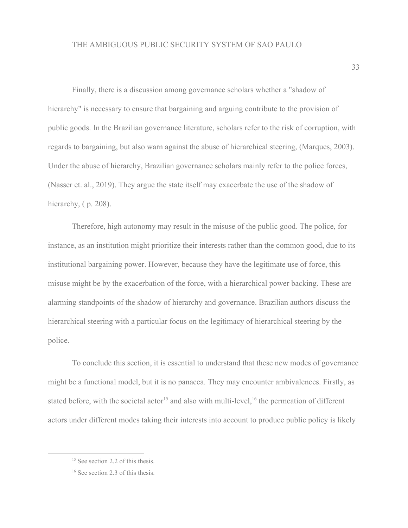Finally, there is a discussion among governance scholars whether a "shadow of hierarchy" is necessary to ensure that bargaining and arguing contribute to the provision of public goods. In the Brazilian governance literature, scholars refer to the risk of corruption, with regards to bargaining, but also warn against the abuse of hierarchical steering, (Marques, 2003). Under the abuse of hierarchy, Brazilian governance scholars mainly refer to the police forces, (Nasser et. al., 2019). They argue the state itself may exacerbate the use of the shadow of hierarchy,  $(p. 208)$ .

Therefore, high autonomy may result in the misuse of the public good. The police, for instance, as an institution might prioritize their interests rather than the common good, due to its institutional bargaining power. However, because they have the legitimate use of force, this misuse might be by the exacerbation of the force, with a hierarchical power backing. These are alarming standpoints of the shadow of hierarchy and governance. Brazilian authors discuss the hierarchical steering with a particular focus on the legitimacy of hierarchical steering by the police.

To conclude this section, it is essential to understand that these new modes of governance might be a functional model, but it is no panacea. They may encounter ambivalences. Firstly, as stated before, with the societal actor<sup>15</sup> and also with multi-level, <sup>16</sup> the permeation of different actors under different modes taking their interests into account to produce public policy is likely

<sup>&</sup>lt;sup>15</sup> See section 2.2 of this thesis.

<sup>&</sup>lt;sup>16</sup> See section 2.3 of this thesis.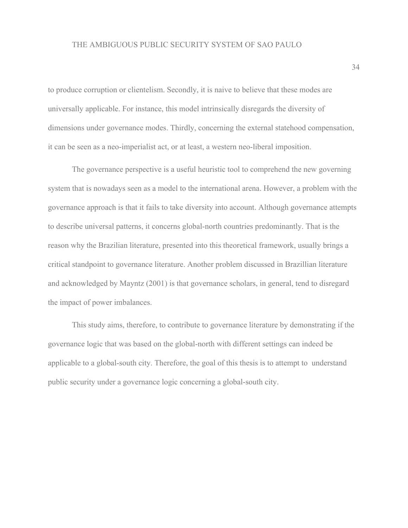to produce corruption or clientelism. Secondly, it is naive to believe that these modes are universally applicable. For instance, this model intrinsically disregards the diversity of dimensions under governance modes. Thirdly, concerning the external statehood compensation, it can be seen as a neo-imperialist act, or at least, a western neo-liberal imposition.

The governance perspective is a useful heuristic tool to comprehend the new governing system that is nowadays seen as a model to the international arena. However, a problem with the governance approach is that it fails to take diversity into account. Although governance attempts to describe universal patterns, it concerns global-north countries predominantly. That is the reason why the Brazilian literature, presented into this theoretical framework, usually brings a critical standpoint to governance literature. Another problem discussed in Brazillian literature and acknowledged by Mayntz (2001) is that governance scholars, in general, tend to disregard the impact of power imbalances.

This study aims, therefore, to contribute to governance literature by demonstrating if the governance logic that was based on the global-north with different settings can indeed be applicable to a global-south city. Therefore, the goal of this thesis is to attempt to understand public security under a governance logic concerning a global-south city.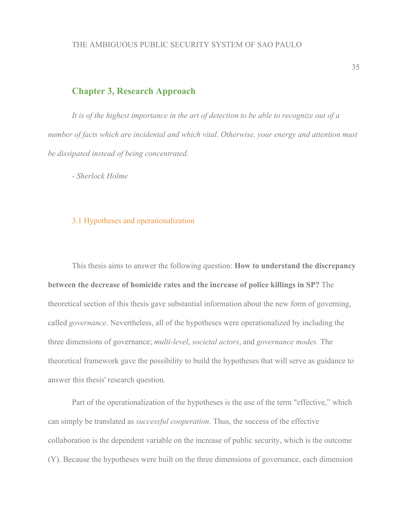*It is of the highest importance in the art of detection to be able to recognize out of a number of facts which are incidental and which vital. Otherwise, your energy and attention must be dissipated instead of being concentrated.*

*- Sherlock Holme*

#### 3.1 Hypotheses and operationalization

This thesis aims to answer the following question: **How to understand the discrepancy between the decrease of homicide rates and the increase of police killings in SP?** The theoretical section of this thesis gave substantial information about the new form of governing, called *governance*. Nevertheless, all of the hypotheses were operationalized by including the three dimensions of governance; *multi-level*, *societal actors*, and *governance modes.* The theoretical framework gave the possibility to build the hypotheses that will serve as guidance to answer this thesis' research question.

Part of the operationalization of the hypotheses is the use of the term "effective," which can simply be translated as *successful cooperation*. Thus, the success of the effective collaboration is the dependent variable on the increase of public security, which is the outcome (Y). Because the hypotheses were built on the three dimensions of governance, each dimension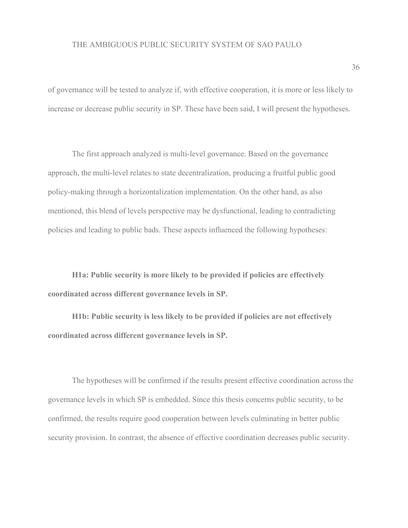of governance will be tested to analyze if, with effective cooperation, it is more or less likely to increase or decrease public security in SP. These have been said, I will present the hypotheses.

The first approach analyzed is multi-level governance. Based on the governance approach, the multi-level relates to state decentralization, producing a fruitful public good policy-making through a horizontalization implementation. On the other hand, as also mentioned, this blend of levels perspective may be dysfunctional, leading to contradicting policies and leading to public bads. These aspects influenced the following hypotheses:

**H1a: Public security is more likely to be provided if policies are effectively coordinated across different governance levels in SP.**

**H1b: Public security is less likely to be provided if policies are not effectively coordinated across different governance levels in SP.**

The hypotheses will be confirmed if the results present effective coordination across the governance levels in which SP is embedded. Since this thesis concerns public security, to be confirmed, the results require good cooperation between levels culminating in better public security provision. In contrast, the absence of effective coordination decreases public security.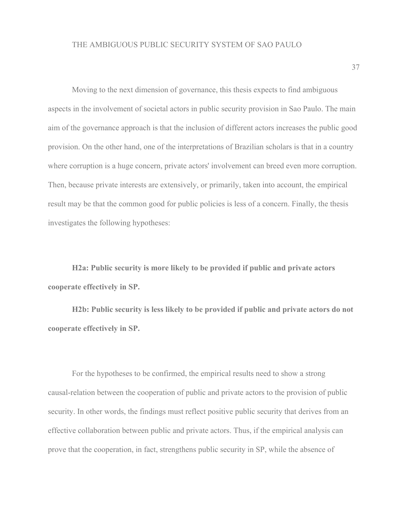Moving to the next dimension of governance, this thesis expects to find ambiguous aspects in the involvement of societal actors in public security provision in Sao Paulo. The main aim of the governance approach is that the inclusion of different actors increases the public good provision. On the other hand, one of the interpretations of Brazilian scholars is that in a country where corruption is a huge concern, private actors' involvement can breed even more corruption. Then, because private interests are extensively, or primarily, taken into account, the empirical result may be that the common good for public policies is less of a concern. Finally, the thesis investigates the following hypotheses:

**H2a: Public security is more likely to be provided if public and private actors cooperate effectively in SP.**

**H2b: Public security is less likely to be provided if public and private actors do not cooperate effectively in SP.**

For the hypotheses to be confirmed, the empirical results need to show a strong causal-relation between the cooperation of public and private actors to the provision of public security. In other words, the findings must reflect positive public security that derives from an effective collaboration between public and private actors. Thus, if the empirical analysis can prove that the cooperation, in fact, strengthens public security in SP, while the absence of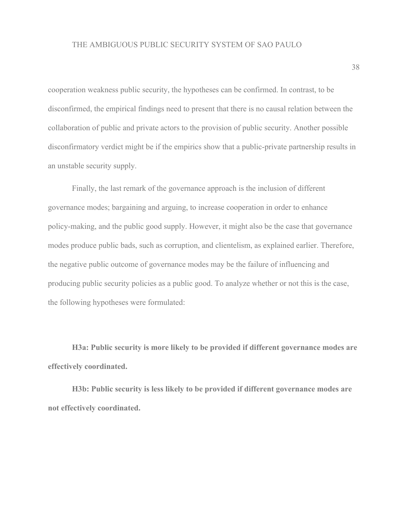cooperation weakness public security, the hypotheses can be confirmed. In contrast, to be disconfirmed, the empirical findings need to present that there is no causal relation between the collaboration of public and private actors to the provision of public security. Another possible disconfirmatory verdict might be if the empirics show that a public-private partnership results in an unstable security supply.

Finally, the last remark of the governance approach is the inclusion of different governance modes; bargaining and arguing, to increase cooperation in order to enhance policy-making, and the public good supply. However, it might also be the case that governance modes produce public bads, such as corruption, and clientelism, as explained earlier. Therefore, the negative public outcome of governance modes may be the failure of influencing and producing public security policies as a public good. To analyze whether or not this is the case, the following hypotheses were formulated:

**H3a: Public security is more likely to be provided if different governance modes are effectively coordinated.**

**H3b: Public security is less likely to be provided if different governance modes are not effectively coordinated.**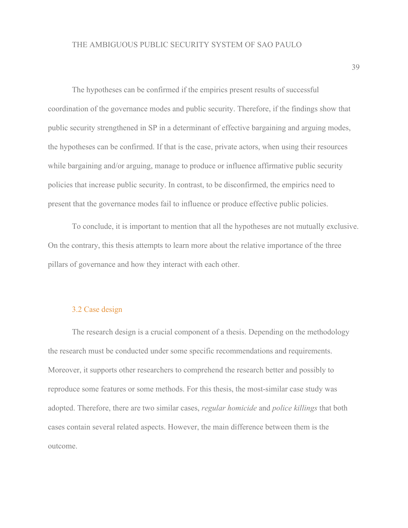The hypotheses can be confirmed if the empirics present results of successful coordination of the governance modes and public security. Therefore, if the findings show that public security strengthened in SP in a determinant of effective bargaining and arguing modes, the hypotheses can be confirmed. If that is the case, private actors, when using their resources while bargaining and/or arguing, manage to produce or influence affirmative public security policies that increase public security. In contrast, to be disconfirmed, the empirics need to present that the governance modes fail to influence or produce effective public policies.

To conclude, it is important to mention that all the hypotheses are not mutually exclusive. On the contrary, this thesis attempts to learn more about the relative importance of the three pillars of governance and how they interact with each other.

# 3.2 Case design

The research design is a crucial component of a thesis. Depending on the methodology the research must be conducted under some specific recommendations and requirements. Moreover, it supports other researchers to comprehend the research better and possibly to reproduce some features or some methods. For this thesis, the most-similar case study was adopted. Therefore, there are two similar cases, *regular homicide* and *police killings* that both cases contain several related aspects. However, the main difference between them is the outcome.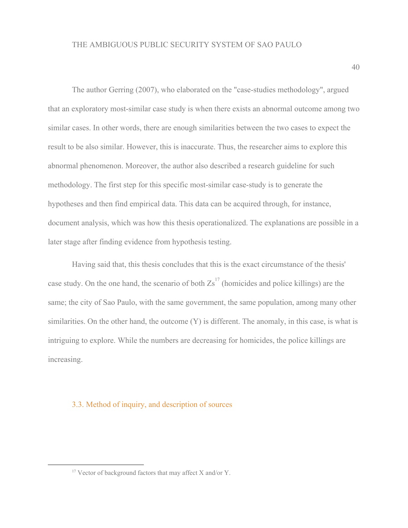The author Gerring (2007), who elaborated on the "case-studies methodology", argued that an exploratory most-similar case study is when there exists an abnormal outcome among two similar cases. In other words, there are enough similarities between the two cases to expect the result to be also similar. However, this is inaccurate. Thus, the researcher aims to explore this abnormal phenomenon. Moreover, the author also described a research guideline for such methodology. The first step for this specific most-similar case-study is to generate the hypotheses and then find empirical data. This data can be acquired through, for instance, document analysis, which was how this thesis operationalized. The explanations are possible in a later stage after finding evidence from hypothesis testing.

Having said that, this thesis concludes that this is the exact circumstance of the thesis' case study. On the one hand, the scenario of both  $Zs<sup>17</sup>$  (homicides and police killings) are the same; the city of Sao Paulo, with the same government, the same population, among many other similarities. On the other hand, the outcome (Y) is different. The anomaly, in this case, is what is intriguing to explore. While the numbers are decreasing for homicides, the police killings are increasing.

# 3.3. Method of inquiry, and description of sources

<sup>&</sup>lt;sup>17</sup> Vector of background factors that may affect X and/or Y.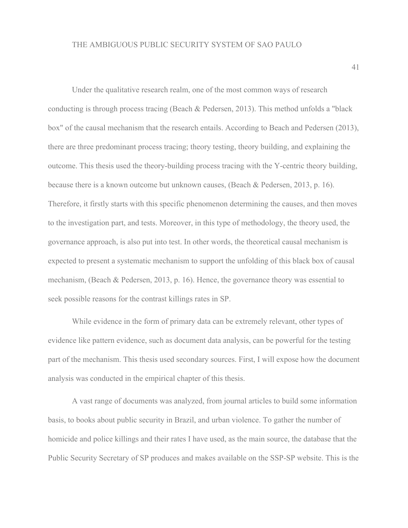Under the qualitative research realm, one of the most common ways of research conducting is through process tracing (Beach & Pedersen, 2013). This method unfolds a "black box" of the causal mechanism that the research entails. According to Beach and Pedersen (2013), there are three predominant process tracing; theory testing, theory building, and explaining the outcome. This thesis used the theory-building process tracing with the Y-centric theory building, because there is a known outcome but unknown causes, (Beach & Pedersen, 2013, p. 16). Therefore, it firstly starts with this specific phenomenon determining the causes, and then moves to the investigation part, and tests. Moreover, in this type of methodology, the theory used, the governance approach, is also put into test. In other words, the theoretical causal mechanism is expected to present a systematic mechanism to support the unfolding of this black box of causal mechanism, (Beach & Pedersen, 2013, p. 16). Hence, the governance theory was essential to seek possible reasons for the contrast killings rates in SP.

While evidence in the form of primary data can be extremely relevant, other types of evidence like pattern evidence, such as document data analysis, can be powerful for the testing part of the mechanism. This thesis used secondary sources. First, I will expose how the document analysis was conducted in the empirical chapter of this thesis.

A vast range of documents was analyzed, from journal articles to build some information basis, to books about public security in Brazil, and urban violence. To gather the number of homicide and police killings and their rates I have used, as the main source, the database that the Public Security Secretary of SP produces and makes available on the SSP-SP website. This is the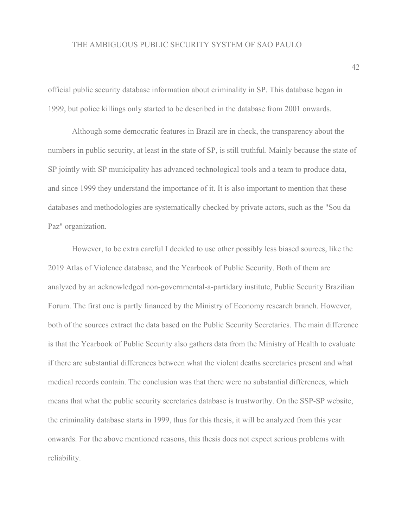official public security database information about criminality in SP. This database began in 1999, but police killings only started to be described in the database from 2001 onwards.

Although some democratic features in Brazil are in check, the transparency about the numbers in public security, at least in the state of SP, is still truthful. Mainly because the state of SP jointly with SP municipality has advanced technological tools and a team to produce data, and since 1999 they understand the importance of it. It is also important to mention that these databases and methodologies are systematically checked by private actors, such as the "Sou da Paz" organization.

However, to be extra careful I decided to use other possibly less biased sources, like the 2019 Atlas of Violence database, and the Yearbook of Public Security. Both of them are analyzed by an acknowledged non-governmental-a-partidary institute, Public Security Brazilian Forum. The first one is partly financed by the Ministry of Economy research branch. However, both of the sources extract the data based on the Public Security Secretaries. The main difference is that the Yearbook of Public Security also gathers data from the Ministry of Health to evaluate if there are substantial differences between what the violent deaths secretaries present and what medical records contain. The conclusion was that there were no substantial differences, which means that what the public security secretaries database is trustworthy. On the SSP-SP website, the criminality database starts in 1999, thus for this thesis, it will be analyzed from this year onwards. For the above mentioned reasons, this thesis does not expect serious problems with reliability.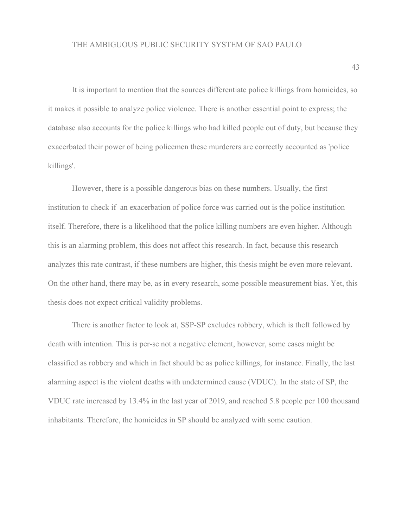It is important to mention that the sources differentiate police killings from homicides, so it makes it possible to analyze police violence. There is another essential point to express; the database also accounts for the police killings who had killed people out of duty, but because they exacerbated their power of being policemen these murderers are correctly accounted as 'police killings'.

However, there is a possible dangerous bias on these numbers. Usually, the first institution to check if an exacerbation of police force was carried out is the police institution itself. Therefore, there is a likelihood that the police killing numbers are even higher. Although this is an alarming problem, this does not affect this research. In fact, because this research analyzes this rate contrast, if these numbers are higher, this thesis might be even more relevant. On the other hand, there may be, as in every research, some possible measurement bias. Yet, this thesis does not expect critical validity problems.

There is another factor to look at, SSP-SP excludes robbery, which is theft followed by death with intention. This is per-se not a negative element, however, some cases might be classified as robbery and which in fact should be as police killings, for instance. Finally, the last alarming aspect is the violent deaths with undetermined cause (VDUC). In the state of SP, the VDUC rate increased by 13.4% in the last year of 2019, and reached 5.8 people per 100 thousand inhabitants. Therefore, the homicides in SP should be analyzed with some caution.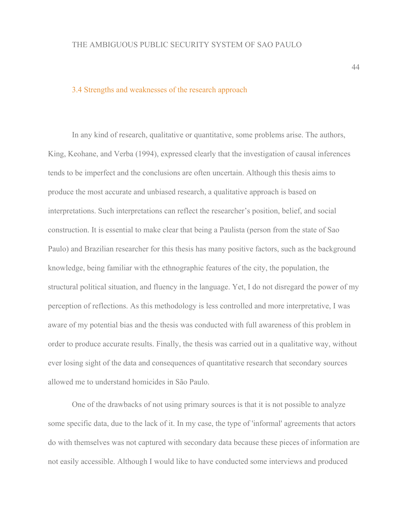#### 3.4 Strengths and weaknesses of the research approach

In any kind of research, qualitative or quantitative, some problems arise. The authors, King, Keohane, and Verba (1994), expressed clearly that the investigation of causal inferences tends to be imperfect and the conclusions are often uncertain. Although this thesis aims to produce the most accurate and unbiased research, a qualitative approach is based on interpretations. Such interpretations can reflect the researcher's position, belief, and social construction. It is essential to make clear that being a Paulista (person from the state of Sao Paulo) and Brazilian researcher for this thesis has many positive factors, such as the background knowledge, being familiar with the ethnographic features of the city, the population, the structural political situation, and fluency in the language. Yet, I do not disregard the power of my perception of reflections. As this methodology is less controlled and more interpretative, I was aware of my potential bias and the thesis was conducted with full awareness of this problem in order to produce accurate results. Finally, the thesis was carried out in a qualitative way, without ever losing sight of the data and consequences of quantitative research that secondary sources allowed me to understand homicides in São Paulo.

One of the drawbacks of not using primary sources is that it is not possible to analyze some specific data, due to the lack of it. In my case, the type of 'informal' agreements that actors do with themselves was not captured with secondary data because these pieces of information are not easily accessible. Although I would like to have conducted some interviews and produced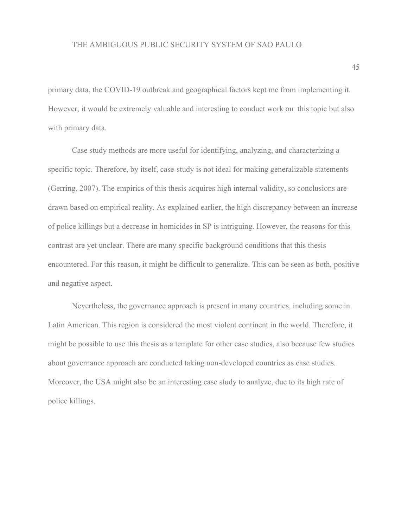primary data, the COVID-19 outbreak and geographical factors kept me from implementing it. However, it would be extremely valuable and interesting to conduct work on this topic but also with primary data.

Case study methods are more useful for identifying, analyzing, and characterizing a specific topic. Therefore, by itself, case-study is not ideal for making generalizable statements (Gerring, 2007). The empirics of this thesis acquires high internal validity, so conclusions are drawn based on empirical reality. As explained earlier, the high discrepancy between an increase of police killings but a decrease in homicides in SP is intriguing. However, the reasons for this contrast are yet unclear. There are many specific background conditions that this thesis encountered. For this reason, it might be difficult to generalize. This can be seen as both, positive and negative aspect.

Nevertheless, the governance approach is present in many countries, including some in Latin American. This region is considered the most violent continent in the world. Therefore, it might be possible to use this thesis as a template for other case studies, also because few studies about governance approach are conducted taking non-developed countries as case studies. Moreover, the USA might also be an interesting case study to analyze, due to its high rate of police killings.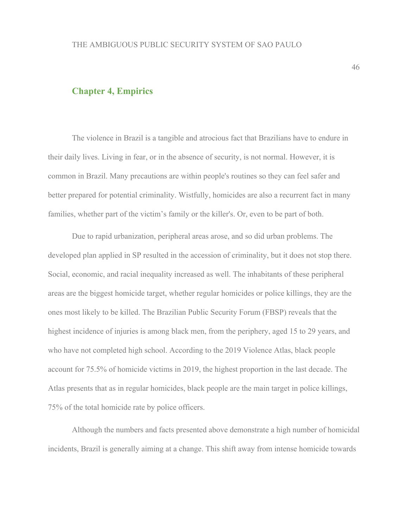# **Chapter 4, Empirics**

The violence in Brazil is a tangible and atrocious fact that Brazilians have to endure in their daily lives. Living in fear, or in the absence of security, is not normal. However, it is common in Brazil. Many precautions are within people's routines so they can feel safer and better prepared for potential criminality. Wistfully, homicides are also a recurrent fact in many families, whether part of the victim's family or the killer's. Or, even to be part of both.

Due to rapid urbanization, peripheral areas arose, and so did urban problems. The developed plan applied in SP resulted in the accession of criminality, but it does not stop there. Social, economic, and racial inequality increased as well. The inhabitants of these peripheral areas are the biggest homicide target, whether regular homicides or police killings, they are the ones most likely to be killed. The Brazilian Public Security Forum (FBSP) reveals that the highest incidence of injuries is among black men, from the periphery, aged 15 to 29 years, and who have not completed high school. According to the 2019 Violence Atlas, black people account for 75.5% of homicide victims in 2019, the highest proportion in the last decade. The Atlas presents that as in regular homicides, black people are the main target in police killings, 75% of the total homicide rate by police officers.

Although the numbers and facts presented above demonstrate a high number of homicidal incidents, Brazil is generally aiming at a change. This shift away from intense homicide towards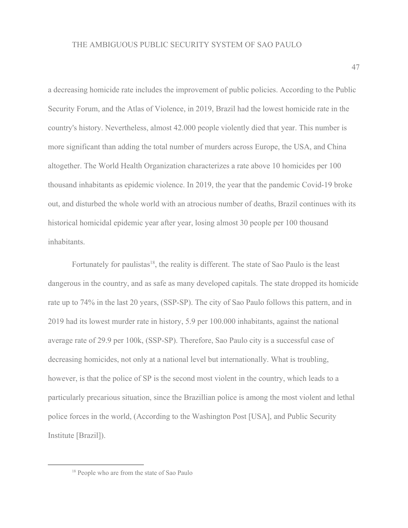a decreasing homicide rate includes the improvement of public policies. According to the Public Security Forum, and the Atlas of Violence, in 2019, Brazil had the lowest homicide rate in the country's history. Nevertheless, almost 42.000 people violently died that year. This number is more significant than adding the total number of murders across Europe, the USA, and China altogether. The World Health Organization characterizes a rate above 10 homicides per 100 thousand inhabitants as epidemic violence. In 2019, the year that the pandemic Covid-19 broke out, and disturbed the whole world with an atrocious number of deaths, Brazil continues with its historical homicidal epidemic year after year, losing almost 30 people per 100 thousand inhabitants.

Fortunately for paulistas<sup>18</sup>, the reality is different. The state of Sao Paulo is the least dangerous in the country, and as safe as many developed capitals. The state dropped its homicide rate up to 74% in the last 20 years, (SSP-SP). The city of Sao Paulo follows this pattern, and in 2019 had its lowest murder rate in history, 5.9 per 100.000 inhabitants, against the national average rate of 29.9 per 100k, (SSP-SP). Therefore, Sao Paulo city is a successful case of decreasing homicides, not only at a national level but internationally. What is troubling, however, is that the police of SP is the second most violent in the country, which leads to a particularly precarious situation, since the Brazillian police is among the most violent and lethal police forces in the world, (According to the Washington Post [USA], and Public Security Institute [Brazil]).

<sup>&</sup>lt;sup>18</sup> People who are from the state of Sao Paulo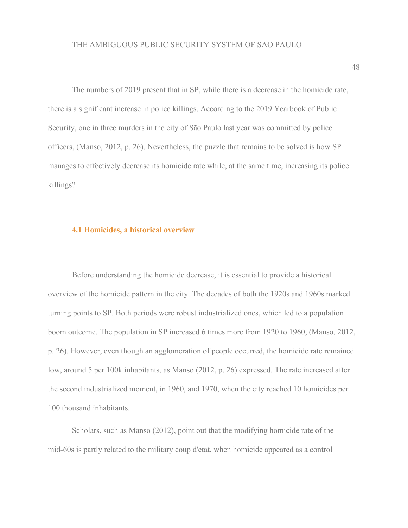The numbers of 2019 present that in SP, while there is a decrease in the homicide rate, there is a significant increase in police killings. According to the 2019 Yearbook of Public Security, one in three murders in the city of São Paulo last year was committed by police officers, (Manso, 2012, p. 26). Nevertheless, the puzzle that remains to be solved is how SP manages to effectively decrease its homicide rate while, at the same time, increasing its police killings?

#### **4.1 Homicides, a historical overview**

Before understanding the homicide decrease, it is essential to provide a historical overview of the homicide pattern in the city. The decades of both the 1920s and 1960s marked turning points to SP. Both periods were robust industrialized ones, which led to a population boom outcome. The population in SP increased 6 times more from 1920 to 1960, (Manso, 2012, p. 26). However, even though an agglomeration of people occurred, the homicide rate remained low, around 5 per 100k inhabitants, as Manso (2012, p. 26) expressed. The rate increased after the second industrialized moment, in 1960, and 1970, when the city reached 10 homicides per 100 thousand inhabitants.

Scholars, such as Manso (2012), point out that the modifying homicide rate of the mid-60s is partly related to the military coup d'etat, when homicide appeared as a control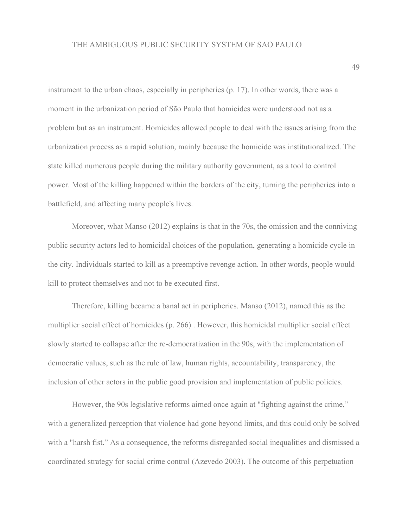instrument to the urban chaos, especially in peripheries (p. 17). In other words, there was a moment in the urbanization period of São Paulo that homicides were understood not as a problem but as an instrument. Homicides allowed people to deal with the issues arising from the urbanization process as a rapid solution, mainly because the homicide was institutionalized. The state killed numerous people during the military authority government, as a tool to control power. Most of the killing happened within the borders of the city, turning the peripheries into a battlefield, and affecting many people's lives.

Moreover, what Manso (2012) explains is that in the 70s, the omission and the conniving public security actors led to homicidal choices of the population, generating a homicide cycle in the city. Individuals started to kill as a preemptive revenge action. In other words, people would kill to protect themselves and not to be executed first.

Therefore, killing became a banal act in peripheries. Manso (2012), named this as the multiplier social effect of homicides (p. 266) . However, this homicidal multiplier social effect slowly started to collapse after the re-democratization in the 90s, with the implementation of democratic values, such as the rule of law, human rights, accountability, transparency, the inclusion of other actors in the public good provision and implementation of public policies.

However, the 90s legislative reforms aimed once again at "fighting against the crime," with a generalized perception that violence had gone beyond limits, and this could only be solved with a "harsh fist." As a consequence, the reforms disregarded social inequalities and dismissed a coordinated strategy for social crime control (Azevedo 2003). The outcome of this perpetuation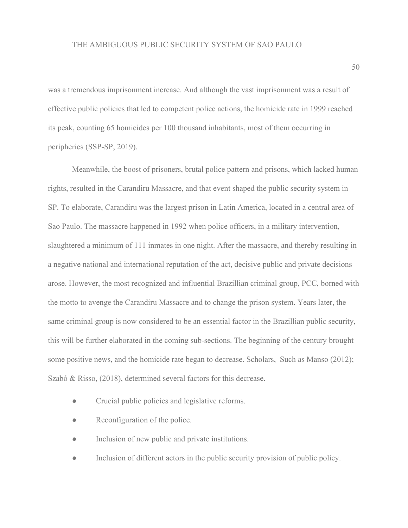was a tremendous imprisonment increase. And although the vast imprisonment was a result of effective public policies that led to competent police actions, the homicide rate in 1999 reached its peak, counting 65 homicides per 100 thousand inhabitants, most of them occurring in peripheries (SSP-SP, 2019).

Meanwhile, the boost of prisoners, brutal police pattern and prisons, which lacked human rights, resulted in the Carandiru Massacre, and that event shaped the public security system in SP. To elaborate, Carandiru was the largest prison in Latin America, located in a central area of Sao Paulo. The massacre happened in 1992 when police officers, in a military intervention, slaughtered a minimum of 111 inmates in one night. After the massacre, and thereby resulting in a negative national and international reputation of the act, decisive public and private decisions arose. However, the most recognized and influential Brazillian criminal group, PCC, borned with the motto to avenge the Carandiru Massacre and to change the prison system. Years later, the same criminal group is now considered to be an essential factor in the Brazillian public security, this will be further elaborated in the coming sub-sections. The beginning of the century brought some positive news, and the homicide rate began to decrease. Scholars, Such as Manso (2012); Szabó & Risso, (2018), determined several factors for this decrease.

- Crucial public policies and legislative reforms.
- Reconfiguration of the police.
- Inclusion of new public and private institutions.
- Inclusion of different actors in the public security provision of public policy.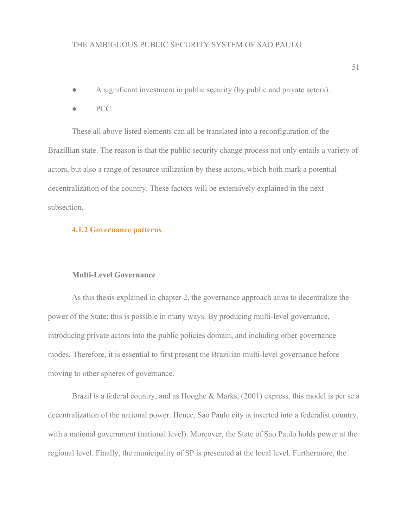- A significant investment in public security (by public and private actors).
- PCC.

These all above listed elements can all be translated into a reconfiguration of the Brazillian state. The reason is that the public security change process not only entails a variety of actors, but also a range of resource utilization by these actors, which both mark a potential decentralization of the country. These factors will be extensively explained in the next subsection.

#### **4.1.2 Governance patterns**

# **Multi-Level Governance**

As this thesis explained in chapter 2, the governance approach aims to decentralize the power of the State; this is possible in many ways. By producing multi-level governance, introducing private actors into the public policies domain, and including other governance modes. Therefore, it is essential to first present the Brazilian multi-level governance before moving to other spheres of governance.

Brazil is a federal country, and as Hooghe & Marks, (2001) express, this model is per se a decentralization of the national power. Hence, Sao Paulo city is inserted into a federalist country, with a national government (national level). Moreover, the State of Sao Paulo holds power at the regional level. Finally, the municipality of SP is presented at the local level. Furthermore, the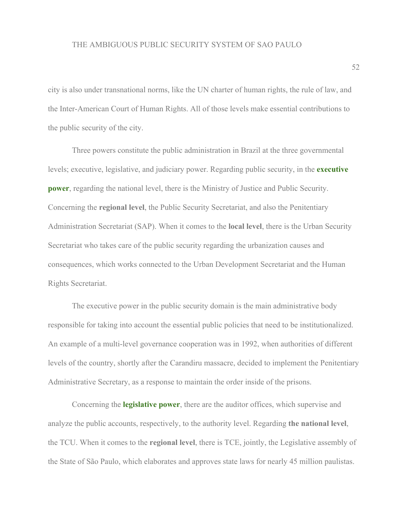city is also under transnational norms, like the UN charter of human rights, the rule of law, and the Inter-American Court of Human Rights. All of those levels make essential contributions to the public security of the city.

Three powers constitute the public administration in Brazil at the three governmental levels; executive, legislative, and judiciary power. Regarding public security, in the **executive power**, regarding the national level, there is the Ministry of Justice and Public Security. Concerning the **regional level**, the Public Security Secretariat, and also the Penitentiary Administration Secretariat (SAP). When it comes to the **local level**, there is the Urban Security Secretariat who takes care of the public security regarding the urbanization causes and consequences, which works connected to the Urban Development Secretariat and the Human Rights Secretariat.

The executive power in the public security domain is the main administrative body responsible for taking into account the essential public policies that need to be institutionalized. An example of a multi-level governance cooperation was in 1992, when authorities of different levels of the country, shortly after the Carandiru massacre, decided to implement the Penitentiary Administrative Secretary, as a response to maintain the order inside of the prisons.

Concerning the **legislative power**, there are the auditor offices, which supervise and analyze the public accounts, respectively, to the authority level. Regarding **the national level**, the TCU. When it comes to the **regional level**, there is TCE, jointly, the Legislative assembly of the State of São Paulo, which elaborates and approves state laws for nearly 45 million paulistas.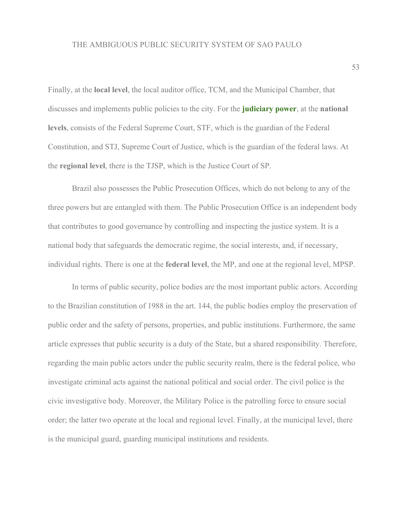Finally, at the **local level**, the local auditor office, TCM, and the Municipal Chamber, that discusses and implements public policies to the city. For the **judiciary power**, at the **national levels**, consists of the Federal Supreme Court, STF, which is the guardian of the Federal Constitution, and STJ, Supreme Court of Justice, which is the guardian of the federal laws. At the **regional level**, there is the TJSP, which is the Justice Court of SP.

Brazil also possesses the Public Prosecution Offices, which do not belong to any of the three powers but are entangled with them. The Public Prosecution Office is an independent body that contributes to good governance by controlling and inspecting the justice system. It is a national body that safeguards the democratic regime, the social interests, and, if necessary, individual rights. There is one at the **federal level**, the MP, and one at the regional level, MPSP.

In terms of public security, police bodies are the most important public actors. According to the Brazilian constitution of 1988 in the art. 144, the public bodies employ the preservation of public order and the safety of persons, properties, and public institutions. Furthermore, the same article expresses that public security is a duty of the State, but a shared responsibility. Therefore, regarding the main public actors under the public security realm, there is the federal police, who investigate criminal acts against the national political and social order. The civil police is the civic investigative body. Moreover, the Military Police is the patrolling force to ensure social order; the latter two operate at the local and regional level. Finally, at the municipal level, there is the municipal guard, guarding municipal institutions and residents.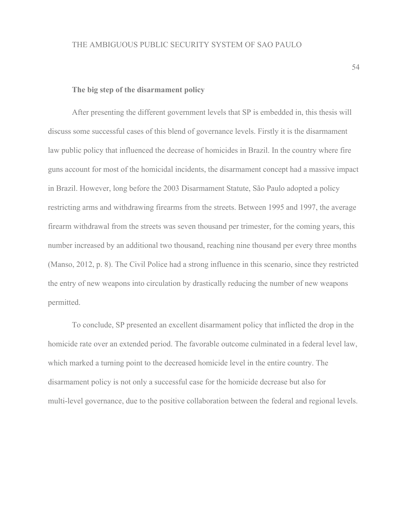#### **The big step of the disarmament policy**

After presenting the different government levels that SP is embedded in, this thesis will discuss some successful cases of this blend of governance levels. Firstly it is the disarmament law public policy that influenced the decrease of homicides in Brazil. In the country where fire guns account for most of the homicidal incidents, the disarmament concept had a massive impact in Brazil. However, long before the 2003 Disarmament Statute, São Paulo adopted a policy restricting arms and withdrawing firearms from the streets. Between 1995 and 1997, the average firearm withdrawal from the streets was seven thousand per trimester, for the coming years, this number increased by an additional two thousand, reaching nine thousand per every three months (Manso, 2012, p. 8). The Civil Police had a strong influence in this scenario, since they restricted the entry of new weapons into circulation by drastically reducing the number of new weapons permitted.

To conclude, SP presented an excellent disarmament policy that inflicted the drop in the homicide rate over an extended period. The favorable outcome culminated in a federal level law, which marked a turning point to the decreased homicide level in the entire country. The disarmament policy is not only a successful case for the homicide decrease but also for multi-level governance, due to the positive collaboration between the federal and regional levels.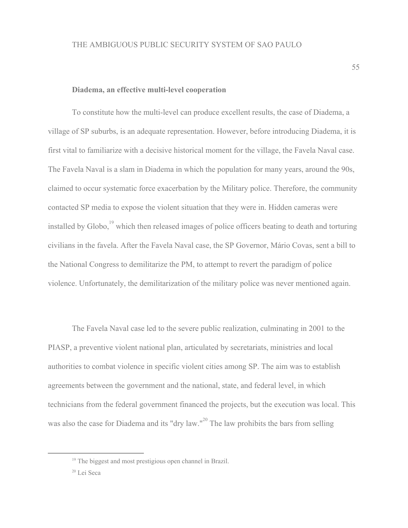#### **Diadema, an effective multi-level cooperation**

To constitute how the multi-level can produce excellent results, the case of Diadema, a village of SP suburbs, is an adequate representation. However, before introducing Diadema, it is first vital to familiarize with a decisive historical moment for the village, the Favela Naval case. The Favela Naval is a slam in Diadema in which the population for many years, around the 90s, claimed to occur systematic force exacerbation by the Military police. Therefore, the community contacted SP media to expose the violent situation that they were in. Hidden cameras were installed by Globo, $\frac{19}{2}$  which then released images of police officers beating to death and torturing civilians in the favela. After the Favela Naval case, the SP Governor, Mário Covas, sent a bill to the National Congress to demilitarize the PM, to attempt to revert the paradigm of police violence. Unfortunately, the demilitarization of the military police was never mentioned again.

The Favela Naval case led to the severe public realization, culminating in 2001 to the PIASP, a preventive violent national plan, articulated by secretariats, ministries and local authorities to combat violence in specific violent cities among SP. The aim was to establish agreements between the government and the national, state, and federal level, in which technicians from the federal government financed the projects, but the execution was local. This was also the case for Diadema and its "dry law."<sup>20</sup> The law prohibits the bars from selling

<sup>19</sup> The biggest and most prestigious open channel in Brazil.

<sup>20</sup> Lei Seca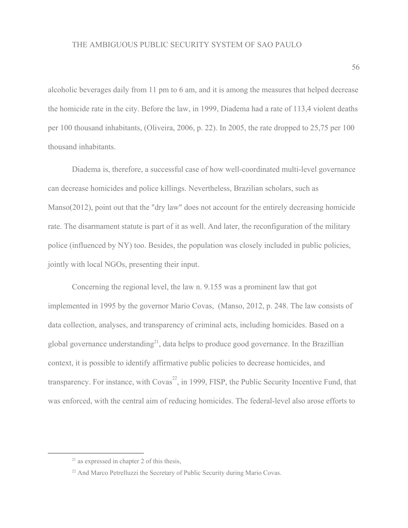alcoholic beverages daily from 11 pm to 6 am, and it is among the measures that helped decrease the homicide rate in the city. Before the law, in 1999, Diadema had a rate of 113,4 violent deaths per 100 thousand inhabitants, (Oliveira, 2006, p. 22). In 2005, the rate dropped to 25,75 per 100 thousand inhabitants.

Diadema is, therefore, a successful case of how well-coordinated multi-level governance can decrease homicides and police killings. Nevertheless, Brazilian scholars, such as Manso(2012), point out that the "dry law" does not account for the entirely decreasing homicide rate. The disarmament statute is part of it as well. And later, the reconfiguration of the military police (influenced by NY) too. Besides, the population was closely included in public policies, jointly with local NGOs, presenting their input.

Concerning the regional level, the law n. 9.155 was a prominent law that got implemented in 1995 by the governor Mario Covas, (Manso, 2012, p. 248. The law consists of data collection, analyses, and transparency of criminal acts, including homicides. Based on a global governance understanding<sup>21</sup>, data helps to produce good governance. In the Brazillian context, it is possible to identify affirmative public policies to decrease homicides, and transparency. For instance, with  $Covas^{22}$ , in 1999, FISP, the Public Security Incentive Fund, that was enforced, with the central aim of reducing homicides. The federal-level also arose efforts to

 $21$  as expressed in chapter 2 of this thesis.

<sup>&</sup>lt;sup>22</sup> And Marco Petrelluzzi the Secretary of Public Security during Mario Covas.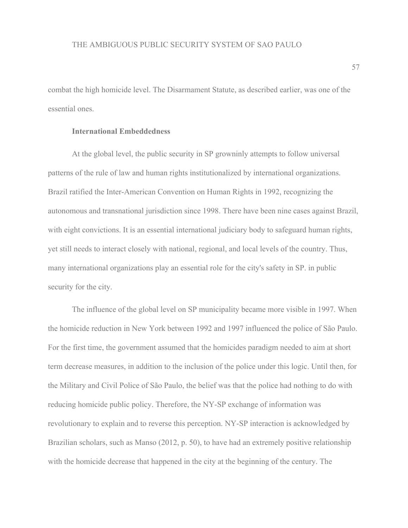combat the high homicide level. The Disarmament Statute, as described earlier, was one of the essential ones.

# **International Embeddedness**

At the global level, the public security in SP growninly attempts to follow universal patterns of the rule of law and human rights institutionalized by international organizations. Brazil ratified the Inter-American Convention on Human Rights in 1992, recognizing the autonomous and transnational jurisdiction since 1998. There have been nine cases against Brazil, with eight convictions. It is an essential international judiciary body to safeguard human rights, yet still needs to interact closely with national, regional, and local levels of the country. Thus, many international organizations play an essential role for the city's safety in SP. in public security for the city.

The influence of the global level on SP municipality became more visible in 1997. When the homicide reduction in New York between 1992 and 1997 influenced the police of São Paulo. For the first time, the government assumed that the homicides paradigm needed to aim at short term decrease measures, in addition to the inclusion of the police under this logic. Until then, for the Military and Civil Police of São Paulo, the belief was that the police had nothing to do with reducing homicide public policy. Therefore, the NY-SP exchange of information was revolutionary to explain and to reverse this perception. NY-SP interaction is acknowledged by Brazilian scholars, such as Manso (2012, p. 50), to have had an extremely positive relationship with the homicide decrease that happened in the city at the beginning of the century. The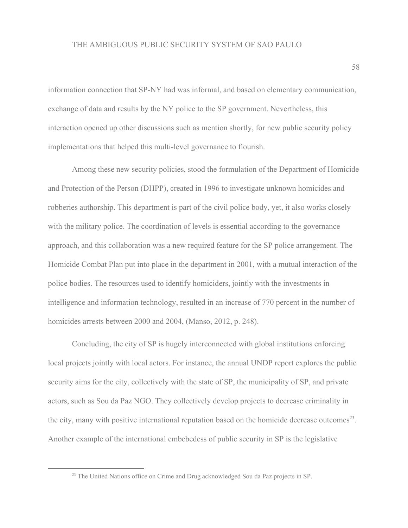information connection that SP-NY had was informal, and based on elementary communication, exchange of data and results by the NY police to the SP government. Nevertheless, this interaction opened up other discussions such as mention shortly, for new public security policy implementations that helped this multi-level governance to flourish.

Among these new security policies, stood the formulation of the Department of Homicide and Protection of the Person (DHPP), created in 1996 to investigate unknown homicides and robberies authorship. This department is part of the civil police body, yet, it also works closely with the military police. The coordination of levels is essential according to the governance approach, and this collaboration was a new required feature for the SP police arrangement. The Homicide Combat Plan put into place in the department in 2001, with a mutual interaction of the police bodies. The resources used to identify homiciders, jointly with the investments in intelligence and information technology, resulted in an increase of 770 percent in the number of homicides arrests between 2000 and 2004, (Manso, 2012, p. 248).

Concluding, the city of SP is hugely interconnected with global institutions enforcing local projects jointly with local actors. For instance, the annual UNDP report explores the public security aims for the city, collectively with the state of SP, the municipality of SP, and private actors, such as Sou da Paz NGO. They collectively develop projects to decrease criminality in the city, many with positive international reputation based on the homicide decrease outcomes<sup>23</sup>. Another example of the international embebedess of public security in SP is the legislative

<sup>&</sup>lt;sup>23</sup> The United Nations office on Crime and Drug acknowledged Sou da Paz projects in SP.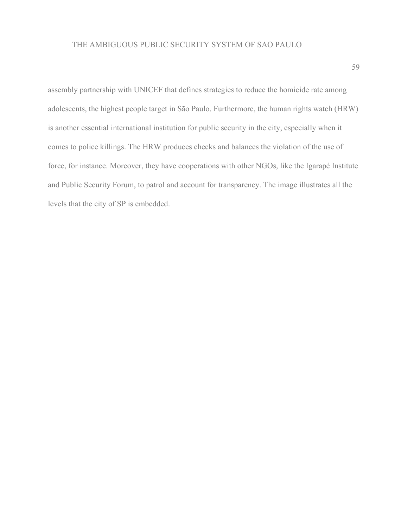assembly partnership with UNICEF that defines strategies to reduce the homicide rate among adolescents, the highest people target in São Paulo. Furthermore, the human rights watch (HRW) is another essential international institution for public security in the city, especially when it comes to police killings. The HRW produces checks and balances the violation of the use of force, for instance. Moreover, they have cooperations with other NGOs, like the Igarapé Institute and Public Security Forum, to patrol and account for transparency. The image illustrates all the levels that the city of SP is embedded.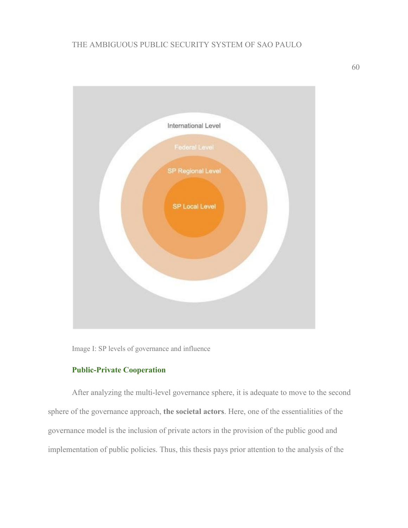

Image I: SP levels of governance and influence

# **Public-Private Cooperation**

After analyzing the multi-level governance sphere, it is adequate to move to the second sphere of the governance approach, **the societal actors**. Here, one of the essentialities of the governance model is the inclusion of private actors in the provision of the public good and implementation of public policies. Thus, this thesis pays prior attention to the analysis of the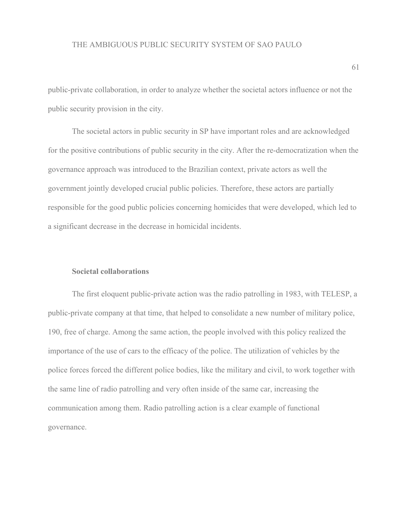public-private collaboration, in order to analyze whether the societal actors influence or not the public security provision in the city.

The societal actors in public security in SP have important roles and are acknowledged for the positive contributions of public security in the city. After the re-democratization when the governance approach was introduced to the Brazilian context, private actors as well the government jointly developed crucial public policies. Therefore, these actors are partially responsible for the good public policies concerning homicides that were developed, which led to a significant decrease in the decrease in homicidal incidents.

#### **Societal collaborations**

The first eloquent public-private action was the radio patrolling in 1983, with TELESP, a public-private company at that time, that helped to consolidate a new number of military police, 190, free of charge. Among the same action, the people involved with this policy realized the importance of the use of cars to the efficacy of the police. The utilization of vehicles by the police forces forced the different police bodies, like the military and civil, to work together with the same line of radio patrolling and very often inside of the same car, increasing the communication among them. Radio patrolling action is a clear example of functional governance.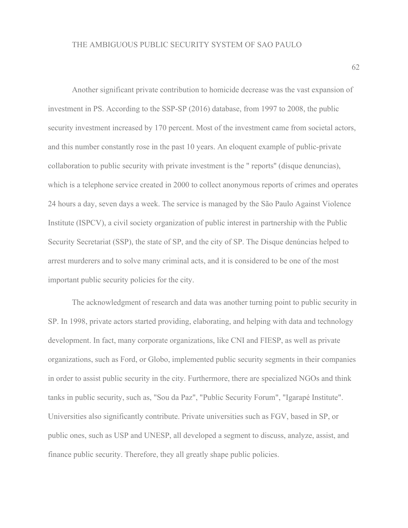Another significant private contribution to homicide decrease was the vast expansion of investment in PS. According to the SSP-SP (2016) database, from 1997 to 2008, the public security investment increased by 170 percent. Most of the investment came from societal actors, and this number constantly rose in the past 10 years. An eloquent example of public-private collaboration to public security with private investment is the " reports'' (disque denuncias), which is a telephone service created in 2000 to collect anonymous reports of crimes and operates 24 hours a day, seven days a week. The service is managed by the São Paulo Against Violence Institute (ISPCV), a civil society organization of public interest in partnership with the Public Security Secretariat (SSP), the state of SP, and the city of SP. The Disque denúncias helped to arrest murderers and to solve many criminal acts, and it is considered to be one of the most important public security policies for the city.

The acknowledgment of research and data was another turning point to public security in SP. In 1998, private actors started providing, elaborating, and helping with data and technology development. In fact, many corporate organizations, like CNI and FIESP, as well as private organizations, such as Ford, or Globo, implemented public security segments in their companies in order to assist public security in the city. Furthermore, there are specialized NGOs and think tanks in public security, such as, "Sou da Paz", "Public Security Forum", "Igarapé Institute". Universities also significantly contribute. Private universities such as FGV, based in SP, or public ones, such as USP and UNESP, all developed a segment to discuss, analyze, assist, and finance public security. Therefore, they all greatly shape public policies.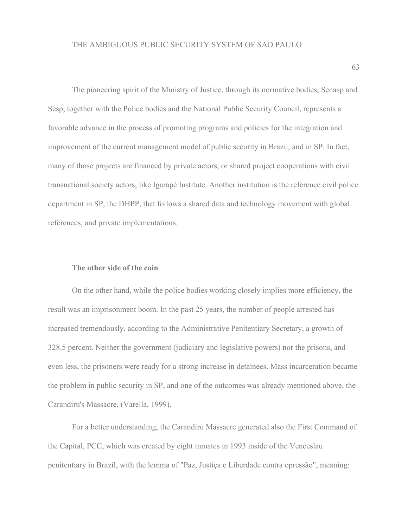The pioneering spirit of the Ministry of Justice, through its normative bodies, Senasp and Sesp, together with the Police bodies and the National Public Security Council, represents a favorable advance in the process of promoting programs and policies for the integration and improvement of the current management model of public security in Brazil, and in SP. In fact, many of those projects are financed by private actors, or shared project cooperations with civil transnational society actors, like Igarapé Institute. Another institution is the reference civil police department in SP, the DHPP, that follows a shared data and technology movement with global references, and private implementations.

# **The other side of the coin**

On the other hand, while the police bodies working closely implies more efficiency, the result was an imprisonment boom. In the past 25 years, the number of people arrested has increased tremendously, according to the Administrative Penitentiary Secretary, a growth of 328.5 percent. Neither the government (judiciary and legislative powers) nor the prisons, and even less, the prisoners were ready for a strong increase in detainees. Mass incarceration became the problem in public security in SP, and one of the outcomes was already mentioned above, the Carandiru's Massacre, (Varella, 1999).

For a better understanding, the Carandiru Massacre generated also the First Command of the Capital, PCC, which was created by eight inmates in 1993 inside of the Venceslau penitentiary in Brazil, with the lemma of "Paz, Justiça e Liberdade contra opressão", meaning: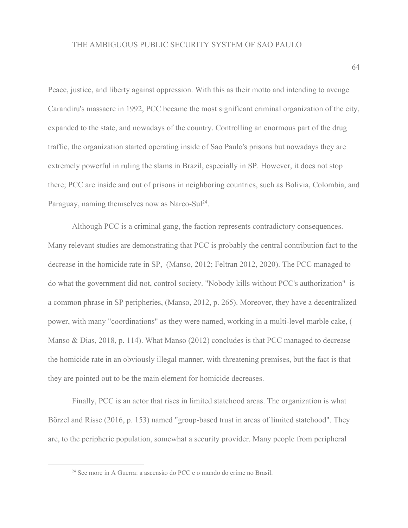Peace, justice, and liberty against oppression. With this as their motto and intending to avenge Carandiru's massacre in 1992, PCC became the most significant criminal organization of the city, expanded to the state, and nowadays of the country. Controlling an enormous part of the drug traffic, the organization started operating inside of Sao Paulo's prisons but nowadays they are extremely powerful in ruling the slams in Brazil, especially in SP. However, it does not stop there; PCC are inside and out of prisons in neighboring countries, such as Bolivia, Colombia, and Paraguay, naming themselves now as Narco-Sul<sup>24</sup>.

Although PCC is a criminal gang, the faction represents contradictory consequences. Many relevant studies are demonstrating that PCC is probably the central contribution fact to the decrease in the homicide rate in SP, (Manso, 2012; Feltran 2012, 2020). The PCC managed to do what the government did not, control society. "Nobody kills without PCC's authorization" is a common phrase in SP peripheries, (Manso, 2012, p. 265). Moreover, they have a decentralized power, with many "coordinations" as they were named, working in a multi-level marble cake, ( Manso & Dias, 2018, p. 114). What Manso (2012) concludes is that PCC managed to decrease the homicide rate in an obviously illegal manner, with threatening premises, but the fact is that they are pointed out to be the main element for homicide decreases.

Finally, PCC is an actor that rises in limited statehood areas. The organization is what Börzel and Risse (2016, p. 153) named "group-based trust in areas of limited statehood". They are, to the peripheric population, somewhat a security provider. Many people from peripheral

<sup>24</sup> See more in A Guerra: a ascensão do PCC e o mundo do crime no Brasil.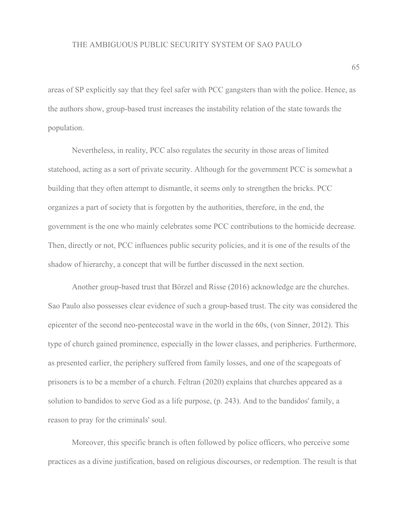areas of SP explicitly say that they feel safer with PCC gangsters than with the police. Hence, as the authors show, group-based trust increases the instability relation of the state towards the population.

Nevertheless, in reality, PCC also regulates the security in those areas of limited statehood, acting as a sort of private security. Although for the government PCC is somewhat a building that they often attempt to dismantle, it seems only to strengthen the bricks. PCC organizes a part of society that is forgotten by the authorities, therefore, in the end, the government is the one who mainly celebrates some PCC contributions to the homicide decrease. Then, directly or not, PCC influences public security policies, and it is one of the results of the shadow of hierarchy, a concept that will be further discussed in the next section.

Another group-based trust that Börzel and Risse (2016) acknowledge are the churches. Sao Paulo also possesses clear evidence of such a group-based trust. The city was considered the epicenter of the second neo-pentecostal wave in the world in the 60s, (von Sinner, 2012). This type of church gained prominence, especially in the lower classes, and peripheries. Furthermore, as presented earlier, the periphery suffered from family losses, and one of the scapegoats of prisoners is to be a member of a church. Feltran (2020) explains that churches appeared as a solution to bandidos to serve God as a life purpose, (p. 243). And to the bandidos' family, a reason to pray for the criminals' soul.

Moreover, this specific branch is often followed by police officers, who perceive some practices as a divine justification, based on religious discourses, or redemption. The result is that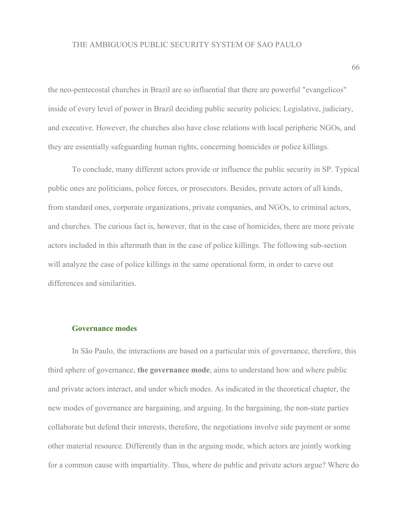the neo-pentecostal churches in Brazil are so influential that there are powerful "evangelicos" inside of every level of power in Brazil deciding public security policies; Legislative, judiciary, and executive. However, the churches also have close relations with local peripheric NGOs, and they are essentially safeguarding human rights, concerning homicides or police killings.

To conclude, many different actors provide or influence the public security in SP. Typical public ones are politicians, police forces, or prosecutors. Besides, private actors of all kinds, from standard ones, corporate organizations, private companies, and NGOs, to criminal actors, and churches. The curious fact is, however, that in the case of homicides, there are more private actors included in this aftermath than in the case of police killings. The following sub-section will analyze the case of police killings in the same operational form, in order to carve out differences and similarities.

# **Governance modes**

In São Paulo, the interactions are based on a particular mix of governance, therefore, this third sphere of governance, **the governance mode**, aims to understand how and where public and private actors interact, and under which modes. As indicated in the theoretical chapter, the new modes of governance are bargaining, and arguing. In the bargaining, the non-state parties collaborate but defend their interests, therefore, the negotiations involve side payment or some other material resource. Differently than in the arguing mode, which actors are jointly working for a common cause with impartiality. Thus, where do public and private actors argue? Where do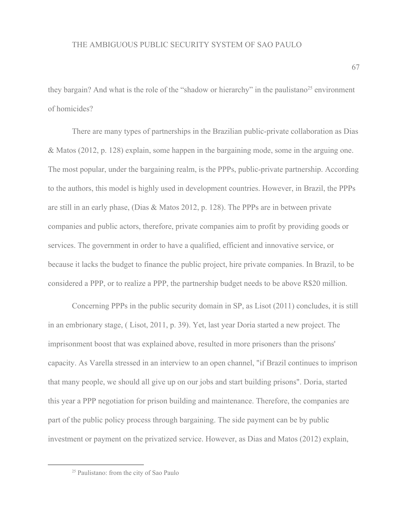they bargain? And what is the role of the "shadow or hierarchy" in the paulistano<sup>25</sup> environment of homicides?

There are many types of partnerships in the Brazilian public-private collaboration as Dias & Matos (2012, p. 128) explain, some happen in the bargaining mode, some in the arguing one. The most popular, under the bargaining realm, is the PPPs, public-private partnership. According to the authors, this model is highly used in development countries. However, in Brazil, the PPPs are still in an early phase, (Dias & Matos 2012, p. 128). The PPPs are in between private companies and public actors, therefore, private companies aim to profit by providing goods or services. The government in order to have a qualified, efficient and innovative service, or because it lacks the budget to finance the public project, hire private companies. In Brazil, to be considered a PPP, or to realize a PPP, the partnership budget needs to be above R\$20 million.

Concerning PPPs in the public security domain in SP, as Lisot (2011) concludes, it is still in an embrionary stage, ( Lisot, 2011, p. 39). Yet, last year Doria started a new project. The imprisonment boost that was explained above, resulted in more prisoners than the prisons' capacity. As Varella stressed in an interview to an open channel, "if Brazil continues to imprison that many people, we should all give up on our jobs and start building prisons". Doria, started this year a PPP negotiation for prison building and maintenance. Therefore, the companies are part of the public policy process through bargaining. The side payment can be by public investment or payment on the privatized service. However, as Dias and Matos (2012) explain,

<sup>25</sup> Paulistano: from the city of Sao Paulo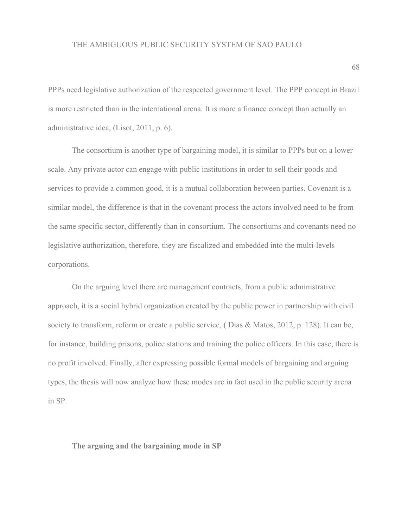PPPs need legislative authorization of the respected government level. The PPP concept in Brazil is more restricted than in the international arena. It is more a finance concept than actually an administrative idea, (Lisot, 2011, p. 6).

The consortium is another type of bargaining model, it is similar to PPPs but on a lower scale. Any private actor can engage with public institutions in order to sell their goods and services to provide a common good, it is a mutual collaboration between parties. Covenant is a similar model, the difference is that in the covenant process the actors involved need to be from the same specific sector, differently than in consortium. The consortiums and covenants need no legislative authorization, therefore, they are fiscalized and embedded into the multi-levels corporations.

On the arguing level there are management contracts, from a public administrative approach, it is a social hybrid organization created by the public power in partnership with civil society to transform, reform or create a public service, ( Dias & Matos, 2012, p. 128). It can be, for instance, building prisons, police stations and training the police officers. In this case, there is no profit involved. Finally, after expressing possible formal models of bargaining and arguing types, the thesis will now analyze how these modes are in fact used in the public security arena in SP.

**The arguing and the bargaining mode in SP**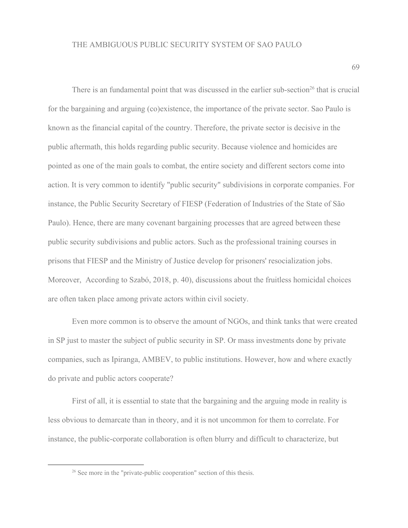There is an fundamental point that was discussed in the earlier sub-section<sup>26</sup> that is crucial for the bargaining and arguing (co)existence, the importance of the private sector. Sao Paulo is known as the financial capital of the country. Therefore, the private sector is decisive in the public aftermath, this holds regarding public security. Because violence and homicides are pointed as one of the main goals to combat, the entire society and different sectors come into action. It is very common to identify "public security" subdivisions in corporate companies. For instance, the Public Security Secretary of FIESP (Federation of Industries of the State of São Paulo). Hence, there are many covenant bargaining processes that are agreed between these public security subdivisions and public actors. Such as the professional training courses in prisons that FIESP and the Ministry of Justice develop for prisoners' resocialization jobs. Moreover, According to Szabó, 2018, p. 40), discussions about the fruitless homicidal choices are often taken place among private actors within civil society.

Even more common is to observe the amount of NGOs, and think tanks that were created in SP just to master the subject of public security in SP. Or mass investments done by private companies, such as Ipiranga, AMBEV, to public institutions. However, how and where exactly do private and public actors cooperate?

First of all, it is essential to state that the bargaining and the arguing mode in reality is less obvious to demarcate than in theory, and it is not uncommon for them to correlate. For instance, the public-corporate collaboration is often blurry and difficult to characterize, but

<sup>&</sup>lt;sup>26</sup> See more in the "private-public cooperation" section of this thesis.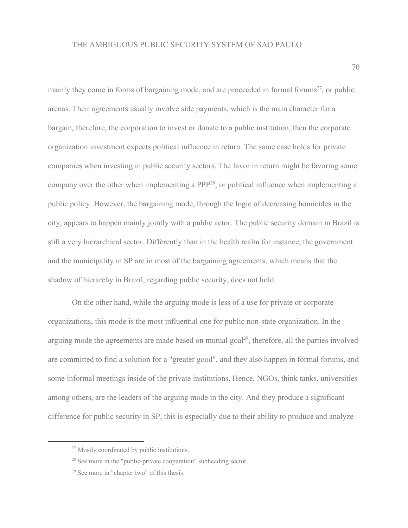mainly they come in forms of bargaining mode, and are proceeded in formal forums<sup>27</sup>, or public arenas. Their agreements usually involve side payments, which is the main character for a bargain, therefore, the corporation to invest or donate to a public institution, then the corporate organization investment expects political influence in return. The same case holds for private companies when investing in public security sectors. The favor in return might be favoring some company over the other when implementing a  $PPP^{28}$ , or political influence when implementing a public policy. However, the bargaining mode, through the logic of decreasing homicides in the city, appears to happen mainly jointly with a public actor. The public security domain in Brazil is still a very hierarchical sector. Differently than in the health realm for instance, the government and the municipality in SP are in most of the bargaining agreements, which means that the shadow of hierarchy in Brazil, regarding public security, does not hold.

On the other hand, while the arguing mode is less of a use for private or corporate organizations, this mode is the most influential one for public non-state organization. In the arguing mode the agreements are made based on mutual goal $^{29}$ , therefore, all the parties involved are committed to find a solution for a "greater good", and they also happen in formal forums, and some informal meetings inside of the private institutions. Hence, NGOs, think tanks, universities among others, are the leaders of the arguing mode in the city. And they produce a significant difference for public security in SP, this is especially due to their ability to produce and analyze

<sup>&</sup>lt;sup>27</sup> Mostly coordinated by public institutions.

<sup>&</sup>lt;sup>28</sup> See more in the "public-private cooperation" subheading sector.

<sup>29</sup> See more in "chapter two" of this thesis.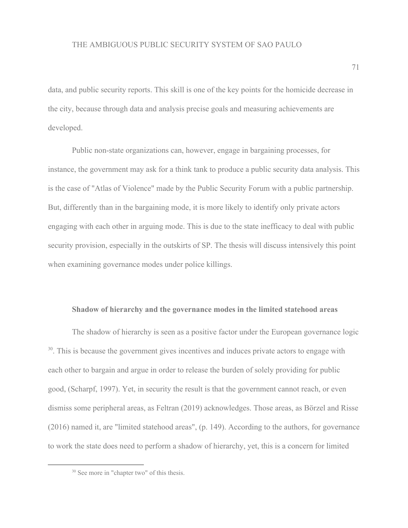data, and public security reports. This skill is one of the key points for the homicide decrease in the city, because through data and analysis precise goals and measuring achievements are developed.

Public non-state organizations can, however, engage in bargaining processes, for instance, the government may ask for a think tank to produce a public security data analysis. This is the case of "Atlas of Violence" made by the Public Security Forum with a public partnership. But, differently than in the bargaining mode, it is more likely to identify only private actors engaging with each other in arguing mode. This is due to the state inefficacy to deal with public security provision, especially in the outskirts of SP. The thesis will discuss intensively this point when examining governance modes under police killings.

# **Shadow of hierarchy and the governance modes in the limited statehood areas**

The shadow of hierarchy is seen as a positive factor under the European governance logic <sup>30</sup>. This is because the government gives incentives and induces private actors to engage with each other to bargain and argue in order to release the burden of solely providing for public good, (Scharpf, 1997). Yet, in security the result is that the government cannot reach, or even dismiss some peripheral areas, as Feltran (2019) acknowledges. Those areas, as Börzel and Risse (2016) named it, are "limited statehood areas", (p. 149). According to the authors, for governance to work the state does need to perform a shadow of hierarchy, yet, this is a concern for limited

<sup>&</sup>lt;sup>30</sup> See more in "chapter two" of this thesis.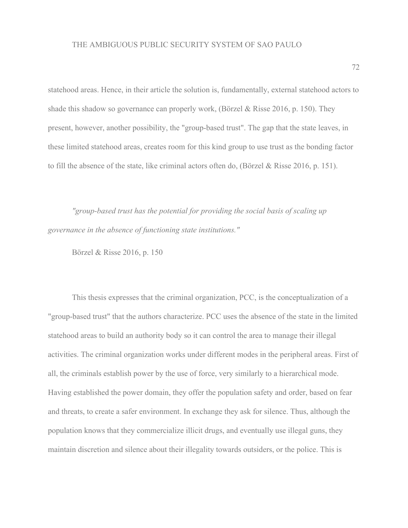statehood areas. Hence, in their article the solution is, fundamentally, external statehood actors to shade this shadow so governance can properly work, (Börzel & Risse 2016, p. 150). They present, however, another possibility, the "group-based trust". The gap that the state leaves, in these limited statehood areas, creates room for this kind group to use trust as the bonding factor to fill the absence of the state, like criminal actors often do, (Börzel & Risse 2016, p. 151).

*"group-based trust has the potential for providing the social basis of scaling up governance in the absence of functioning state institutions."*

Börzel & Risse 2016, p. 150

This thesis expresses that the criminal organization, PCC, is the conceptualization of a "group-based trust" that the authors characterize. PCC uses the absence of the state in the limited statehood areas to build an authority body so it can control the area to manage their illegal activities. The criminal organization works under different modes in the peripheral areas. First of all, the criminals establish power by the use of force, very similarly to a hierarchical mode. Having established the power domain, they offer the population safety and order, based on fear and threats, to create a safer environment. In exchange they ask for silence. Thus, although the population knows that they commercialize illicit drugs, and eventually use illegal guns, they maintain discretion and silence about their illegality towards outsiders, or the police. This is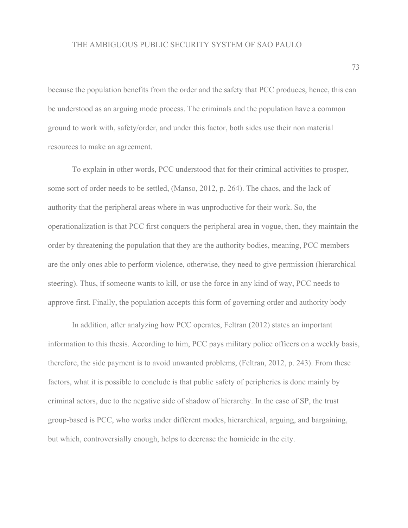because the population benefits from the order and the safety that PCC produces, hence, this can be understood as an arguing mode process. The criminals and the population have a common ground to work with, safety/order, and under this factor, both sides use their non material resources to make an agreement.

To explain in other words, PCC understood that for their criminal activities to prosper, some sort of order needs to be settled, (Manso, 2012, p. 264). The chaos, and the lack of authority that the peripheral areas where in was unproductive for their work. So, the operationalization is that PCC first conquers the peripheral area in vogue, then, they maintain the order by threatening the population that they are the authority bodies, meaning, PCC members are the only ones able to perform violence, otherwise, they need to give permission (hierarchical steering). Thus, if someone wants to kill, or use the force in any kind of way, PCC needs to approve first. Finally, the population accepts this form of governing order and authority body

In addition, after analyzing how PCC operates, Feltran (2012) states an important information to this thesis. According to him, PCC pays military police officers on a weekly basis, therefore, the side payment is to avoid unwanted problems, (Feltran, 2012, p. 243). From these factors, what it is possible to conclude is that public safety of peripheries is done mainly by criminal actors, due to the negative side of shadow of hierarchy. In the case of SP, the trust group-based is PCC, who works under different modes, hierarchical, arguing, and bargaining, but which, controversially enough, helps to decrease the homicide in the city.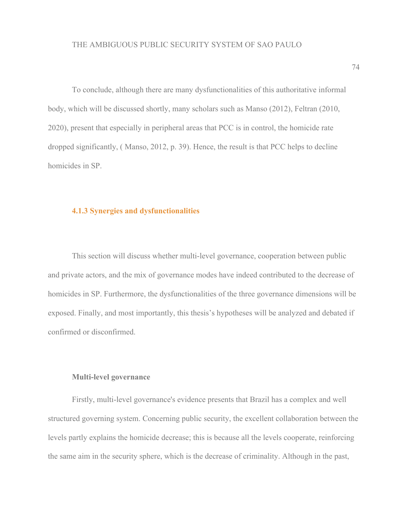To conclude, although there are many dysfunctionalities of this authoritative informal body, which will be discussed shortly, many scholars such as Manso (2012), Feltran (2010, 2020), present that especially in peripheral areas that PCC is in control, the homicide rate dropped significantly, ( Manso, 2012, p. 39). Hence, the result is that PCC helps to decline homicides in SP.

## **4.1.3 Synergies and dysfunctionalities**

This section will discuss whether multi-level governance, cooperation between public and private actors, and the mix of governance modes have indeed contributed to the decrease of homicides in SP. Furthermore, the dysfunctionalities of the three governance dimensions will be exposed. Finally, and most importantly, this thesis's hypotheses will be analyzed and debated if confirmed or disconfirmed.

#### **Multi-level governance**

Firstly, multi-level governance's evidence presents that Brazil has a complex and well structured governing system. Concerning public security, the excellent collaboration between the levels partly explains the homicide decrease; this is because all the levels cooperate, reinforcing the same aim in the security sphere, which is the decrease of criminality. Although in the past,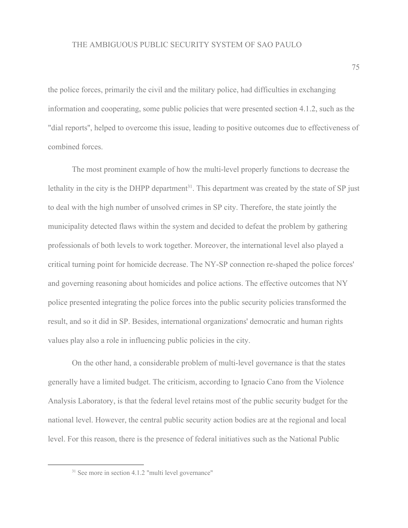the police forces, primarily the civil and the military police, had difficulties in exchanging information and cooperating, some public policies that were presented section 4.1.2, such as the "dial reports'', helped to overcome this issue, leading to positive outcomes due to effectiveness of combined forces.

The most prominent example of how the multi-level properly functions to decrease the lethality in the city is the DHPP department<sup>31</sup>. This department was created by the state of SP just to deal with the high number of unsolved crimes in SP city. Therefore, the state jointly the municipality detected flaws within the system and decided to defeat the problem by gathering professionals of both levels to work together. Moreover, the international level also played a critical turning point for homicide decrease. The NY-SP connection re-shaped the police forces' and governing reasoning about homicides and police actions. The effective outcomes that NY police presented integrating the police forces into the public security policies transformed the result, and so it did in SP. Besides, international organizations' democratic and human rights values play also a role in influencing public policies in the city.

On the other hand, a considerable problem of multi-level governance is that the states generally have a limited budget. The criticism, according to Ignacio Cano from the Violence Analysis Laboratory, is that the federal level retains most of the public security budget for the national level. However, the central public security action bodies are at the regional and local level. For this reason, there is the presence of federal initiatives such as the National Public

<sup>&</sup>lt;sup>31</sup> See more in section 4.1.2 "multi level governance"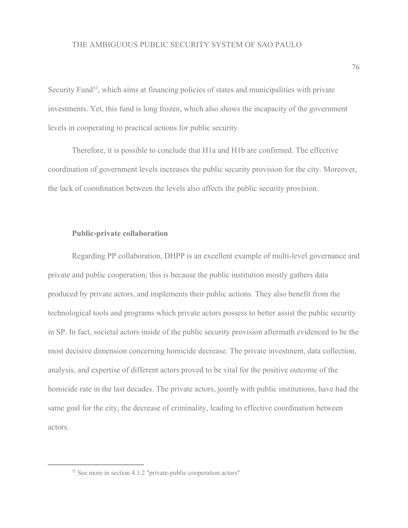Security Fund<sup>32</sup>, which aims at financing policies of states and municipalities with private investments. Yet, this fund is long frozen, which also shows the incapacity of the government levels in cooperating to practical actions for public security

Therefore, it is possible to conclude that H1a and H1b are confirmed. The effective coordination of government levels increases the public security provision for the city. Moreover, the lack of coordination between the levels also affects the public security provision.

### **Public-private collaboration**

Regarding PP collaboration, DHPP is an excellent example of multi-level governance and private and public cooperation; this is because the public institution mostly gathers data produced by private actors, and implements their public actions. They also benefit from the technological tools and programs which private actors possess to better assist the public security in SP. In fact, societal actors inside of the public security provision aftermath evidenced to be the most decisive dimension concerning homicide decrease. The private investment, data collection, analysis, and expertise of different actors proved to be vital for the positive outcome of the homicide rate in the last decades. The private actors, jointly with public institutions, have had the same goal for the city, the decrease of criminality, leading to effective coordination between actors.

<sup>&</sup>lt;sup>32</sup> See more in section 4.1.2 "private-public cooperation actors"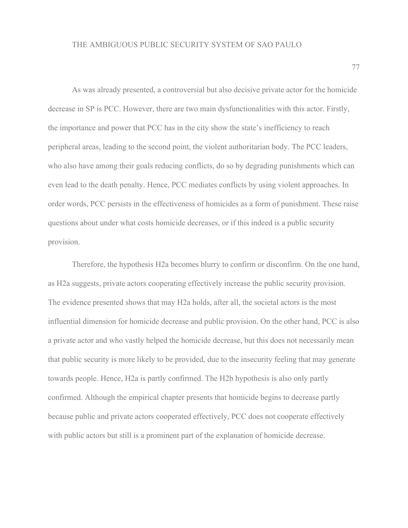As was already presented, a controversial but also decisive private actor for the homicide decrease in SP is PCC. However, there are two main dysfunctionalities with this actor. Firstly, the importance and power that PCC has in the city show the state's inefficiency to reach peripheral areas, leading to the second point, the violent authoritarian body. The PCC leaders, who also have among their goals reducing conflicts, do so by degrading punishments which can even lead to the death penalty. Hence, PCC mediates conflicts by using violent approaches. In order words, PCC persists in the effectiveness of homicides as a form of punishment. These raise questions about under what costs homicide decreases, or if this indeed is a public security provision.

Therefore, the hypothesis H2a becomes blurry to confirm or disconfirm. On the one hand, as H2a suggests, private actors cooperating effectively increase the public security provision. The evidence presented shows that may H2a holds, after all, the societal actors is the most influential dimension for homicide decrease and public provision. On the other hand, PCC is also a private actor and who vastly helped the homicide decrease, but this does not necessarily mean that public security is more likely to be provided, due to the insecurity feeling that may generate towards people. Hence, H2a is partly confirmed. The H2b hypothesis is also only partly confirmed. Although the empirical chapter presents that homicide begins to decrease partly because public and private actors cooperated effectively, PCC does not cooperate effectively with public actors but still is a prominent part of the explanation of homicide decrease.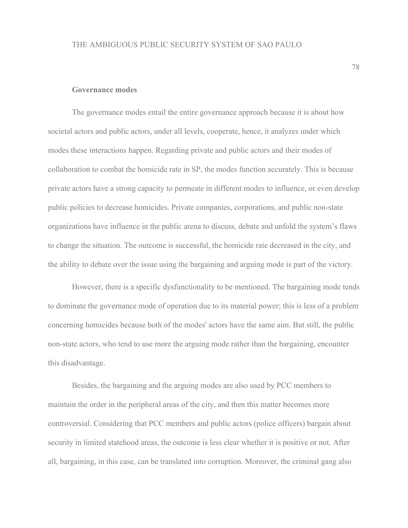#### **Governance modes**

The governance modes entail the entire governance approach because it is about how societal actors and public actors, under all levels, cooperate, hence, it analyzes under which modes these interactions happen. Regarding private and public actors and their modes of collaboration to combat the homicide rate in SP, the modes function accurately. This is because private actors have a strong capacity to permeate in different modes to influence, or even develop public policies to decrease homicides. Private companies, corporations, and public non-state organizations have influence in the public arena to discuss, debate and unfold the system's flaws to change the situation. The outcome is successful, the homicide rate decreased in the city, and the ability to debate over the issue using the bargaining and arguing mode is part of the victory.

However, there is a specific dysfunctionality to be mentioned. The bargaining mode tends to dominate the governance mode of operation due to its material power; this is less of a problem concerning homicides because both of the modes' actors have the same aim. But still, the public non-state actors, who tend to use more the arguing mode rather than the bargaining, encounter this disadvantage.

Besides, the bargaining and the arguing modes are also used by PCC members to maintain the order in the peripheral areas of the city, and then this matter becomes more controversial. Considering that PCC members and public actors (police officers) bargain about security in limited statehood areas, the outcome is less clear whether it is positive or not. After all, bargaining, in this case, can be translated into corruption. Moreover, the criminal gang also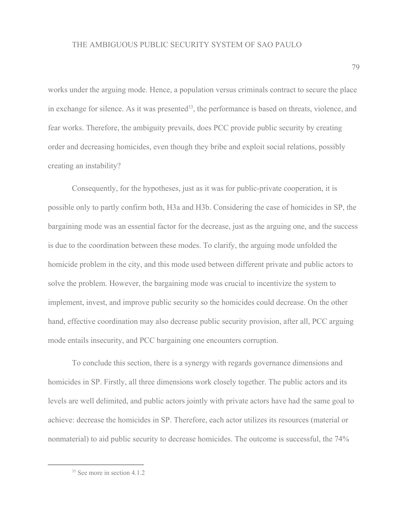works under the arguing mode. Hence, a population versus criminals contract to secure the place in exchange for silence. As it was presented<sup>33</sup>, the performance is based on threats, violence, and fear works. Therefore, the ambiguity prevails, does PCC provide public security by creating order and decreasing homicides, even though they bribe and exploit social relations, possibly creating an instability?

Consequently, for the hypotheses, just as it was for public-private cooperation, it is possible only to partly confirm both, H3a and H3b. Considering the case of homicides in SP, the bargaining mode was an essential factor for the decrease, just as the arguing one, and the success is due to the coordination between these modes. To clarify, the arguing mode unfolded the homicide problem in the city, and this mode used between different private and public actors to solve the problem. However, the bargaining mode was crucial to incentivize the system to implement, invest, and improve public security so the homicides could decrease. On the other hand, effective coordination may also decrease public security provision, after all, PCC arguing mode entails insecurity, and PCC bargaining one encounters corruption.

To conclude this section, there is a synergy with regards governance dimensions and homicides in SP. Firstly, all three dimensions work closely together. The public actors and its levels are well delimited, and public actors jointly with private actors have had the same goal to achieve: decrease the homicides in SP. Therefore, each actor utilizes its resources (material or nonmaterial) to aid public security to decrease homicides. The outcome is successful, the 74%

<sup>&</sup>lt;sup>33</sup> See more in section 4.1.2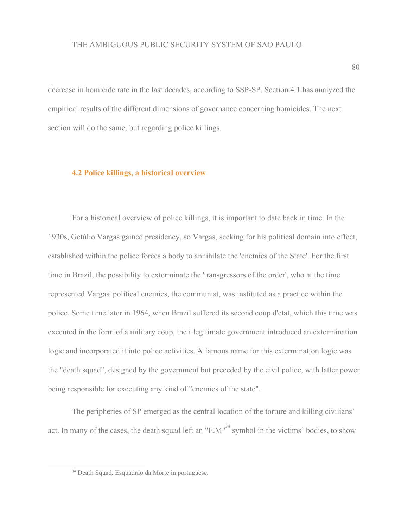decrease in homicide rate in the last decades, according to SSP-SP. Section 4.1 has analyzed the empirical results of the different dimensions of governance concerning homicides. The next section will do the same, but regarding police killings.

### **4.2 Police killings, a historical overview**

For a historical overview of police killings, it is important to date back in time. In the 1930s, Getúlio Vargas gained presidency, so Vargas, seeking for his political domain into effect, established within the police forces a body to annihilate the 'enemies of the State'. For the first time in Brazil, the possibility to exterminate the 'transgressors of the order', who at the time represented Vargas' political enemies, the communist, was instituted as a practice within the police. Some time later in 1964, when Brazil suffered its second coup d'etat, which this time was executed in the form of a military coup, the illegitimate government introduced an extermination logic and incorporated it into police activities. A famous name for this extermination logic was the "death squad", designed by the government but preceded by the civil police, with latter power being responsible for executing any kind of "enemies of the state".

The peripheries of SP emerged as the central location of the torture and killing civilians' act. In many of the cases, the death squad left an " $E.M''^{34}$  symbol in the victims' bodies, to show

<sup>34</sup> Death Squad, Esquadrão da Morte in portuguese.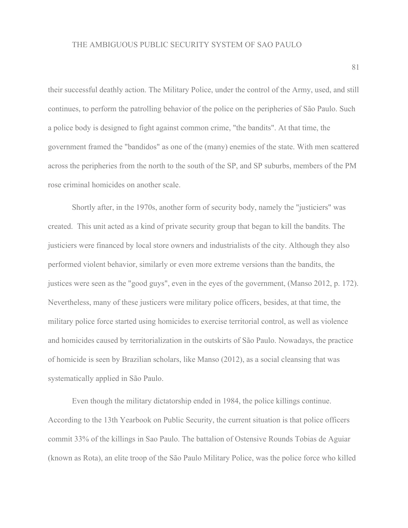their successful deathly action. The Military Police, under the control of the Army, used, and still continues, to perform the patrolling behavior of the police on the peripheries of São Paulo. Such a police body is designed to fight against common crime, "the bandits". At that time, the government framed the "bandidos" as one of the (many) enemies of the state. With men scattered across the peripheries from the north to the south of the SP, and SP suburbs, members of the PM rose criminal homicides on another scale.

Shortly after, in the 1970s, another form of security body, namely the "justiciers" was created. This unit acted as a kind of private security group that began to kill the bandits. The justiciers were financed by local store owners and industrialists of the city. Although they also performed violent behavior, similarly or even more extreme versions than the bandits, the justices were seen as the "good guys", even in the eyes of the government, (Manso 2012, p. 172). Nevertheless, many of these justicers were military police officers, besides, at that time, the military police force started using homicides to exercise territorial control, as well as violence and homicides caused by territorialization in the outskirts of São Paulo. Nowadays, the practice of homicide is seen by Brazilian scholars, like Manso (2012), as a social cleansing that was systematically applied in São Paulo.

Even though the military dictatorship ended in 1984, the police killings continue. According to the 13th Yearbook on Public Security, the current situation is that police officers commit 33% of the killings in Sao Paulo. The battalion of Ostensive Rounds Tobias de Aguiar (known as Rota), an elite troop of the São Paulo Military Police, was the police force who killed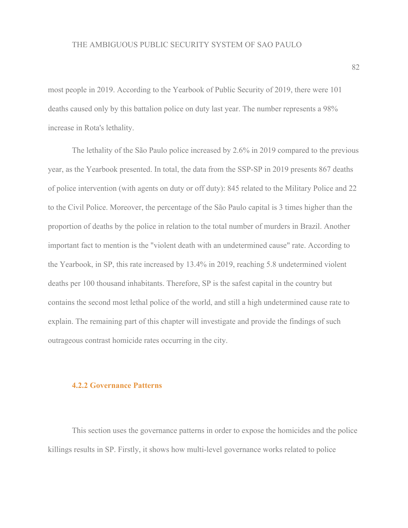most people in 2019. According to the Yearbook of Public Security of 2019, there were 101 deaths caused only by this battalion police on duty last year. The number represents a 98% increase in Rota's lethality.

The lethality of the São Paulo police increased by 2.6% in 2019 compared to the previous year, as the Yearbook presented. In total, the data from the SSP-SP in 2019 presents 867 deaths of police intervention (with agents on duty or off duty): 845 related to the Military Police and 22 to the Civil Police. Moreover, the percentage of the São Paulo capital is 3 times higher than the proportion of deaths by the police in relation to the total number of murders in Brazil. Another important fact to mention is the "violent death with an undetermined cause" rate. According to the Yearbook, in SP, this rate increased by 13.4% in 2019, reaching 5.8 undetermined violent deaths per 100 thousand inhabitants. Therefore, SP is the safest capital in the country but contains the second most lethal police of the world, and still a high undetermined cause rate to explain. The remaining part of this chapter will investigate and provide the findings of such outrageous contrast homicide rates occurring in the city.

### **4.2.2 Governance Patterns**

This section uses the governance patterns in order to expose the homicides and the police killings results in SP. Firstly, it shows how multi-level governance works related to police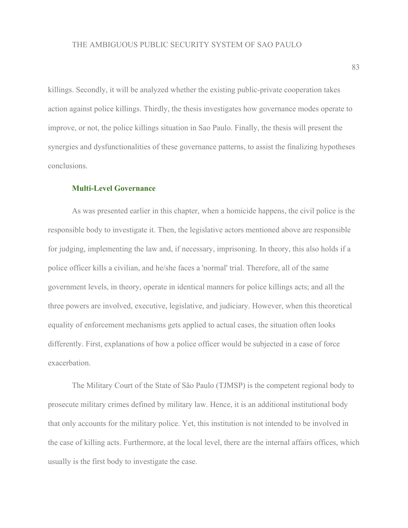killings. Secondly, it will be analyzed whether the existing public-private cooperation takes action against police killings. Thirdly, the thesis investigates how governance modes operate to improve, or not, the police killings situation in Sao Paulo. Finally, the thesis will present the synergies and dysfunctionalities of these governance patterns, to assist the finalizing hypotheses conclusions.

### **Multi-Level Governance**

As was presented earlier in this chapter, when a homicide happens, the civil police is the responsible body to investigate it. Then, the legislative actors mentioned above are responsible for judging, implementing the law and, if necessary, imprisoning. In theory, this also holds if a police officer kills a civilian, and he/she faces a 'normal' trial. Therefore, all of the same government levels, in theory, operate in identical manners for police killings acts; and all the three powers are involved, executive, legislative, and judiciary. However, when this theoretical equality of enforcement mechanisms gets applied to actual cases, the situation often looks differently. First, explanations of how a police officer would be subjected in a case of force exacerbation.

The Military Court of the State of São Paulo (TJMSP) is the competent regional body to prosecute military crimes defined by military law. Hence, it is an additional institutional body that only accounts for the military police. Yet, this institution is not intended to be involved in the case of killing acts. Furthermore, at the local level, there are the internal affairs offices, which usually is the first body to investigate the case.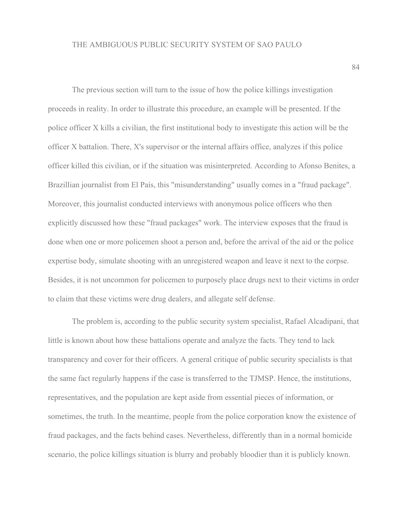The previous section will turn to the issue of how the police killings investigation proceeds in reality. In order to illustrate this procedure, an example will be presented. If the police officer X kills a civilian, the first institutional body to investigate this action will be the officer X battalion. There, X's supervisor or the internal affairs office, analyzes if this police officer killed this civilian, or if the situation was misinterpreted. According to Afonso Benites, a Brazillian journalist from El País, this "misunderstanding" usually comes in a "fraud package". Moreover, this journalist conducted interviews with anonymous police officers who then explicitly discussed how these "fraud packages" work. The interview exposes that the fraud is done when one or more policemen shoot a person and, before the arrival of the aid or the police expertise body, simulate shooting with an unregistered weapon and leave it next to the corpse. Besides, it is not uncommon for policemen to purposely place drugs next to their victims in order to claim that these victims were drug dealers, and allegate self defense.

The problem is, according to the public security system specialist, Rafael Alcadipani, that little is known about how these battalions operate and analyze the facts. They tend to lack transparency and cover for their officers. A general critique of public security specialists is that the same fact regularly happens if the case is transferred to the TJMSP. Hence, the institutions, representatives, and the population are kept aside from essential pieces of information, or sometimes, the truth. In the meantime, people from the police corporation know the existence of fraud packages, and the facts behind cases. Nevertheless, differently than in a normal homicide scenario, the police killings situation is blurry and probably bloodier than it is publicly known.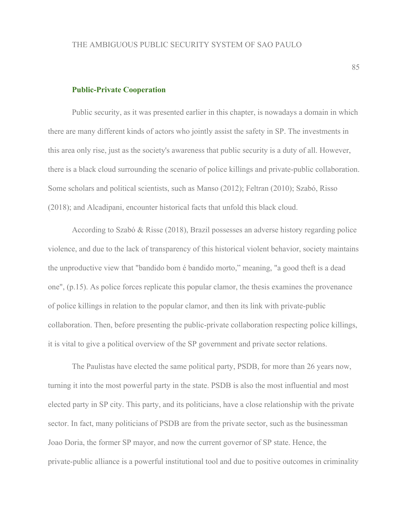### **Public-Private Cooperation**

Public security, as it was presented earlier in this chapter, is nowadays a domain in which there are many different kinds of actors who jointly assist the safety in SP. The investments in this area only rise, just as the society's awareness that public security is a duty of all. However, there is a black cloud surrounding the scenario of police killings and private-public collaboration. Some scholars and political scientists, such as Manso (2012); Feltran (2010); Szabó, Risso (2018); and Alcadipani, encounter historical facts that unfold this black cloud.

According to Szabó & Risse (2018), Brazil possesses an adverse history regarding police violence, and due to the lack of transparency of this historical violent behavior, society maintains the unproductive view that "bandido bom é bandido morto," meaning, "a good theft is a dead one", (p.15). As police forces replicate this popular clamor, the thesis examines the provenance of police killings in relation to the popular clamor, and then its link with private-public collaboration. Then, before presenting the public-private collaboration respecting police killings, it is vital to give a political overview of the SP government and private sector relations.

The Paulistas have elected the same political party, PSDB, for more than 26 years now, turning it into the most powerful party in the state. PSDB is also the most influential and most elected party in SP city. This party, and its politicians, have a close relationship with the private sector. In fact, many politicians of PSDB are from the private sector, such as the businessman Joao Doria, the former SP mayor, and now the current governor of SP state. Hence, the private-public alliance is a powerful institutional tool and due to positive outcomes in criminality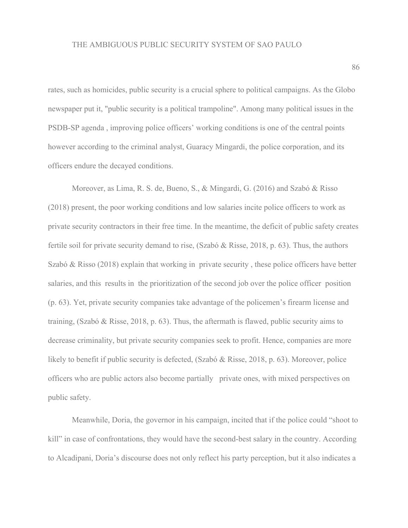rates, such as homicides, public security is a crucial sphere to political campaigns. As the Globo newspaper put it, "public security is a political trampoline". Among many political issues in the PSDB-SP agenda , improving police officers' working conditions is one of the central points however according to the criminal analyst, Guaracy Mingardi, the police corporation, and its officers endure the decayed conditions.

Moreover, as Lima, R. S. de, Bueno, S., & Mingardi, G. (2016) and Szabó & Risso (2018) present, the poor working conditions and low salaries incite police officers to work as private security contractors in their free time. In the meantime, the deficit of public safety creates fertile soil for private security demand to rise, (Szabó & Risse, 2018, p. 63). Thus, the authors Szabó & Risso (2018) explain that working in private security , these police officers have better salaries, and this results in the prioritization of the second job over the police officer position (p. 63). Yet, private security companies take advantage of the policemen's firearm license and training, (Szabó & Risse, 2018, p. 63). Thus, the aftermath is flawed, public security aims to decrease criminality, but private security companies seek to profit. Hence, companies are more likely to benefit if public security is defected, (Szabó & Risse, 2018, p. 63). Moreover, police officers who are public actors also become partially private ones, with mixed perspectives on public safety.

Meanwhile, Doria, the governor in his campaign, incited that if the police could "shoot to kill" in case of confrontations, they would have the second-best salary in the country. According to Alcadipani, Doria's discourse does not only reflect his party perception, but it also indicates a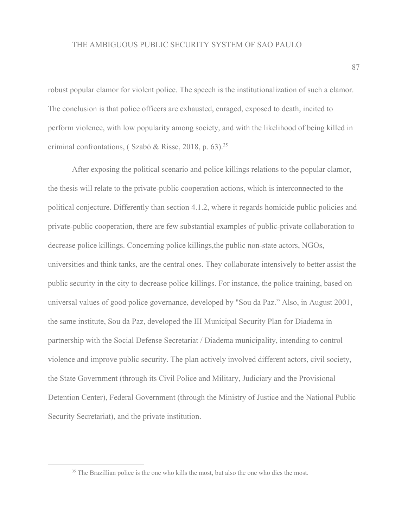robust popular clamor for violent police. The speech is the institutionalization of such a clamor. The conclusion is that police officers are exhausted, enraged, exposed to death, incited to perform violence, with low popularity among society, and with the likelihood of being killed in criminal confrontations, ( $Szabó & Risse$ , 2018, p. 63).<sup>35</sup>

After exposing the political scenario and police killings relations to the popular clamor, the thesis will relate to the private-public cooperation actions, which is interconnected to the political conjecture. Differently than section 4.1.2, where it regards homicide public policies and private-public cooperation, there are few substantial examples of public-private collaboration to decrease police killings. Concerning police killings,the public non-state actors, NGOs, universities and think tanks, are the central ones. They collaborate intensively to better assist the public security in the city to decrease police killings. For instance, the police training, based on universal values of good police governance, developed by "Sou da Paz." Also, in August 2001, the same institute, Sou da Paz, developed the III Municipal Security Plan for Diadema in partnership with the Social Defense Secretariat / Diadema municipality, intending to control violence and improve public security. The plan actively involved different actors, civil society, the State Government (through its Civil Police and Military, Judiciary and the Provisional Detention Center), Federal Government (through the Ministry of Justice and the National Public Security Secretariat), and the private institution.

<sup>&</sup>lt;sup>35</sup> The Brazillian police is the one who kills the most, but also the one who dies the most.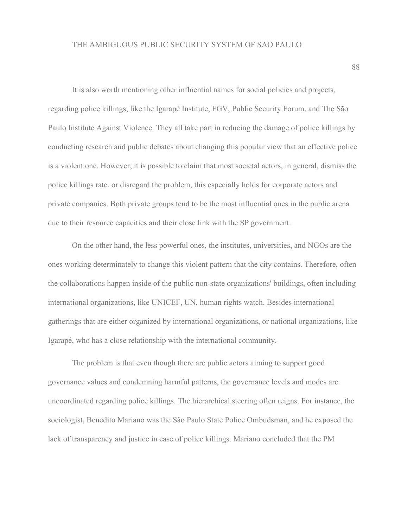It is also worth mentioning other influential names for social policies and projects, regarding police killings, like the Igarapé Institute, FGV, Public Security Forum, and The São Paulo Institute Against Violence. They all take part in reducing the damage of police killings by conducting research and public debates about changing this popular view that an effective police is a violent one. However, it is possible to claim that most societal actors, in general, dismiss the police killings rate, or disregard the problem, this especially holds for corporate actors and private companies. Both private groups tend to be the most influential ones in the public arena due to their resource capacities and their close link with the SP government.

On the other hand, the less powerful ones, the institutes, universities, and NGOs are the ones working determinately to change this violent pattern that the city contains. Therefore, often the collaborations happen inside of the public non-state organizations' buildings, often including international organizations, like UNICEF, UN, human rights watch. Besides international gatherings that are either organized by international organizations, or national organizations, like Igarapé, who has a close relationship with the international community.

The problem is that even though there are public actors aiming to support good governance values and condemning harmful patterns, the governance levels and modes are uncoordinated regarding police killings. The hierarchical steering often reigns. For instance, the sociologist, Benedito Mariano was the São Paulo State Police Ombudsman, and he exposed the lack of transparency and justice in case of police killings. Mariano concluded that the PM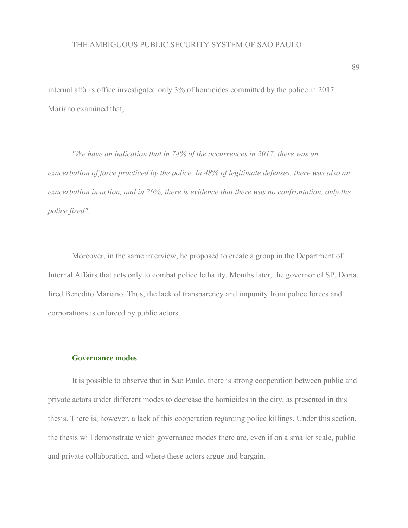internal affairs office investigated only 3% of homicides committed by the police in 2017. Mariano examined that,

*"We have an indication that in 74% of the occurrences in 2017, there was an exacerbation of force practiced by the police. In 48% of legitimate defenses, there was also an exacerbation in action, and in 26%, there is evidence that there was no confrontation, only the police fired".*

Moreover, in the same interview, he proposed to create a group in the Department of Internal Affairs that acts only to combat police lethality. Months later, the governor of SP, Doria, fired Benedito Mariano. Thus, the lack of transparency and impunity from police forces and corporations is enforced by public actors.

### **Governance modes**

It is possible to observe that in Sao Paulo, there is strong cooperation between public and private actors under different modes to decrease the homicides in the city, as presented in this thesis. There is, however, a lack of this cooperation regarding police killings. Under this section, the thesis will demonstrate which governance modes there are, even if on a smaller scale, public and private collaboration, and where these actors argue and bargain.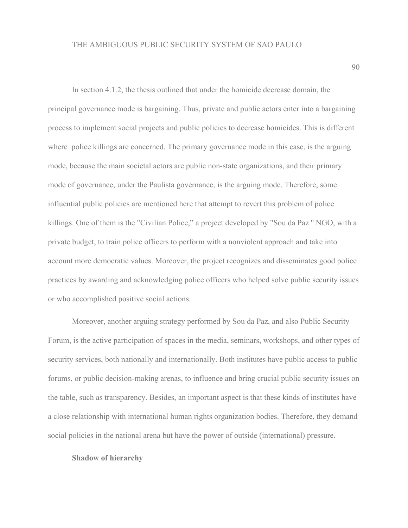In section 4.1.2, the thesis outlined that under the homicide decrease domain, the principal governance mode is bargaining. Thus, private and public actors enter into a bargaining process to implement social projects and public policies to decrease homicides. This is different where police killings are concerned. The primary governance mode in this case, is the arguing mode, because the main societal actors are public non-state organizations, and their primary mode of governance, under the Paulista governance, is the arguing mode. Therefore, some influential public policies are mentioned here that attempt to revert this problem of police killings. One of them is the "Civilian Police," a project developed by "Sou da Paz '' NGO, with a private budget, to train police officers to perform with a nonviolent approach and take into account more democratic values. Moreover, the project recognizes and disseminates good police practices by awarding and acknowledging police officers who helped solve public security issues or who accomplished positive social actions.

Moreover, another arguing strategy performed by Sou da Paz, and also Public Security Forum, is the active participation of spaces in the media, seminars, workshops, and other types of security services, both nationally and internationally. Both institutes have public access to public forums, or public decision-making arenas, to influence and bring crucial public security issues on the table, such as transparency. Besides, an important aspect is that these kinds of institutes have a close relationship with international human rights organization bodies. Therefore, they demand social policies in the national arena but have the power of outside (international) pressure.

#### **Shadow of hierarchy**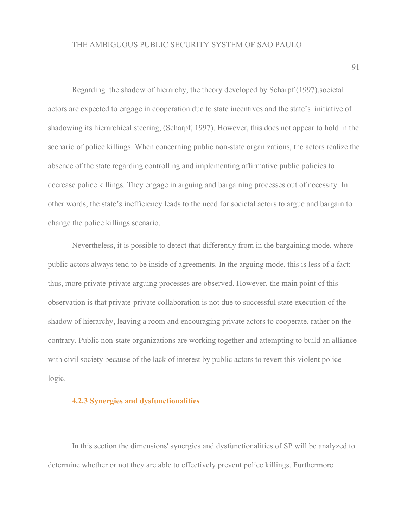Regarding the shadow of hierarchy, the theory developed by Scharpf (1997),societal actors are expected to engage in cooperation due to state incentives and the state's initiative of shadowing its hierarchical steering, (Scharpf, 1997). However, this does not appear to hold in the scenario of police killings. When concerning public non-state organizations, the actors realize the absence of the state regarding controlling and implementing affirmative public policies to decrease police killings. They engage in arguing and bargaining processes out of necessity. In other words, the state's inefficiency leads to the need for societal actors to argue and bargain to change the police killings scenario.

Nevertheless, it is possible to detect that differently from in the bargaining mode, where public actors always tend to be inside of agreements. In the arguing mode, this is less of a fact; thus, more private-private arguing processes are observed. However, the main point of this observation is that private-private collaboration is not due to successful state execution of the shadow of hierarchy, leaving a room and encouraging private actors to cooperate, rather on the contrary. Public non-state organizations are working together and attempting to build an alliance with civil society because of the lack of interest by public actors to revert this violent police logic.

# **4.2.3 Synergies and dysfunctionalities**

In this section the dimensions' synergies and dysfunctionalities of SP will be analyzed to determine whether or not they are able to effectively prevent police killings. Furthermore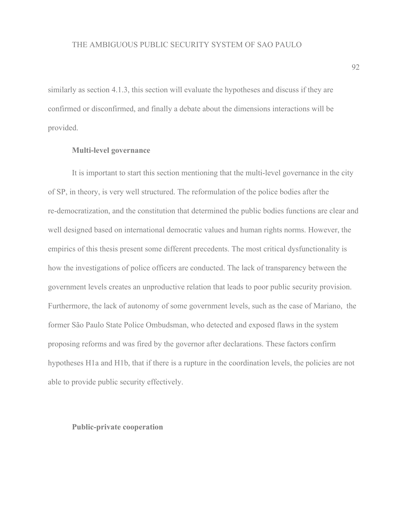similarly as section 4.1.3, this section will evaluate the hypotheses and discuss if they are confirmed or disconfirmed, and finally a debate about the dimensions interactions will be provided.

# **Multi-level governance**

It is important to start this section mentioning that the multi-level governance in the city of SP, in theory, is very well structured. The reformulation of the police bodies after the re-democratization, and the constitution that determined the public bodies functions are clear and well designed based on international democratic values and human rights norms. However, the empirics of this thesis present some different precedents. The most critical dysfunctionality is how the investigations of police officers are conducted. The lack of transparency between the government levels creates an unproductive relation that leads to poor public security provision. Furthermore, the lack of autonomy of some government levels, such as the case of Mariano, the former São Paulo State Police Ombudsman, who detected and exposed flaws in the system proposing reforms and was fired by the governor after declarations. These factors confirm hypotheses H1a and H1b, that if there is a rupture in the coordination levels, the policies are not able to provide public security effectively.

# **Public-private cooperation**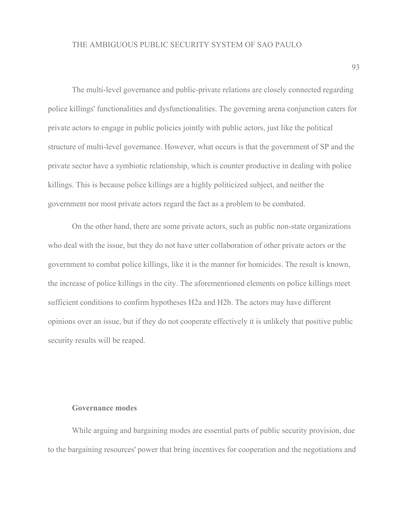The multi-level governance and public-private relations are closely connected regarding police killings' functionalities and dysfunctionalities. The governing arena conjunction caters for private actors to engage in public policies jointly with public actors, just like the political structure of multi-level governance. However, what occurs is that the government of SP and the private sector have a symbiotic relationship, which is counter productive in dealing with police killings. This is because police killings are a highly politicized subject, and neither the government nor most private actors regard the fact as a problem to be combated.

On the other hand, there are some private actors, such as public non-state organizations who deal with the issue, but they do not have utter collaboration of other private actors or the government to combat police killings, like it is the manner for homicides. The result is known, the increase of police killings in the city. The aforementioned elements on police killings meet sufficient conditions to confirm hypotheses H2a and H2b. The actors may have different opinions over an issue, but if they do not cooperate effectively it is unlikely that positive public security results will be reaped.

#### **Governance modes**

While arguing and bargaining modes are essential parts of public security provision, due to the bargaining resources' power that bring incentives for cooperation and the negotiations and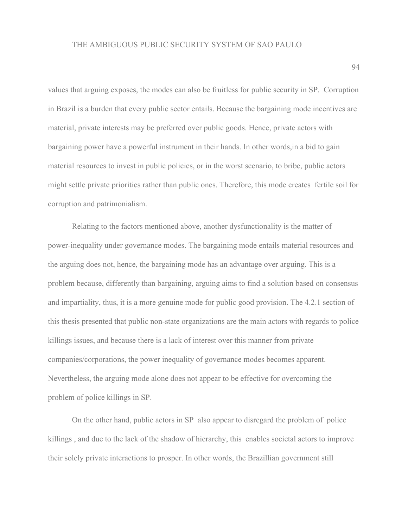values that arguing exposes, the modes can also be fruitless for public security in SP. Corruption in Brazil is a burden that every public sector entails. Because the bargaining mode incentives are material, private interests may be preferred over public goods. Hence, private actors with bargaining power have a powerful instrument in their hands. In other words,in a bid to gain material resources to invest in public policies, or in the worst scenario, to bribe, public actors might settle private priorities rather than public ones. Therefore, this mode creates fertile soil for corruption and patrimonialism.

Relating to the factors mentioned above, another dysfunctionality is the matter of power-inequality under governance modes. The bargaining mode entails material resources and the arguing does not, hence, the bargaining mode has an advantage over arguing. This is a problem because, differently than bargaining, arguing aims to find a solution based on consensus and impartiality, thus, it is a more genuine mode for public good provision. The 4.2.1 section of this thesis presented that public non-state organizations are the main actors with regards to police killings issues, and because there is a lack of interest over this manner from private companies/corporations, the power inequality of governance modes becomes apparent. Nevertheless, the arguing mode alone does not appear to be effective for overcoming the problem of police killings in SP.

On the other hand, public actors in SP also appear to disregard the problem of police killings , and due to the lack of the shadow of hierarchy, this enables societal actors to improve their solely private interactions to prosper. In other words, the Brazillian government still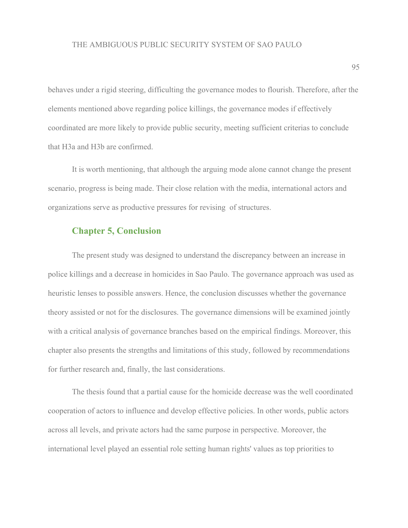behaves under a rigid steering, difficulting the governance modes to flourish. Therefore, after the elements mentioned above regarding police killings, the governance modes if effectively coordinated are more likely to provide public security, meeting sufficient criterias to conclude that H3a and H3b are confirmed.

It is worth mentioning, that although the arguing mode alone cannot change the present scenario, progress is being made. Their close relation with the media, international actors and organizations serve as productive pressures for revising of structures.

# **Chapter 5, Conclusion**

The present study was designed to understand the discrepancy between an increase in police killings and a decrease in homicides in Sao Paulo. The governance approach was used as heuristic lenses to possible answers. Hence, the conclusion discusses whether the governance theory assisted or not for the disclosures. The governance dimensions will be examined jointly with a critical analysis of governance branches based on the empirical findings. Moreover, this chapter also presents the strengths and limitations of this study, followed by recommendations for further research and, finally, the last considerations.

The thesis found that a partial cause for the homicide decrease was the well coordinated cooperation of actors to influence and develop effective policies. In other words, public actors across all levels, and private actors had the same purpose in perspective. Moreover, the international level played an essential role setting human rights' values as top priorities to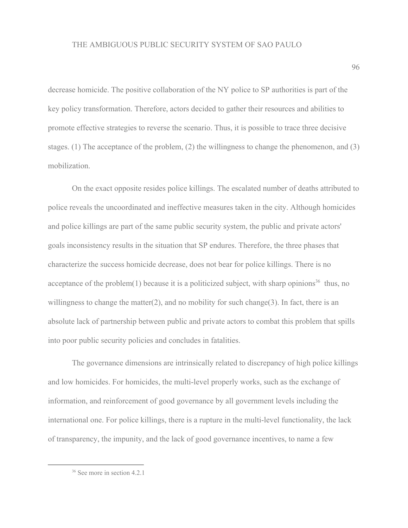decrease homicide. The positive collaboration of the NY police to SP authorities is part of the key policy transformation. Therefore, actors decided to gather their resources and abilities to promote effective strategies to reverse the scenario. Thus, it is possible to trace three decisive stages. (1) The acceptance of the problem, (2) the willingness to change the phenomenon, and (3) mobilization.

On the exact opposite resides police killings. The escalated number of deaths attributed to police reveals the uncoordinated and ineffective measures taken in the city. Although homicides and police killings are part of the same public security system, the public and private actors' goals inconsistency results in the situation that SP endures. Therefore, the three phases that characterize the success homicide decrease, does not bear for police killings. There is no acceptance of the problem(1) because it is a politicized subject, with sharp opinions<sup>36</sup> thus, no willingness to change the matter(2), and no mobility for such change(3). In fact, there is an absolute lack of partnership between public and private actors to combat this problem that spills into poor public security policies and concludes in fatalities.

The governance dimensions are intrinsically related to discrepancy of high police killings and low homicides. For homicides, the multi-level properly works, such as the exchange of information, and reinforcement of good governance by all government levels including the international one. For police killings, there is a rupture in the multi-level functionality, the lack of transparency, the impunity, and the lack of good governance incentives, to name a few

<sup>36</sup> See more in section 4.2.1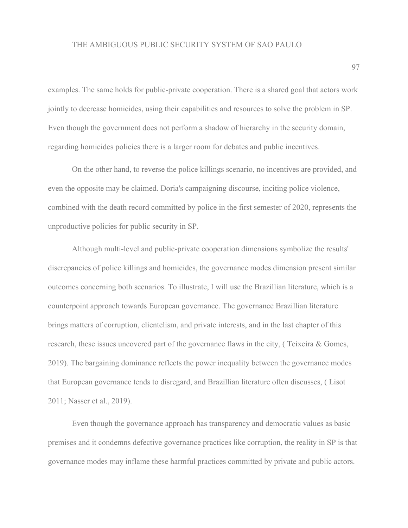examples. The same holds for public-private cooperation. There is a shared goal that actors work jointly to decrease homicides, using their capabilities and resources to solve the problem in SP. Even though the government does not perform a shadow of hierarchy in the security domain, regarding homicides policies there is a larger room for debates and public incentives.

On the other hand, to reverse the police killings scenario, no incentives are provided, and even the opposite may be claimed. Doria's campaigning discourse, inciting police violence, combined with the death record committed by police in the first semester of 2020, represents the unproductive policies for public security in SP.

Although multi-level and public-private cooperation dimensions symbolize the results' discrepancies of police killings and homicides, the governance modes dimension present similar outcomes concerning both scenarios. To illustrate, I will use the Brazillian literature, which is a counterpoint approach towards European governance. The governance Brazillian literature brings matters of corruption, clientelism, and private interests, and in the last chapter of this research, these issues uncovered part of the governance flaws in the city, ( Teixeira & Gomes, 2019). The bargaining dominance reflects the power inequality between the governance modes that European governance tends to disregard, and Brazillian literature often discusses, ( Lisot 2011; Nasser et al., 2019).

Even though the governance approach has transparency and democratic values as basic premises and it condemns defective governance practices like corruption, the reality in SP is that governance modes may inflame these harmful practices committed by private and public actors.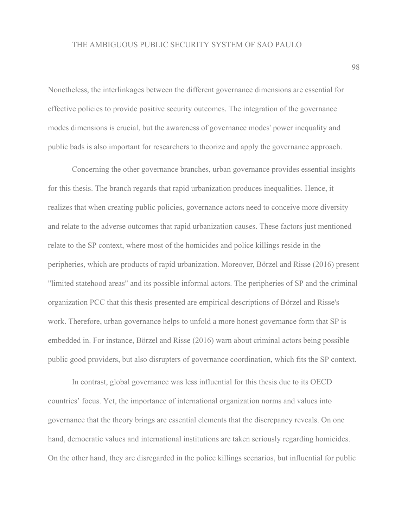Nonetheless, the interlinkages between the different governance dimensions are essential for effective policies to provide positive security outcomes. The integration of the governance modes dimensions is crucial, but the awareness of governance modes' power inequality and public bads is also important for researchers to theorize and apply the governance approach.

Concerning the other governance branches, urban governance provides essential insights for this thesis. The branch regards that rapid urbanization produces inequalities. Hence, it realizes that when creating public policies, governance actors need to conceive more diversity and relate to the adverse outcomes that rapid urbanization causes. These factors just mentioned relate to the SP context, where most of the homicides and police killings reside in the peripheries, which are products of rapid urbanization. Moreover, Börzel and Risse (2016) present "limited statehood areas" and its possible informal actors. The peripheries of SP and the criminal organization PCC that this thesis presented are empirical descriptions of Börzel and Risse's work. Therefore, urban governance helps to unfold a more honest governance form that SP is embedded in. For instance, Börzel and Risse (2016) warn about criminal actors being possible public good providers, but also disrupters of governance coordination, which fits the SP context.

In contrast, global governance was less influential for this thesis due to its OECD countries' focus. Yet, the importance of international organization norms and values into governance that the theory brings are essential elements that the discrepancy reveals. On one hand, democratic values and international institutions are taken seriously regarding homicides. On the other hand, they are disregarded in the police killings scenarios, but influential for public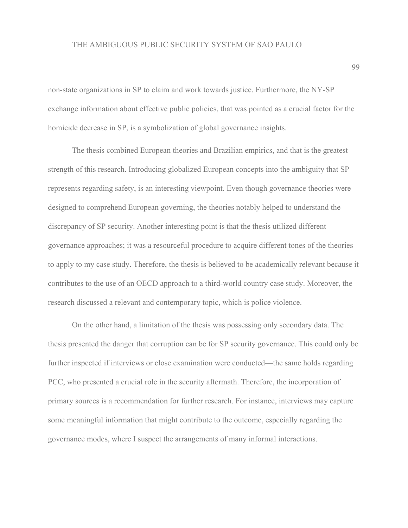non-state organizations in SP to claim and work towards justice. Furthermore, the NY-SP exchange information about effective public policies, that was pointed as a crucial factor for the homicide decrease in SP, is a symbolization of global governance insights.

The thesis combined European theories and Brazilian empirics, and that is the greatest strength of this research. Introducing globalized European concepts into the ambiguity that SP represents regarding safety, is an interesting viewpoint. Even though governance theories were designed to comprehend European governing, the theories notably helped to understand the discrepancy of SP security. Another interesting point is that the thesis utilized different governance approaches; it was a resourceful procedure to acquire different tones of the theories to apply to my case study. Therefore, the thesis is believed to be academically relevant because it contributes to the use of an OECD approach to a third-world country case study. Moreover, the research discussed a relevant and contemporary topic, which is police violence.

On the other hand, a limitation of the thesis was possessing only secondary data. The thesis presented the danger that corruption can be for SP security governance. This could only be further inspected if interviews or close examination were conducted—the same holds regarding PCC, who presented a crucial role in the security aftermath. Therefore, the incorporation of primary sources is a recommendation for further research. For instance, interviews may capture some meaningful information that might contribute to the outcome, especially regarding the governance modes, where I suspect the arrangements of many informal interactions.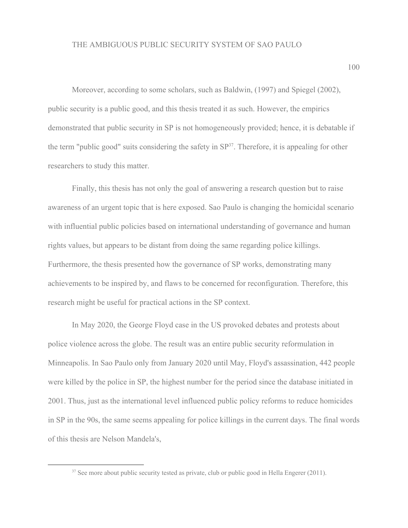Moreover, according to some scholars, such as Baldwin, (1997) and Spiegel (2002), public security is a public good, and this thesis treated it as such. However, the empirics demonstrated that public security in SP is not homogeneously provided; hence, it is debatable if the term "public good" suits considering the safety in  $SP<sup>37</sup>$ . Therefore, it is appealing for other researchers to study this matter.

Finally, this thesis has not only the goal of answering a research question but to raise awareness of an urgent topic that is here exposed. Sao Paulo is changing the homicidal scenario with influential public policies based on international understanding of governance and human rights values, but appears to be distant from doing the same regarding police killings. Furthermore, the thesis presented how the governance of SP works, demonstrating many achievements to be inspired by, and flaws to be concerned for reconfiguration. Therefore, this research might be useful for practical actions in the SP context.

In May 2020, the George Floyd case in the US provoked debates and protests about police violence across the globe. The result was an entire public security reformulation in Minneapolis. In Sao Paulo only from January 2020 until May, Floyd's assassination, 442 people were killed by the police in SP, the highest number for the period since the database initiated in 2001. Thus, just as the international level influenced public policy reforms to reduce homicides in SP in the 90s, the same seems appealing for police killings in the current days. The final words of this thesis are Nelson Mandela's,

<sup>&</sup>lt;sup>37</sup> See more about public security tested as private, club or public good in Hella Engerer (2011).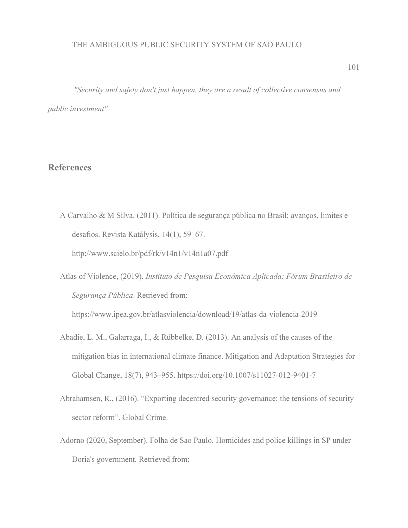*"Security and safety don't just happen, they are a result of collective consensus and public investment".*

# **References**

A Carvalho & M Silva. (2011). Política de segurança pública no Brasil: avanços, limites e desafios. Revista Katálysis, 14(1), 59–67.

http://www.scielo.br/pdf/rk/v14n1/v14n1a07.pdf

Atlas of Violence, (2019). *Instituto de Pesquisa Econômica Aplicada; Fórum Brasileiro de Segurança Pública*. Retrieved from:

<https://www.ipea.gov.br/atlasviolencia/download/19/atlas-da-violencia-2019>

- Abadie, L. M., Galarraga, I., & Rübbelke, D. (2013). An analysis of the causes of the mitigation bias in international climate finance. Mitigation and Adaptation Strategies for Global Change, 18(7), 943–955. https://doi.org/10.1007/s11027-012-9401-7
- Abrahamsen, R., (2016). "Exporting decentred security governance: the tensions of security sector reform". Global Crime.
- Adorno (2020, September). Folha de Sao Paulo. Homicides and police killings in SP under Doria's government. Retrieved from: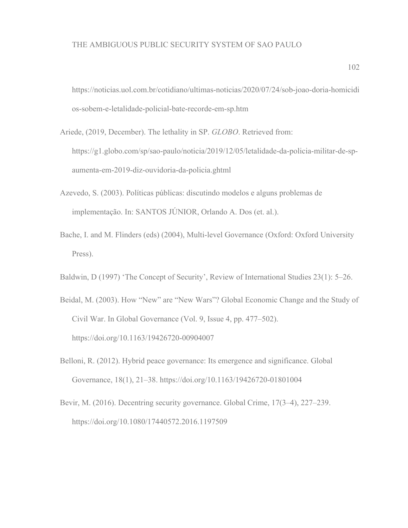[https://noticias.uol.com.br/cotidiano/ultimas-noticias/2020/07/24/sob-joao-doria-homicidi](https://noticias.uol.com.br/cotidiano/ultimas-noticias/2020/07/24/sob-joao-doria-homicidios-sobem-e-letalidade-policial-bate-recorde-em-sp.htm) [os-sobem-e-letalidade-policial-bate-recorde-em-sp.htm](https://noticias.uol.com.br/cotidiano/ultimas-noticias/2020/07/24/sob-joao-doria-homicidios-sobem-e-letalidade-policial-bate-recorde-em-sp.htm)

- Ariede, (2019, December). The lethality in SP. *GLOBO*. Retrieved from: [https://g1.globo.com/sp/sao-paulo/noticia/2019/12/05/letalidade-da-policia-militar-de-sp](https://g1.globo.com/sp/sao-paulo/noticia/2019/12/05/letalidade-da-policia-militar-de-sp-aumenta-em-2019-diz-ouvidoria-da-policia.ghtml)[aumenta-em-2019-diz-ouvidoria-da-policia.ghtml](https://g1.globo.com/sp/sao-paulo/noticia/2019/12/05/letalidade-da-policia-militar-de-sp-aumenta-em-2019-diz-ouvidoria-da-policia.ghtml)
- Azevedo, S. (2003). Políticas públicas: discutindo modelos e alguns problemas de implementação. In: SANTOS JÚNIOR, Orlando A. Dos (et. al.).
- Bache, I. and M. Flinders (eds) (2004), Multi-level Governance (Oxford: Oxford University Press).
- Baldwin, D (1997) 'The Concept of Security', Review of International Studies 23(1): 5–26.
- Beidal, M. (2003). How "New" are "New Wars"? Global Economic Change and the Study of Civil War. In Global Governance (Vol. 9, Issue 4, pp. 477–502). https://doi.org/10.1163/19426720-00904007
- Belloni, R. (2012). Hybrid peace governance: Its emergence and significance. Global Governance, 18(1), 21–38. https://doi.org/10.1163/19426720-01801004
- Bevir, M. (2016). Decentring security governance. Global Crime, 17(3–4), 227–239. https://doi.org/10.1080/17440572.2016.1197509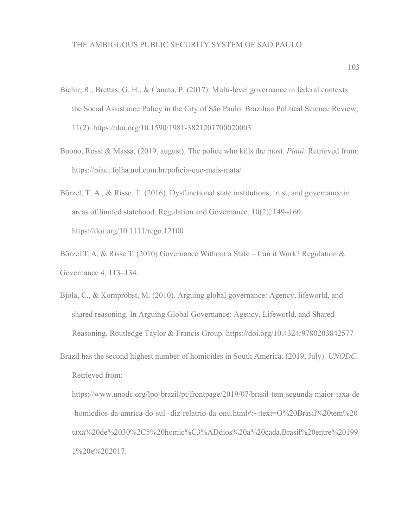- Bichir, R., Brettas, G. H., & Canato, P. (2017). Multi-level governance in federal contexts: the Social Assistance Policy in the City of São Paulo. Brazilian Political Science Review, 11(2). https://doi.org/10.1590/1981-3821201700020003
- Buono, Rossi & Massa. (2019, august). The police who kills the most. *Piauí*. Retrieved from: <https://piaui.folha.uol.com.br/policia-que-mais-mata/>
- Börzel, T. A., & Risse, T. (2016). Dysfunctional state institutions, trust, and governance in areas of limited statehood. Regulation and Governance, 10(2), 149–160. https://doi.org/10.1111/rego.12100
- Börzel T. A, & Risse T. (2010) Governance Without a State Can it Work? Regulation & Governance 4, 113–134.
- Bjola, C., & Kornprobst, M. (2010). Arguing global governance: Agency, lifeworld, and shared reasoning. In Arguing Global Governance: Agency, Lifeworld, and Shared Reasoning. Routledge Taylor & Francis Group. https://doi.org/10.4324/9780203842577
- Brazil has the second highest number of homicides in South America. (2019, July). *UNODC*. Retrieved from:

[https://www.unodc.org/lpo-brazil/pt/frontpage/2019/07/brasil-tem-segunda-maior-taxa-de](https://www.unodc.org/lpo-brazil/pt/frontpage/2019/07/brasil-tem-segunda-maior-taxa-de-homicdios-da-amrica-do-sul--diz-relatrio-da-onu.html#:~:text=O%20Brasil%20tem%20taxa%20de%2030%2C5%20homic%C3%ADdios%20a%20cada,Brasil%20entre%201991%20e%202017.) [-homicdios-da-amrica-do-sul--diz-relatrio-da-onu.html#:~:text=O%20Brasil%20tem%20](https://www.unodc.org/lpo-brazil/pt/frontpage/2019/07/brasil-tem-segunda-maior-taxa-de-homicdios-da-amrica-do-sul--diz-relatrio-da-onu.html#:~:text=O%20Brasil%20tem%20taxa%20de%2030%2C5%20homic%C3%ADdios%20a%20cada,Brasil%20entre%201991%20e%202017.) [taxa%20de%2030%2C5%20homic%C3%ADdios%20a%20cada,Brasil%20entre%20199](https://www.unodc.org/lpo-brazil/pt/frontpage/2019/07/brasil-tem-segunda-maior-taxa-de-homicdios-da-amrica-do-sul--diz-relatrio-da-onu.html#:~:text=O%20Brasil%20tem%20taxa%20de%2030%2C5%20homic%C3%ADdios%20a%20cada,Brasil%20entre%201991%20e%202017.) [1%20e%202017.](https://www.unodc.org/lpo-brazil/pt/frontpage/2019/07/brasil-tem-segunda-maior-taxa-de-homicdios-da-amrica-do-sul--diz-relatrio-da-onu.html#:~:text=O%20Brasil%20tem%20taxa%20de%2030%2C5%20homic%C3%ADdios%20a%20cada,Brasil%20entre%201991%20e%202017.)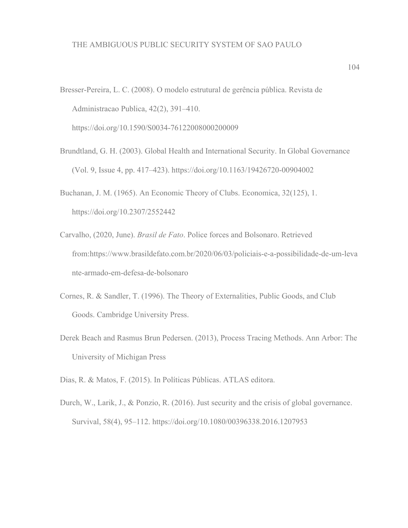- Bresser-Pereira, L. C. (2008). O modelo estrutural de gerência pública. Revista de Administracao Publica, 42(2), 391–410. https://doi.org/10.1590/S0034-76122008000200009
- Brundtland, G. H. (2003). Global Health and International Security. In Global Governance (Vol. 9, Issue 4, pp. 417–423). https://doi.org/10.1163/19426720-00904002
- Buchanan, J. M. (1965). An Economic Theory of Clubs. Economica, 32(125), 1. https://doi.org/10.2307/2552442
- Carvalho, (2020, June). *Brasil de Fato*. Police forces and Bolsonaro. Retrieved from:[https://www.brasildefato.com.br/2020/06/03/policiais-e-a-possibilidade-de-um-leva](https://www.brasildefato.com.br/2020/06/03/policiais-e-a-possibilidade-de-um-levante-armado-em-defesa-de-bolsonaro) [nte-armado-em-defesa-de-bolsonaro](https://www.brasildefato.com.br/2020/06/03/policiais-e-a-possibilidade-de-um-levante-armado-em-defesa-de-bolsonaro)
- Cornes, R. & Sandler, T. (1996). The Theory of Externalities, Public Goods, and Club Goods. [Cambridge University Press](https://www.cambridge.org/).
- Derek Beach and Rasmus Brun Pedersen. (2013), Process Tracing Methods. Ann Arbor: The University of Michigan Press
- Dias, R. & Matos, F. (2015). In Políticas Públicas. ATLAS editora.
- Durch, W., Larik, J., & Ponzio, R. (2016). Just security and the crisis of global governance. Survival, 58(4), 95–112. https://doi.org/10.1080/00396338.2016.1207953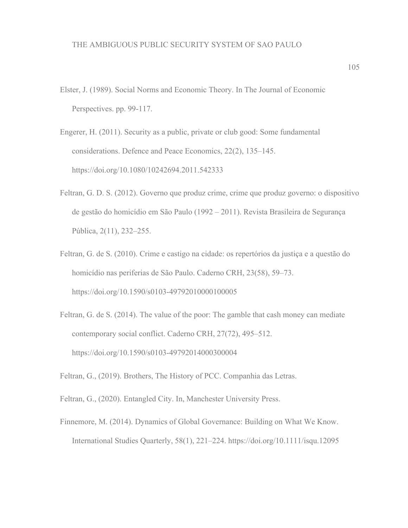- Elster, J. (1989). Social Norms and Economic Theory. In The Journal of Economic Perspectives. pp. 99-117.
- Engerer, H. (2011). Security as a public, private or club good: Some fundamental considerations. Defence and Peace Economics, 22(2), 135–145. https://doi.org/10.1080/10242694.2011.542333
- Feltran, G. D. S. (2012). Governo que produz crime, crime que produz governo: o dispositivo de gestão do homicídio em São Paulo (1992 – 2011). Revista Brasileira de Segurança Pública, 2(11), 232–255.
- Feltran, G. de S. (2010). Crime e castigo na cidade: os repertórios da justiça e a questão do homicídio nas periferias de São Paulo. Caderno CRH, 23(58), 59–73. https://doi.org/10.1590/s0103-49792010000100005
- Feltran, G. de S. (2014). The value of the poor: The gamble that cash money can mediate contemporary social conflict. Caderno CRH, 27(72), 495–512. https://doi.org/10.1590/s0103-49792014000300004
- Feltran, G., (2019). Brothers, The History of PCC. Companhia das Letras.
- Feltran, G., (2020). Entangled City. In, Manchester University Press.
- Finnemore, M. (2014). Dynamics of Global Governance: Building on What We Know. International Studies Quarterly, 58(1), 221–224. <https://doi.org/10.1111/isqu.12095>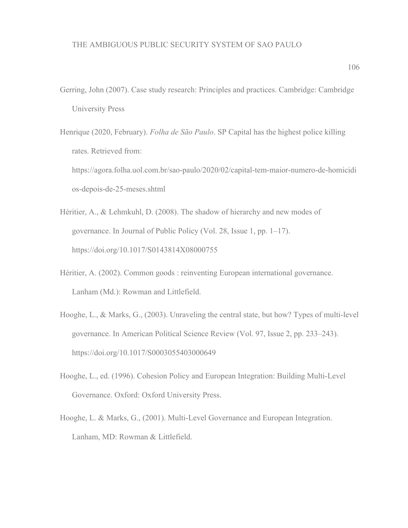- Gerring, John (2007). Case study research: Principles and practices. Cambridge: Cambridge University Press
- Henrique (2020, February). *Folha de São Paulo*. SP Capital has the highest police killing rates. Retrieved from: [https://agora.folha.uol.com.br/sao-paulo/2020/02/capital-tem-maior-numero-de-homicidi](https://agora.folha.uol.com.br/sao-paulo/2020/02/capital-tem-maior-numero-de-homicidios-depois-de-25-meses.shtml) [os-depois-de-25-meses.shtml](https://agora.folha.uol.com.br/sao-paulo/2020/02/capital-tem-maior-numero-de-homicidios-depois-de-25-meses.shtml)
- Héritier, A., & Lehmkuhl, D. (2008). The shadow of hierarchy and new modes of governance. In Journal of Public Policy (Vol. 28, Issue 1, pp. 1–17). https://doi.org/10.1017/S0143814X08000755
- Héritier, A. (2002). Common goods : reinventing European international governance. Lanham (Md.): Rowman and Littlefield.
- Hooghe, L., & Marks, G., (2003). Unraveling the central state, but how? Types of multi-level governance. In American Political Science Review (Vol. 97, Issue 2, pp. 233–243). <https://doi.org/10.1017/S0003055403000649>
- Hooghe, L., ed. (1996). Cohesion Policy and European Integration: Building Multi-Level Governance. Oxford: Oxford University Press.
- Hooghe, L. & Marks, G., (2001). Multi-Level Governance and European Integration. Lanham, MD: Rowman & Littlefield.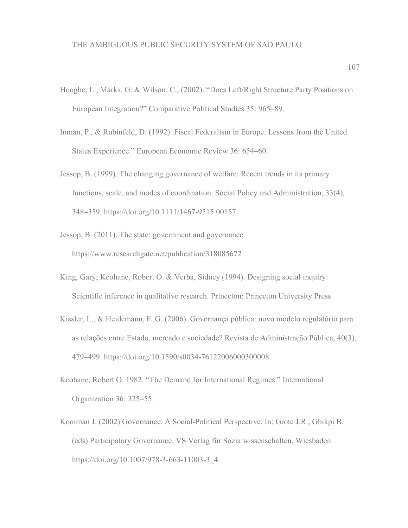- Hooghe, L., Marks, G. & Wilson, C., (2002). "Does Left/Right Structure Party Positions on European Integration?" Comparative Political Studies 35: 965–89.
- Inman, P., & Rubinfeld, D. (1992). Fiscal Federalism in Europe: Lessons from the United States Experience." European Economic Review 36: 654–60.
- Jessop, B. (1999). The changing governance of welfare: Recent trends in its primary functions, scale, and modes of coordination. Social Policy and Administration, 33(4), 348–359. https://doi.org/10.1111/1467-9515.00157
- Jessop, B. (2011). The state: government and governance. https://www.researchgate.net/publication/318085672
- King, Gary; Keohane, Robert O. & Verba, Sidney (1994). Designing social inquiry: Scientific inference in qualitative research. Princeton: Princeton University Press.
- Kissler, L., & Heidemann, F. G. (2006). Governança pública: novo modelo regulatório para as relações entre Estado, mercado e sociedade? Revista de Administração Pública, 40(3), 479–499. https://doi.org/10.1590/s0034-76122006000300008
- Keohane, Robert O. 1982. "The Demand for International Regimes." International Organization 36: 325–55.
- Kooiman J. (2002) Governance. A Social-Political Perspective. In: Grote J.R., Gbikpi B. (eds) Participatory Governance. VS Verlag für Sozialwissenschaften, Wiesbaden. https://doi.org/10.1007/978-3-663-11003-3\_4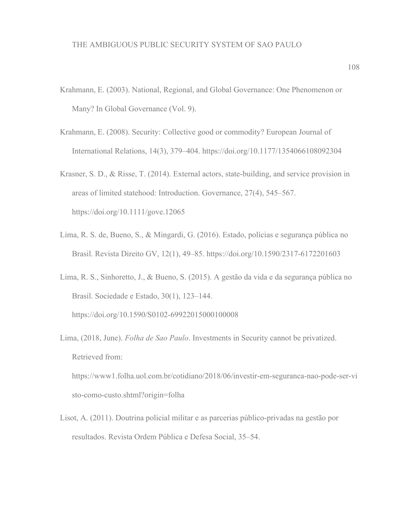- Krahmann, E. (2003). National, Regional, and Global Governance: One Phenomenon or Many? In Global Governance (Vol. 9).
- Krahmann, E. (2008). Security: Collective good or commodity? European Journal of International Relations, 14(3), 379–404. https://doi.org/10.1177/1354066108092304
- Krasner, S. D., & Risse, T. (2014). External actors, state-building, and service provision in areas of limited statehood: Introduction. Governance, 27(4), 545–567. https://doi.org/10.1111/gove.12065
- Lima, R. S. de, Bueno, S., & Mingardi, G. (2016). Estado, polícias e segurança pública no Brasil. Revista Direito GV, 12(1), 49–85. https://doi.org/10.1590/2317-6172201603
- Lima, R. S., Sinhoretto, J., & Bueno, S. (2015). A gestão da vida e da segurança pública no Brasil. Sociedade e Estado, 30(1), 123–144. <https://doi.org/10.1590/S0102-69922015000100008>
- Lima, (2018, June). *Folha de Sao Paulo*. Investments in Security cannot be privatized. Retrieved from:

[https://www1.folha.uol.com.br/cotidiano/2018/06/investir-em-seguranca-nao-pode-ser-vi](https://www1.folha.uol.com.br/cotidiano/2018/06/investir-em-seguranca-nao-pode-ser-visto-como-custo.shtml?origin=folha) [sto-como-custo.shtml?origin=folha](https://www1.folha.uol.com.br/cotidiano/2018/06/investir-em-seguranca-nao-pode-ser-visto-como-custo.shtml?origin=folha)

Lisot, A. (2011). Doutrina policial militar e as parcerias público-privadas na gestão por resultados. Revista Ordem Pública e Defesa Social, 35–54.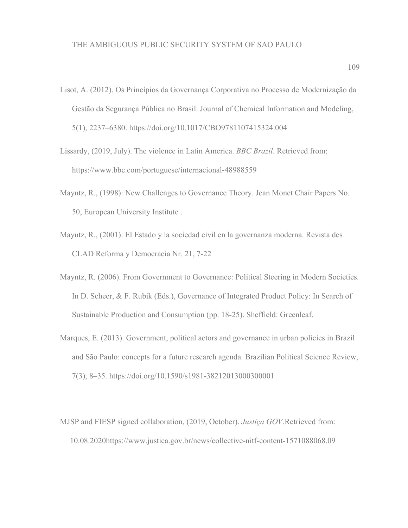- Lisot, A. (2012). Os Princípios da Governança Corporativa no Processo de Modernização da Gestão da Segurança Pública no Brasil. Journal of Chemical Information and Modeling, 5(1), 2237–6380. https://doi.org/10.1017/CBO9781107415324.004
- Lissardy, (2019, July). The violence in Latin America. *BBC Brazil*. Retrieved from: <https://www.bbc.com/portuguese/internacional-48988559>
- Mayntz, R., (1998): New Challenges to Governance Theory. Jean Monet Chair Papers No. 50, European University Institute .
- Mayntz, R., (2001). El Estado y la sociedad civil en la governanza moderna. Revista des CLAD Reforma y Democracia Nr. 21, 7-22
- Mayntz, R. (2006). From Government to Governance: Political Steering in Modern Societies. In D. Scheer, & F. Rubik (Eds.), Governance of Integrated Product Policy: In Search of Sustainable Production and Consumption (pp. 18-25). Sheffield: Greenleaf.
- Marques, E. (2013). Government, political actors and governance in urban policies in Brazil and São Paulo: concepts for a future research agenda. Brazilian Political Science Review, 7(3), 8–35. <https://doi.org/10.1590/s1981-38212013000300001>
- MJSP and FIESP signed collaboration, (2019, October). *Justiça GOV*.Retrieved from: 10.08.2020<https://www.justica.gov.br/news/collective-nitf-content-1571088068.09>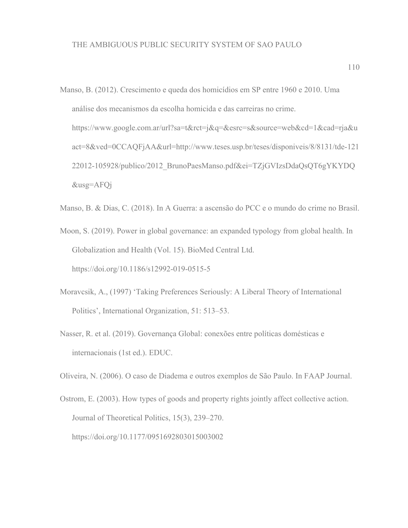- Manso, B. (2012). Crescimento e queda dos homicídios em SP entre 1960 e 2010. Uma análise dos mecanismos da escolha homicida e das carreiras no crime. https://www.google.com.ar/url?sa=t&rct=j&q=&esrc=s&source=web&cd=1&cad=rja&u act=8&ved=0CCAQFjAA&url=http://www.teses.usp.br/teses/disponiveis/8/8131/tde-121 22012-105928/publico/2012\_BrunoPaesManso.pdf&ei=TZjGVIzsDdaQsQT6gYKYDQ &usg=AFQj
- Manso, B. & Dias, C. (2018). In A Guerra: a ascensão do PCC e o mundo do crime no Brasil.
- Moon, S. (2019). Power in global governance: an expanded typology from global health. In Globalization and Health (Vol. 15). BioMed Central Ltd. https://doi.org/10.1186/s12992-019-0515-5
- Moravcsik, A., (1997) 'Taking Preferences Seriously: A Liberal Theory of International Politics', International Organization, 51: 513–53.
- Nasser, R. et al. (2019). Governança Global: conexões entre políticas domésticas e internacionais (1st ed.). EDUC.

Oliveira, N. (2006). O caso de Diadema e outros exemplos de São Paulo. In FAAP Journal.

Ostrom, E. (2003). How types of goods and property rights jointly affect collective action. Journal of Theoretical Politics, 15(3), 239–270. https://doi.org/10.1177/0951692803015003002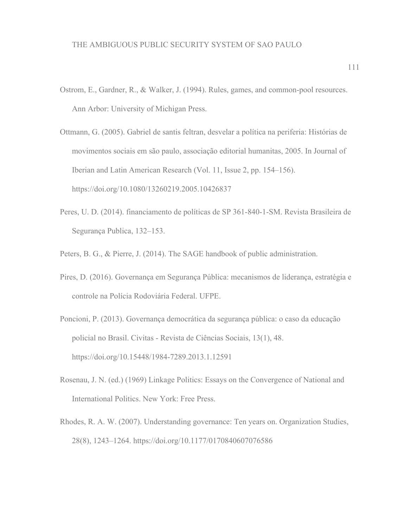- Ostrom, E., Gardner, R., & Walker, J. (1994). Rules, games, and common-pool resources. Ann Arbor: University of Michigan Press.
- Ottmann, G. (2005). Gabriel de santis feltran, desvelar a política na periferia: Histórias de movimentos sociais em são paulo, associação editorial humanitas, 2005. In Journal of Iberian and Latin American Research (Vol. 11, Issue 2, pp. 154–156). https://doi.org/10.1080/13260219.2005.10426837
- Peres, U. D. (2014). financiamento de políticas de SP 361-840-1-SM. Revista Brasileira de Segurança Publica, 132–153.
- Peters, B. G., & Pierre, J. (2014). The SAGE handbook of public administration.
- Pires, D. (2016). Governança em Segurança Pública: mecanismos de liderança, estratégia e controle na Polícia Rodoviária Federal. UFPE.
- Poncioni, P. (2013). Governança democrática da segurança pública: o caso da educação policial no Brasil. Civitas - Revista de Ciências Sociais, 13(1), 48. https://doi.org/10.15448/1984-7289.2013.1.12591
- Rosenau, J. N. (ed.) (1969) Linkage Politics: Essays on the Convergence of National and International Politics. New York: Free Press.
- Rhodes, R. A. W. (2007). Understanding governance: Ten years on. Organization Studies, 28(8), 1243–1264. https://doi.org/10.1177/0170840607076586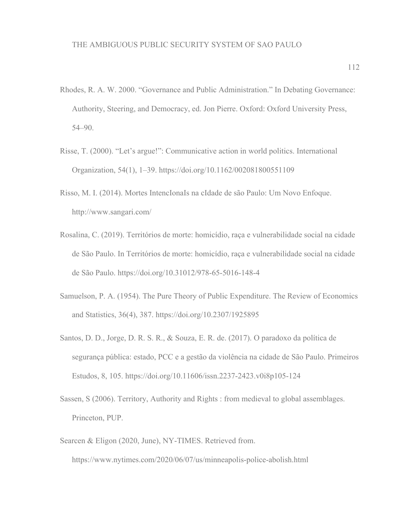- Rhodes, R. A. W. 2000. "Governance and Public Administration." In Debating Governance: Authority, Steering, and Democracy, ed. Jon Pierre. Oxford: Oxford University Press, 54–90.
- Risse, T. (2000). "Let's argue!": Communicative action in world politics. International Organization, 54(1), 1–39. https://doi.org/10.1162/002081800551109
- Risso, M. I. (2014). Mortes IntencIonaIs na cIdade de são Paulo: Um Novo Enfoque. http://www.sangari.com/
- Rosalina, C. (2019). Territórios de morte: homicídio, raça e vulnerabilidade social na cidade de São Paulo. In Territórios de morte: homicídio, raça e vulnerabilidade social na cidade de São Paulo. https://doi.org/10.31012/978-65-5016-148-4
- Samuelson, P. A. (1954). The Pure Theory of Public Expenditure. The Review of Economics and Statistics, 36(4), 387. https://doi.org/10.2307/1925895
- Santos, D. D., Jorge, D. R. S. R., & Souza, E. R. de. (2017). O paradoxo da política de segurança pública: estado, PCC e a gestão da violência na cidade de São Paulo. Primeiros Estudos, 8, 105. https://doi.org/10.11606/issn.2237-2423.v0i8p105-124
- Sassen, S (2006). Territory, Authority and Rights : from medieval to global assemblages. Princeton, PUP.
- Searcen & Eligon (2020, June), NY-TIMES. Retrieved from.

<https://www.nytimes.com/2020/06/07/us/minneapolis-police-abolish.html>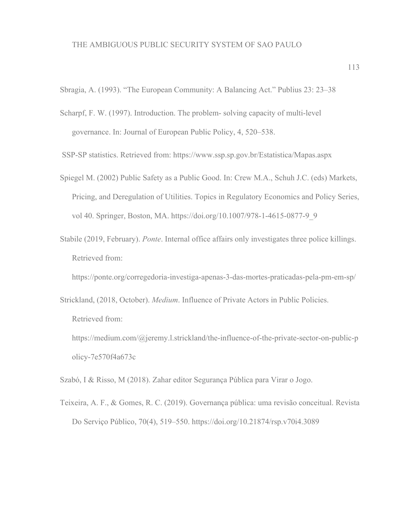Sbragia, A. (1993). "The European Community: A Balancing Act." Publius 23: 23–38

- Scharpf, F. W. (1997). Introduction. The problem- solving capacity of multi-level governance. In: Journal of European Public Policy, 4, 520–538.
- SSP-SP statistics. Retrieved from: <https://www.ssp.sp.gov.br/Estatistica/Mapas.aspx>
- Spiegel M. (2002) Public Safety as a Public Good. In: Crew M.A., Schuh J.C. (eds) Markets, Pricing, and Deregulation of Utilities. Topics in Regulatory Economics and Policy Series, vol 40. Springer, Boston, MA. https://doi.org/10.1007/978-1-4615-0877-9\_9
- Stabile (2019, February). *Ponte*. Internal office affairs only investigates three police killings. Retrieved from:

<https://ponte.org/corregedoria-investiga-apenas-3-das-mortes-praticadas-pela-pm-em-sp/>

- Strickland, (2018, October). *Medium*. Influence of Private Actors in Public Policies. Retrieved from:
	- [https://medium.com/@jeremy.l.strickland/the-influence-of-the-private-sector-on-public-p](https://medium.com/@jeremy.l.strickland/the-influence-of-the-private-sector-on-public-policy-7e570f4a673c) [olicy-7e570f4a673c](https://medium.com/@jeremy.l.strickland/the-influence-of-the-private-sector-on-public-policy-7e570f4a673c)

Szabó, I & Risso, M (2018). Zahar editor Segurança Pública para Virar o Jogo.

Teixeira, A. F., & Gomes, R. C. (2019). Governança pública: uma revisão conceitual. Revista Do Serviço Público, 70(4), 519–550. https://doi.org/10.21874/rsp.v70i4.3089